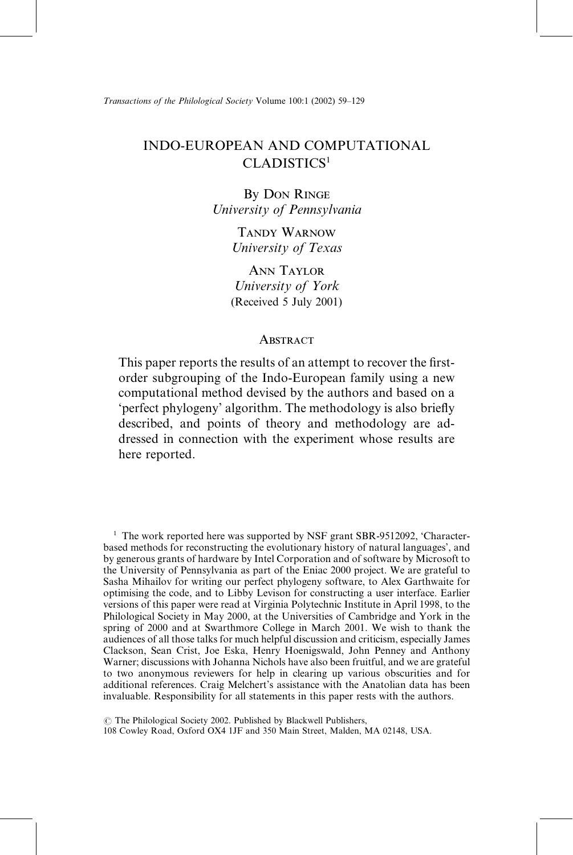Transactions of the Philological Society Volume 100:1 (2002) 59-129

## **INDO-EUROPEAN AND COMPUTATIONAL** CLADISTICS<sup>1</sup>

### **By DON RINGE** University of Pennsylvania

**TANDY WARNOW** University of Texas

**ANN TAYLOR** University of York (Received 5 July 2001)

#### **ABSTRACT**

This paper reports the results of an attempt to recover the firstorder subgrouping of the Indo-European family using a new computational method devised by the authors and based on a 'perfect phylogeny' algorithm. The methodology is also briefly described, and points of theory and methodology are addressed in connection with the experiment whose results are here reported.

<sup>1</sup> The work reported here was supported by NSF grant SBR-9512092, 'Characterbased methods for reconstructing the evolutionary history of natural languages', and by generous grants of hardware by Intel Corporation and of software by Microsoft to the University of Pennsylvania as part of the Enjac 2000 project. We are grateful to Sasha Mihailov for writing our perfect phylogeny software, to Alex Garthwaite for optimising the code, and to Libby Levison for constructing a user interface. Earlier versions of this paper were read at Virginia Polytechnic Institute in April 1998, to the Philological Society in May 2000, at the Universities of Cambridge and York in the spring of 2000 and at Swarthmore College in March 2001. We wish to thank the audiences of all those talks for much helpful discussion and criticism, especially James Clackson, Sean Crist, Joe Eska, Henry Hoenigswald, John Penney and Anthony Warner; discussions with Johanna Nichols have also been fruitful, and we are grateful to two anonymous reviewers for help in clearing up various obscurities and for additional references. Craig Melchert's assistance with the Anatolian data has been invaluable. Responsibility for all statements in this paper rests with the authors.

© The Philological Society 2002. Published by Blackwell Publishers,

108 Cowley Road, Oxford OX4 1JF and 350 Main Street, Malden, MA 02148, USA,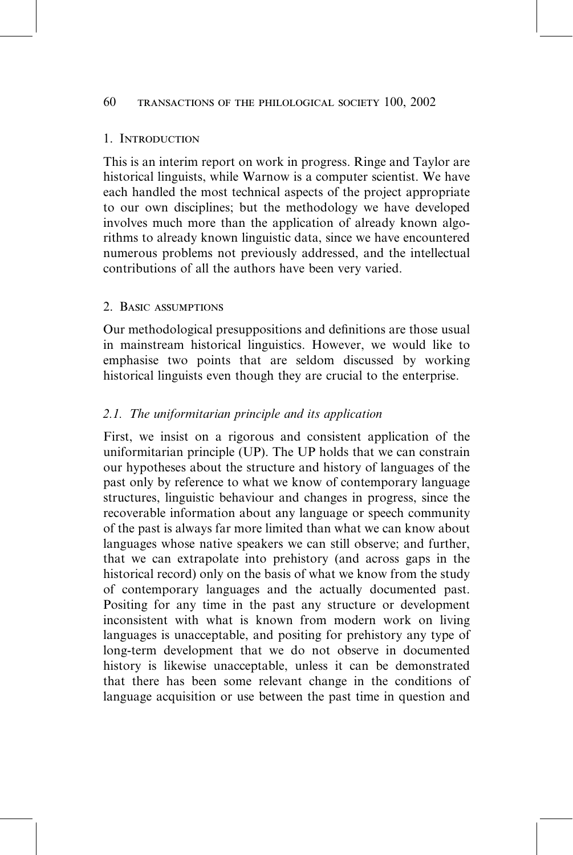#### 60 TRANSACTIONS OF THE PHILOLOGICAL SOCIETY 100, 2002

### 1. INTRODUCTION

This is an interim report on work in progress. Ringe and Taylor are historical linguists, while Warnow is a computer scientist. We have each handled the most technical aspects of the project appropriate to our own disciplines; but the methodology we have developed involves much more than the application of already known algorithms to already known linguistic data, since we have encountered numerous problems not previously addressed, and the intellectual contributions of all the authors have been very varied.

### 2. BASIC ASSUMPTIONS

Our methodological presuppositions and definitions are those usual in mainstream historical linguistics. However, we would like to emphasise two points that are seldom discussed by working historical linguists even though they are crucial to the enterprise.

### 2.1. The uniformitarian principle and its application

First, we insist on a rigorous and consistent application of the uniformitarian principle (UP). The UP holds that we can constrain our hypotheses about the structure and history of languages of the past only by reference to what we know of contemporary language structures, linguistic behaviour and changes in progress, since the recoverable information about any language or speech community of the past is always far more limited than what we can know about languages whose native speakers we can still observe; and further, that we can extrapolate into prehistory (and across gaps in the historical record) only on the basis of what we know from the study of contemporary languages and the actually documented past. Positing for any time in the past any structure or development inconsistent with what is known from modern work on living languages is unacceptable, and positing for prehistory any type of long-term development that we do not observe in documented history is likewise unacceptable, unless it can be demonstrated that there has been some relevant change in the conditions of language acquisition or use between the past time in question and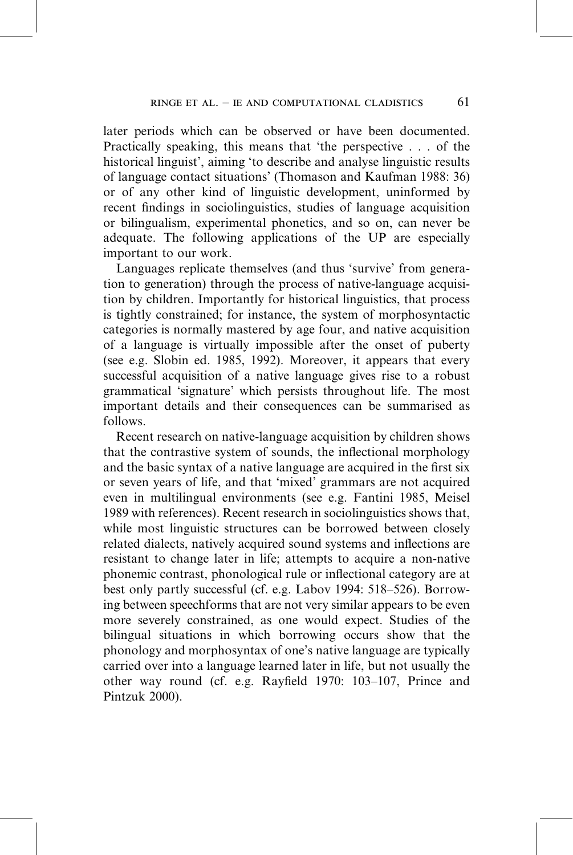later periods which can be observed or have been documented. Practically speaking, this means that 'the perspective . . . of the historical linguist', aiming 'to describe and analyse linguistic results of language contact situations' (Thomason and Kaufman 1988: 36) or of any other kind of linguistic development, uninformed by recent findings in sociolinguistics, studies of language acquisition or bilingualism, experimental phonetics, and so on, can never be adequate. The following applications of the UP are especially important to our work.

Languages replicate themselves (and thus 'survive' from generation to generation) through the process of native-language acquisition by children. Importantly for historical linguistics, that process is tightly constrained; for instance, the system of morphosyntactic categories is normally mastered by age four, and native acquisition of a language is virtually impossible after the onset of puberty (see e.g. Slobin ed. 1985, 1992). Moreover, it appears that every successful acquisition of a native language gives rise to a robust grammatical 'signature' which persists throughout life. The most important details and their consequences can be summarised as follows.

Recent research on native-language acquisition by children shows that the contrastive system of sounds, the inflectional morphology and the basic syntax of a native language are acquired in the first six or seven years of life, and that 'mixed' grammars are not acquired even in multilingual environments (see e.g. Fantini 1985, Meisel 1989 with references). Recent research in sociolinguistics shows that, while most linguistic structures can be borrowed between closely related dialects, natively acquired sound systems and inflections are resistant to change later in life; attempts to acquire a non-native phonemic contrast, phonological rule or inflectional category are at best only partly successful (cf. e.g. Labov 1994: 518–526). Borrowing between speechforms that are not very similar appears to be even more severely constrained, as one would expect. Studies of the bilingual situations in which borrowing occurs show that the phonology and morphosyntax of one's native language are typically carried over into a language learned later in life, but not usually the other way round (cf. e.g. Rayfield 1970: 103-107, Prince and Pintzuk 2000).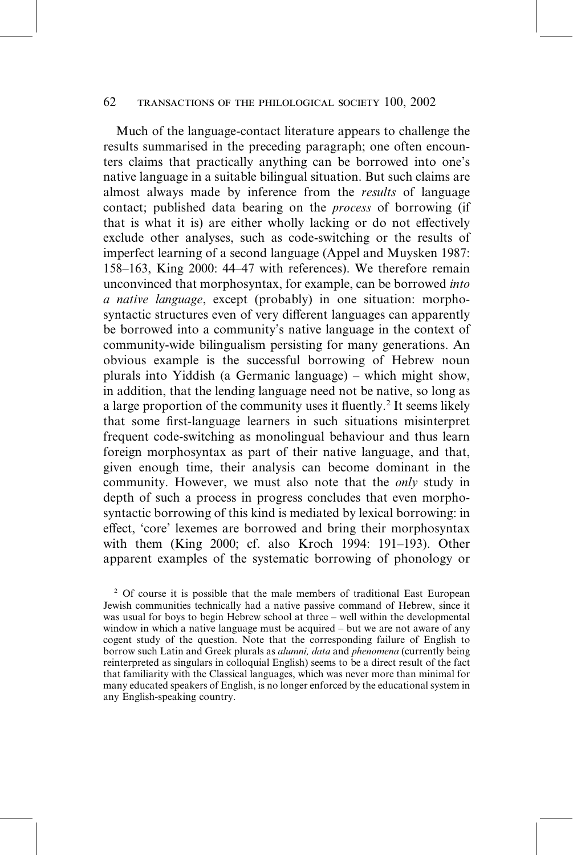#### 62. TRANSACTIONS OF THE PHILOLOGICAL SOCIETY 100, 2002

Much of the language-contact literature appears to challenge the results summarised in the preceding paragraph; one often encounters claims that practically anything can be borrowed into one's native language in a suitable bilingual situation. But such claims are almost always made by inference from the *results* of language contact: published data bearing on the *process* of borrowing (if that is what it is) are either wholly lacking or do not effectively exclude other analyses, such as code-switching or the results of imperfect learning of a second language (Appel and Muysken 1987: 158–163, King 2000: 44–47 with references). We therefore remain unconvinced that morphosyntax, for example, can be borrowed *into a native language*, except (probably) in one situation: morphosyntactic structures even of very different languages can apparently be borrowed into a community's native language in the context of community-wide bilingualism persisting for many generations. An obvious example is the successful borrowing of Hebrew noun plurals into Yiddish (a Germanic language) – which might show, in addition, that the lending language need not be native, so long as a large proportion of the community uses it fluently.<sup>2</sup> It seems likely that some first-language learners in such situations misinterpret frequent code-switching as monolingual behaviour and thus learn foreign morphosyntax as part of their native language, and that, given enough time, their analysis can become dominant in the community. However, we must also note that the *only* study in depth of such a process in progress concludes that even morphosyntactic borrowing of this kind is mediated by lexical borrowing: in effect, 'core' lexemes are borrowed and bring their morphosyntax with them (King 2000; cf. also Kroch 1994; 191–193). Other apparent examples of the systematic borrowing of phonology or

<sup>2</sup> Of course it is possible that the male members of traditional East European Jewish communities technically had a native passive command of Hebrew, since it was usual for boys to begin Hebrew school at three – well within the developmental window in which a native language must be acquired  $-$  but we are not aware of any cogent study of the question. Note that the corresponding failure of English to borrow such Latin and Greek plurals as alumni, data and phenomena (currently being reinterpreted as singulars in colloquial English) seems to be a direct result of the fact that familiarity with the Classical languages, which was never more than minimal for many educated speakers of English, is no longer enforced by the educational system in any English-speaking country.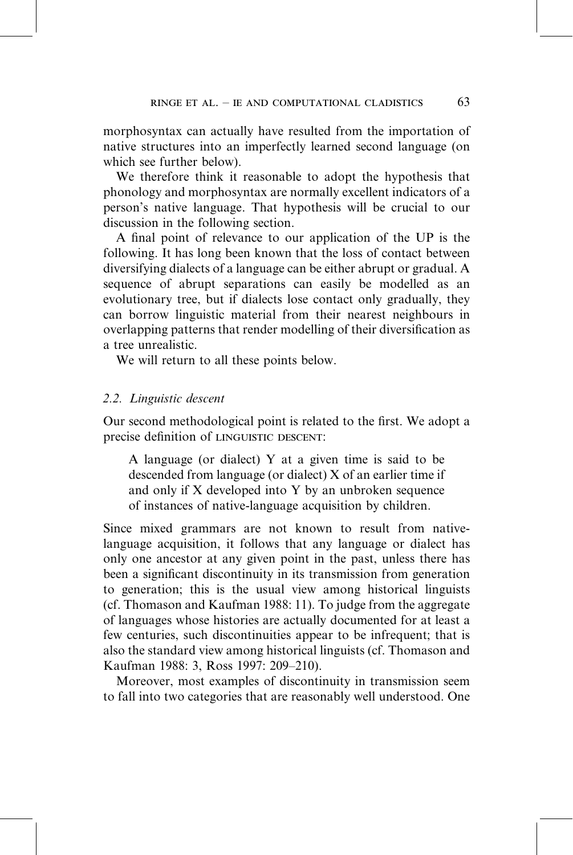morphosyntax can actually have resulted from the importation of native structures into an imperfectly learned second language (on which see further below).

We therefore think it reasonable to adopt the hypothesis that phonology and morphosyntax are normally excellent indicators of a person's native language. That hypothesis will be crucial to our discussion in the following section.

A final point of relevance to our application of the UP is the following. It has long been known that the loss of contact between diversifying dialects of a language can be either abrupt or gradual. A sequence of abrupt separations can easily be modelled as an evolutionary tree, but if dialects lose contact only gradually, they can borrow linguistic material from their nearest neighbours in overlapping patterns that render modelling of their diversification as a tree unrealistic.

We will return to all these points below.

#### 2.2. Linguistic descent

Our second methodological point is related to the first. We adopt a precise definition of LINGUISTIC DESCENT:

A language (or dialect) Y at a given time is said to be descended from language (or dialect)  $X$  of an earlier time if and only if X developed into Y by an unbroken sequence of instances of native-language acquisition by children.

Since mixed grammars are not known to result from nativelanguage acquisition, it follows that any language or dialect has only one ancestor at any given point in the past, unless there has been a significant discontinuity in its transmission from generation to generation; this is the usual view among historical linguists (cf. Thomason and Kaufman 1988: 11). To judge from the aggregate of languages whose histories are actually documented for at least a few centuries, such discontinuities appear to be infrequent; that is also the standard view among historical linguists (cf. Thomason and Kaufman 1988: 3, Ross 1997: 209-210).

Moreover, most examples of discontinuity in transmission seem to fall into two categories that are reasonably well understood. One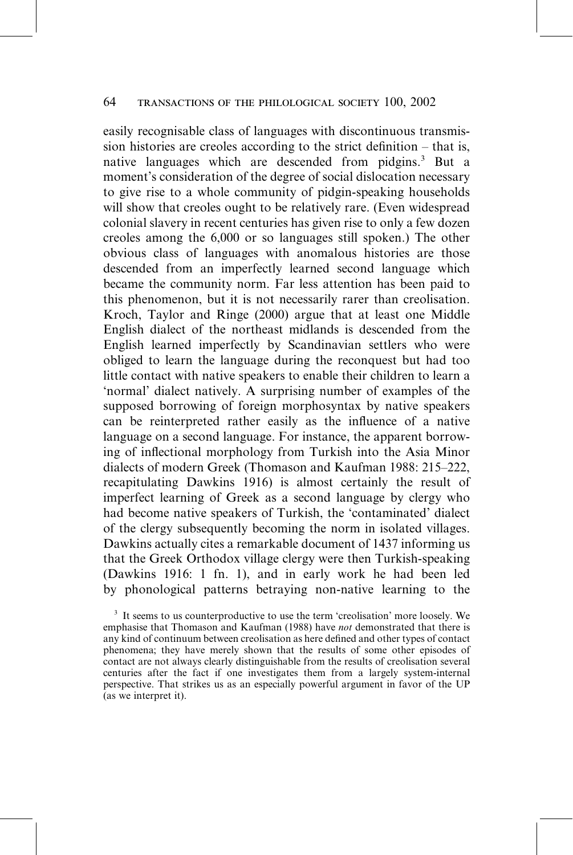easily recognisable class of languages with discontinuous transmission histories are creoles according to the strict definition  $-$  that is, native languages which are descended from pidgins.<sup>3</sup> But a moment's consideration of the degree of social dislocation necessary to give rise to a whole community of pidgin-speaking households will show that creoles ought to be relatively rare. (Even widespread colonial slavery in recent centuries has given rise to only a few dozen creoles among the 6,000 or so languages still spoken.) The other obvious class of languages with anomalous histories are those descended from an imperfectly learned second language which became the community norm. Far less attention has been paid to this phenomenon, but it is not necessarily rarer than creolisation. Kroch, Taylor and Ringe (2000) argue that at least one Middle English dialect of the northeast midlands is descended from the English learned imperfectly by Scandinavian settlers who were obliged to learn the language during the reconquest but had too little contact with native speakers to enable their children to learn a 'normal' dialect natively. A surprising number of examples of the supposed borrowing of foreign morphosyntax by native speakers can be reinterpreted rather easily as the influence of a native language on a second language. For instance, the apparent borrowing of inflectional morphology from Turkish into the Asia Minor dialects of modern Greek (Thomason and Kaufman 1988: 215–222. recapitulating Dawkins 1916) is almost certainly the result of imperfect learning of Greek as a second language by clergy who had become native speakers of Turkish, the 'contaminated' dialect of the clergy subsequently becoming the norm in isolated villages. Dawkins actually cites a remarkable document of 1437 informing us that the Greek Orthodox village clergy were then Turkish-speaking (Dawkins 1916: 1 fn. 1), and in early work he had been led by phonological patterns betraying non-native learning to the

<sup>&</sup>lt;sup>3</sup> It seems to us counterproductive to use the term 'creolisation' more loosely. We emphasise that Thomason and Kaufman (1988) have not demonstrated that there is any kind of continuum between creolisation as here defined and other types of contact phenomena; they have merely shown that the results of some other episodes of contact are not always clearly distinguishable from the results of creolisation several centuries after the fact if one investigates them from a largely system-internal perspective. That strikes us as an especially powerful argument in favor of the UP (as we interpret it).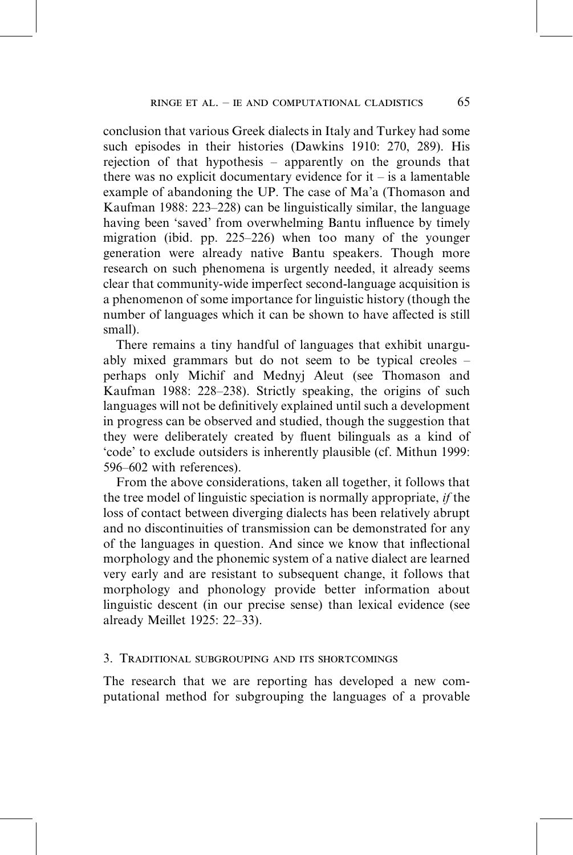conclusion that various Greek dialects in Italy and Turkey had some such episodes in their histories (Dawkins 1910: 270, 289). His rejection of that hypothesis - apparently on the grounds that there was no explicit documentary evidence for it – is a lamentable example of abandoning the UP. The case of Ma'a (Thomason and Kaufman 1988: 223–228) can be linguistically similar, the language having been 'saved' from overwhelming Bantu influence by timely migration (ibid. pp.  $225-226$ ) when too many of the vounger generation were already native Bantu speakers. Though more research on such phenomena is urgently needed, it already seems clear that community-wide imperfect second-language acquisition is a phenomenon of some importance for linguistic history (though the number of languages which it can be shown to have affected is still small).

There remains a tiny handful of languages that exhibit unarguably mixed grammars but do not seem to be typical creoles – perhaps only Michif and Mednyj Aleut (see Thomason and Kaufman 1988: 228–238). Strictly speaking, the origins of such languages will not be definitively explained until such a development in progress can be observed and studied, though the suggestion that they were deliberately created by fluent bilinguals as a kind of 'code' to exclude outsiders is inherently plausible (cf. Mithun 1999: 596–602 with references).

From the above considerations, taken all together, it follows that the tree model of linguistic speciation is normally appropriate, *if* the loss of contact between diverging dialects has been relatively abrupt and no discontinuities of transmission can be demonstrated for any of the languages in question. And since we know that inflectional morphology and the phonemic system of a native dialect are learned very early and are resistant to subsequent change, it follows that morphology and phonology provide better information about linguistic descent (in our precise sense) than lexical evidence (see already Meillet 1925: 22-33).

#### 3. TRADITIONAL SUBGROUPING AND ITS SHORTCOMINGS

The research that we are reporting has developed a new computational method for subgrouping the languages of a provable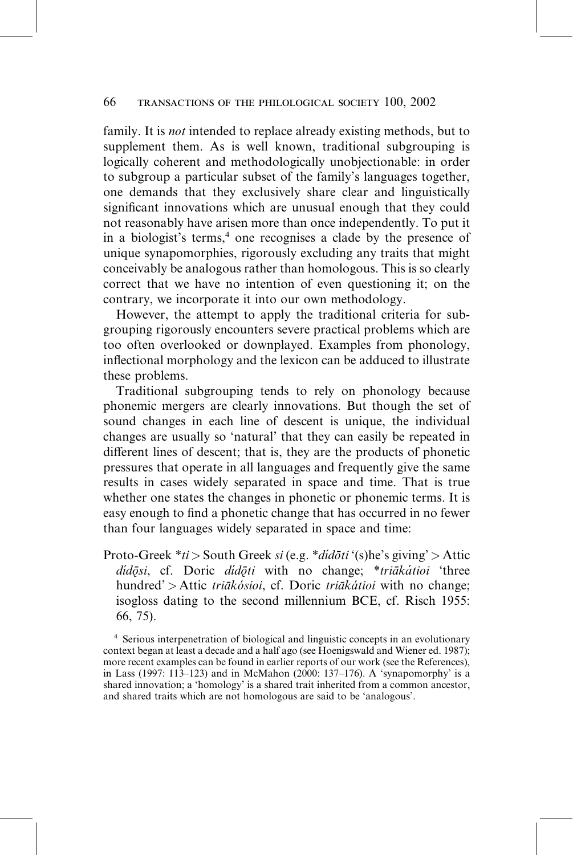family. It is *not* intended to replace already existing methods, but to supplement them. As is well known, traditional subgrouping is logically coherent and methodologically unobjectionable: in order to subgroup a particular subset of the family's languages together, one demands that they exclusively share clear and linguistically significant innovations which are unusual enough that they could not reasonably have arisen more than once independently. To put it in a biologist's terms,<sup>4</sup> one recognises a clade by the presence of unique synapomorphies, rigorously excluding any traits that might conceivably be analogous rather than homologous. This is so clearly correct that we have no intention of even questioning it; on the contrary, we incorporate it into our own methodology.

However, the attempt to apply the traditional criteria for subgrouping rigorously encounters severe practical problems which are too often overlooked or downplayed. Examples from phonology, inflectional morphology and the lexicon can be adduced to illustrate these problems.

Traditional subgrouping tends to rely on phonology because phonemic mergers are clearly innovations. But though the set of sound changes in each line of descent is unique, the individual changes are usually so 'natural' that they can easily be repeated in different lines of descent; that is, they are the products of phonetic pressures that operate in all languages and frequently give the same results in cases widely separated in space and time. That is true whether one states the changes in phonetic or phonemic terms. It is easy enough to find a phonetic change that has occurred in no fewer than four languages widely separated in space and time:

Proto-Greek \*ti > South Greek si (e.g. \*didōti '(s)he's giving' > Attic didōsi, cf. Doric didōti with no change; \*triākátioi 'three hundred' > Attic *triākósioi*, cf. Doric *triākátioi* with no change; isogloss dating to the second millennium BCE, cf. Risch 1955:  $66, 75$ ).

<sup>4</sup> Serious interpenetration of biological and linguistic concepts in an evolutionary context began at least a decade and a half ago (see Hoenigswald and Wiener ed. 1987); more recent examples can be found in earlier reports of our work (see the References). in Lass (1997: 113–123) and in McMahon (2000: 137–176). A 'synapomorphy' is a shared innovation; a 'homology' is a shared trait inherited from a common ancestor, and shared traits which are not homologous are said to be 'analogous'.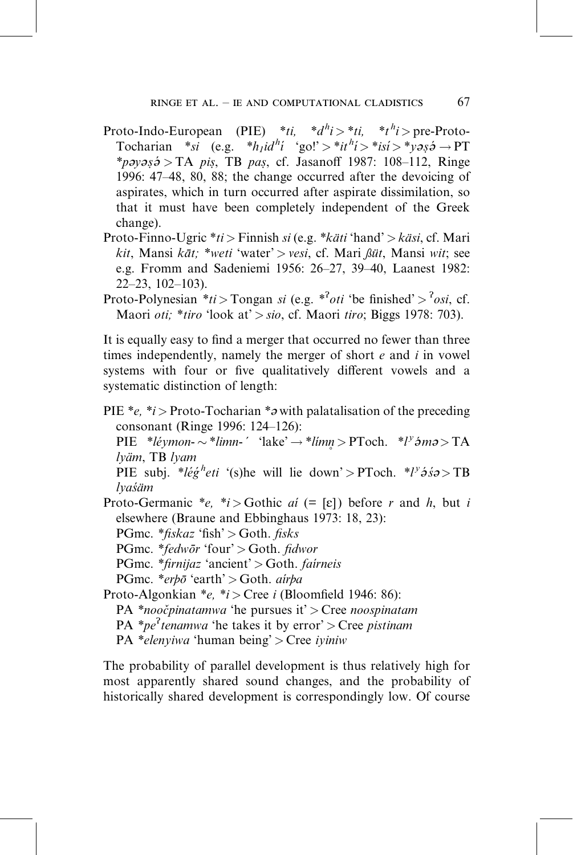- Proto-Indo-European (PIE)  $*ti$ ,  $*d<sup>h</sup>i> > *ti$ ,  $*t<sup>h</sup>i> > pre-Proto-$ Tocharian \*si (e.g. \*h<sub>1</sub>id<sup>h</sup>i 'go!' > \*it<sup>h</sup>i > \*isi > \*y as a -> PT \*p $\sigma y \rightarrow \sigma s$  > TA pis, TB pas, cf. Jasanoff 1987: 108-112, Ringe 1996: 47–48, 80, 88; the change occurred after the devoicing of aspirates, which in turn occurred after aspirate dissimilation, so that it must have been completely independent of the Greek change).
- Proto-Finno-Ugric  $*ti$  > Finnish si (e.g.  $*k\ddot{a}ti$  'hand' > käsi, cf. Mari *kit*, Mansi *kāt*; \**weti* 'water' > *vesi*, cf. Mari  $\beta$ *üt*, Mansi *wit*; see e.g. Fromm and Sadeniemi 1956: 26-27, 39-40, Laanest 1982:  $22 - 23$ ,  $102 - 103$ ).
- Proto-Polynesian \*ti > Tongan si (e.g. \*  $^{2}$ oti 'be finished' >  $^{2}$ osi, cf. Maori *oti*; \**tiro* 'look at' > *sio*, cf. Maori *tiro*; Biggs 1978: 703).

It is equally easy to find a merger that occurred no fewer than three times independently, namely the merger of short e and i in vowel systems with four or five qualitatively different vowels and a systematic distinction of length:

- PIE \*e, \*i > Proto-Tocharian \*a with palatalisation of the preceding consonant (Ringe 1996: 124–126): PIE \*lévmon- $\sim$ \*limn-' 'lake' $\rightarrow$ \*limn > PToch. \*l<sup>y</sup> əmə > TA lväm, TB lvam PIE subj. \* $\ell \varepsilon g^h e t i$  '(s) he will lie down' > PToch. \* $\ell^y \varepsilon \varepsilon s$  > TB lvašäm Proto-Germanic \*e, \*i > Gothic ai (= [ε]) before r and h, but i elsewhere (Braune and Ebbinghaus 1973: 18, 23):
	- PGmc. \* $fiskaz$  'fish' > Goth.  $fisks$
	- PGmc. \*fedwōr 'four' > Goth. fidwor

PGmc. \* firnijaz 'ancient' > Goth. fairneis

PGmc. \*erbō 'earth' > Goth.  $airba$ 

Proto-Algonkian  $e$ ,  $\overline{e}$  i  $\geq$  Cree *i* (Bloomfield 1946: 86):  $PA * noo\check{c}pinatamwa$  'he pursues it' > Cree noospinatam PA \* $pe^2$ tenamwa 'he takes it by error' > Cree *pistinam*  $PA *$ *elenviwa* 'human being' > Cree *iviniw* 

The probability of parallel development is thus relatively high for most apparently shared sound changes, and the probability of historically shared development is correspondingly low. Of course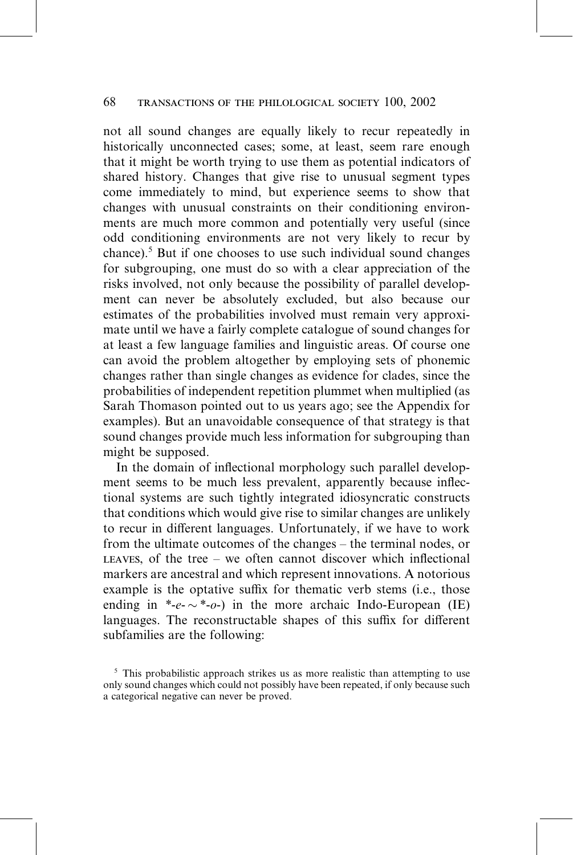not all sound changes are equally likely to recur repeatedly in historically unconnected cases; some, at least, seem rare enough that it might be worth trying to use them as potential indicators of shared history. Changes that give rise to unusual segment types come immediately to mind, but experience seems to show that changes with unusual constraints on their conditioning environments are much more common and potentially very useful (since odd conditioning environments are not very likely to recur by chance).<sup>5</sup> But if one chooses to use such individual sound changes for subgrouping, one must do so with a clear appreciation of the risks involved, not only because the possibility of parallel development can never be absolutely excluded, but also because our estimates of the probabilities involved must remain very approximate until we have a fairly complete catalogue of sound changes for at least a few language families and linguistic areas. Of course one can avoid the problem altogether by employing sets of phonemic changes rather than single changes as evidence for clades, since the probabilities of independent repetition plummet when multiplied (as Sarah Thomason pointed out to us years ago; see the Appendix for examples). But an unavoidable consequence of that strategy is that sound changes provide much less information for subgrouping than might be supposed.

In the domain of inflectional morphology such parallel development seems to be much less prevalent, apparently because inflectional systems are such tightly integrated idiosyncratic constructs that conditions which would give rise to similar changes are unlikely to recur in different languages. Unfortunately, if we have to work from the ultimate outcomes of the changes – the terminal nodes, or LEAVES, of the tree – we often cannot discover which inflectional markers are ancestral and which represent innovations. A notorious example is the optative suffix for thematic verb stems (i.e., those ending in  $*_{-e^-} \sim *_{-o^-}$  in the more archaic Indo-European (IE) languages. The reconstructable shapes of this suffix for different subfamilies are the following:

<sup>&</sup>lt;sup>5</sup> This probabilistic approach strikes us as more realistic than attempting to use only sound changes which could not possibly have been repeated, if only because such a categorical negative can never be proved.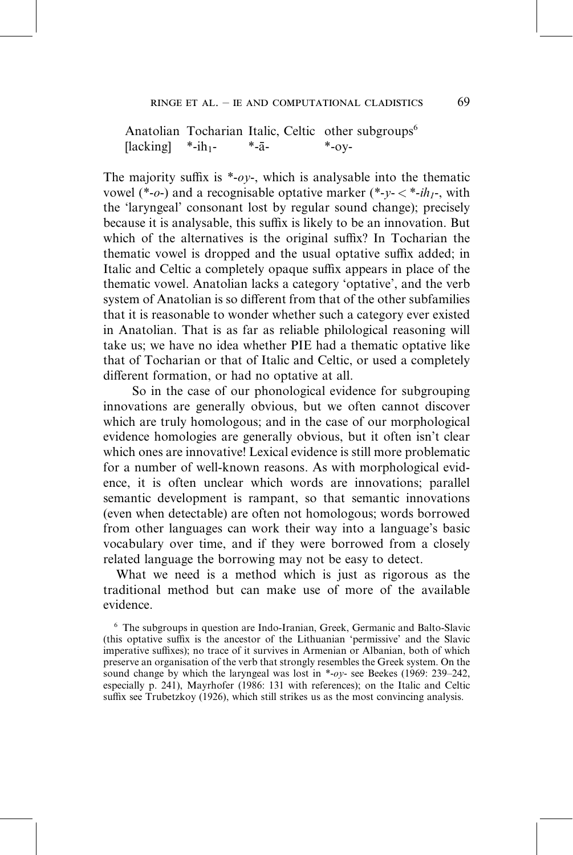Anatolian Tocharian Italic, Celtic other subgroups<sup>6</sup>  $[lacking]$  \*-ih<sub>1</sub>- $\overline{\ }$ -ā- $*-ov-$ 

The majority suffix is  $*$ -ov-, which is analyzable into the thematic vowel (\*- $o$ -) and a recognisable optative marker (\*- $v$ - $\lt$ \*- $ih_1$ -, with the 'laryngeal' consonant lost by regular sound change); precisely because it is analysable, this suffix is likely to be an innovation. But which of the alternatives is the original suffix? In Tocharian the thematic vowel is dropped and the usual optative suffix added: in Italic and Celtic a completely opaque suffix appears in place of the thematic vowel. Anatolian lacks a category 'optative', and the verb system of Anatolian is so different from that of the other subfamilies that it is reasonable to wonder whether such a category ever existed in Anatolian. That is as far as reliable philological reasoning will take us; we have no idea whether PIE had a thematic optative like that of Tocharian or that of Italic and Celtic, or used a completely different formation, or had no optative at all.

So in the case of our phonological evidence for subgrouping innovations are generally obvious, but we often cannot discover which are truly homologous; and in the case of our morphological evidence homologies are generally obvious, but it often isn't clear which ones are innovative! Lexical evidence is still more problematic for a number of well-known reasons. As with morphological evidence, it is often unclear which words are innovations; parallel semantic development is rampant, so that semantic innovations (even when detectable) are often not homologous; words borrowed from other languages can work their way into a language's basic vocabulary over time, and if they were borrowed from a closely related language the borrowing may not be easy to detect.

What we need is a method which is just as rigorous as the traditional method but can make use of more of the available evidence

<sup>6</sup> The subgroups in question are Indo-Iranian, Greek, Germanic and Balto-Slavic (this optative suffix is the ancestor of the Lithuanian 'permissive' and the Slavic imperative suffixes): no trace of it survives in Armenian or Albanian, both of which preserve an organisation of the verb that strongly resembles the Greek system. On the sound change by which the laryngeal was lost in  $*$ -oy- see Beekes (1969: 239–242, especially p. 241), Mayrhofer (1986: 131 with references); on the Italic and Celtic suffix see Trubetzkoy (1926), which still strikes us as the most convincing analysis.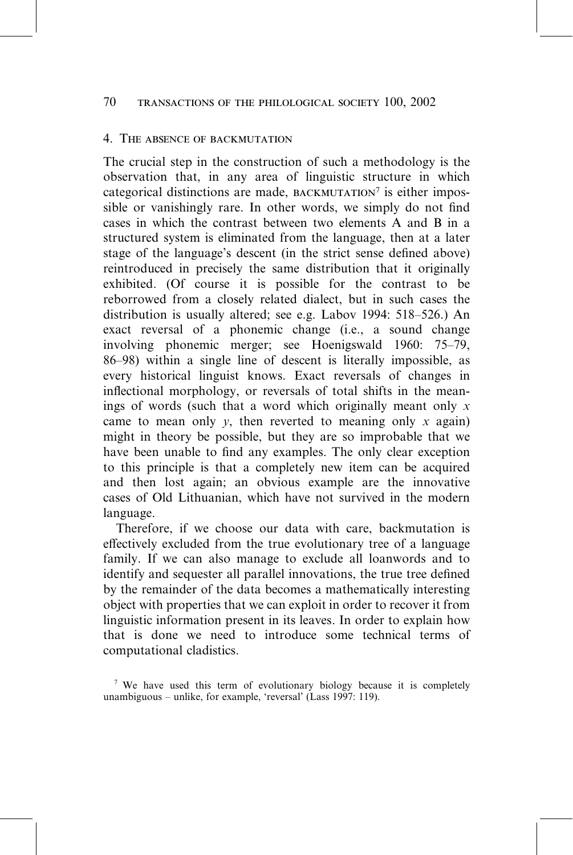#### 4. THE ABSENCE OF BACKMUTATION

The crucial step in the construction of such a methodology is the observation that, in any area of linguistic structure in which categorical distinctions are made,  $BACKMUTATION<sup>7</sup>$  is either impossible or vanishingly rare. In other words, we simply do not find cases in which the contrast between two elements A and B in a structured system is eliminated from the language, then at a later stage of the language's descent (in the strict sense defined above) reintroduced in precisely the same distribution that it originally exhibited. (Of course it is possible for the contrast to be reborrowed from a closely related dialect, but in such cases the distribution is usually altered; see e.g. Labov 1994: 518–526.) An exact reversal of a phonemic change (i.e., a sound change involving phonemic merger; see Hoenigswald 1960: 75–79, 86–98) within a single line of descent is literally impossible, as every historical linguist knows. Exact reversals of changes in inflectional morphology, or reversals of total shifts in the meanings of words (such that a word which originally meant only  $x$ came to mean only  $y$ , then reverted to meaning only  $x$  again) might in theory be possible, but they are so improbable that we have been unable to find any examples. The only clear exception to this principle is that a completely new item can be acquired and then lost again; an obvious example are the innovative cases of Old Lithuanian, which have not survived in the modern language.

Therefore, if we choose our data with care, backmutation is effectively excluded from the true evolutionary tree of a language family. If we can also manage to exclude all loanwords and to identify and sequester all parallel innovations, the true tree defined by the remainder of the data becomes a mathematically interesting object with properties that we can exploit in order to recover it from linguistic information present in its leaves. In order to explain how that is done we need to introduce some technical terms of computational cladistics.

<sup>&</sup>lt;sup>7</sup> We have used this term of evolutionary biology because it is completely unambiguous – unlike, for example, 'reversal' (Lass 1997: 119).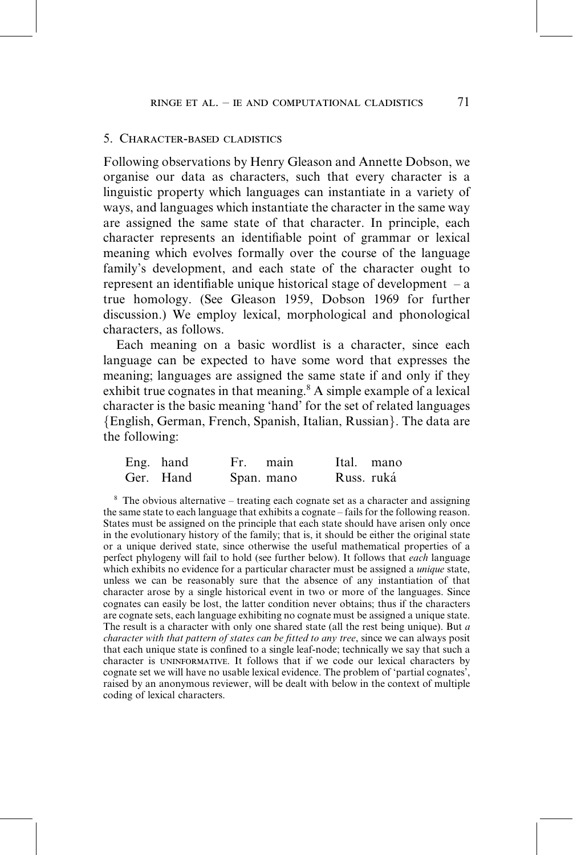#### 5. CHARACTER-BASED CLADISTICS

Following observations by Henry Gleason and Annette Dobson, we organise our data as characters, such that every character is a linguistic property which languages can instantiate in a variety of ways, and languages which instantiate the character in the same way are assigned the same state of that character. In principle, each character represents an identifiable point of grammar or lexical meaning which evolves formally over the course of the language family's development, and each state of the character ought to represent an identifiable unique historical stage of development  $-a$ true homology. (See Gleason 1959, Dobson 1969 for further discussion.) We employ lexical, morphological and phonological characters, as follows.

Each meaning on a basic wordlist is a character, since each language can be expected to have some word that expresses the meaning; languages are assigned the same state if and only if they exhibit true cognates in that meaning.<sup>8</sup> A simple example of a lexical character is the basic meaning 'hand' for the set of related languages {English, German, French, Spanish, Italian, Russian}. The data are the following:

| Eng. hand | Fr. main |            |            | Ital. mano |
|-----------|----------|------------|------------|------------|
| Ger. Hand |          | Span. mano | Russ. ruká |            |

 $8\text{ }$  The obvious alternative – treating each cognate set as a character and assigning the same state to each language that exhibits a cognate – fails for the following reason. States must be assigned on the principle that each state should have arisen only once in the evolutionary history of the family; that is, it should be either the original state or a unique derived state, since otherwise the useful mathematical properties of a perfect phylogeny will fail to hold (see further below). It follows that each language which exhibits no evidence for a particular character must be assigned a *unique* state, unless we can be reasonably sure that the absence of any instantiation of that character arose by a single historical event in two or more of the languages. Since cognates can easily be lost, the latter condition never obtains; thus if the characters are cognate sets, each language exhibiting no cognate must be assigned a unique state. The result is a character with only one shared state (all the rest being unique). But a character with that pattern of states can be fitted to any tree, since we can always posit that each unique state is confined to a single leaf-node; technically we say that such a character is UNINFORMATIVE. It follows that if we code our lexical characters by cognate set we will have no usable lexical evidence. The problem of 'partial cognates', raised by an anonymous reviewer, will be dealt with below in the context of multiple coding of lexical characters.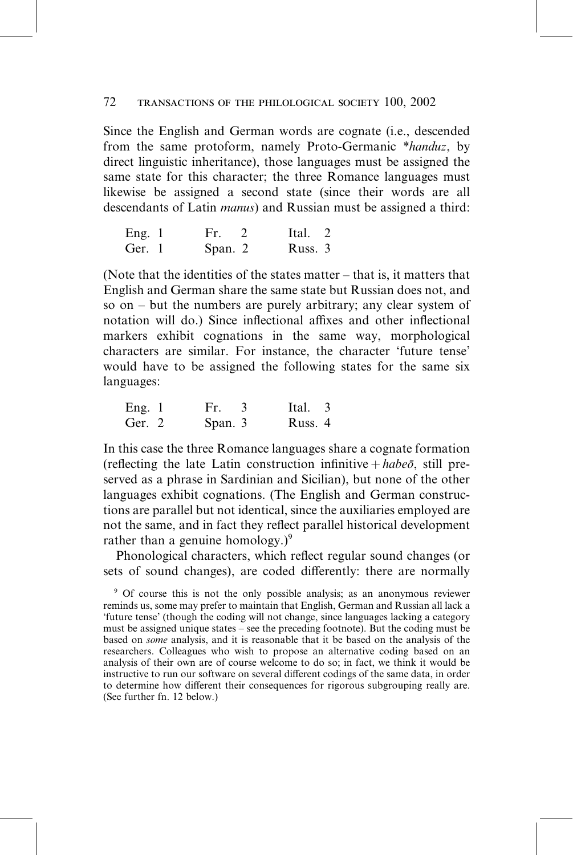Since the English and German words are cognate (i.e., descended from the same protoform, namely Proto-Germanic \*handuz, by direct linguistic inheritance), those languages must be assigned the same state for this character; the three Romance languages must likewise be assigned a second state (since their words are all descendants of Latin *manus*) and Russian must be assigned a third:

| Eng. $1$ | Fr. 2   | Ital. 2 |  |
|----------|---------|---------|--|
| Ger. 1   | Span. 2 | Russ. 3 |  |

(Note that the identities of the states matter  $-$  that is, it matters that English and German share the same state but Russian does not, and so on  $-$  but the numbers are purely arbitrary; any clear system of notation will do.) Since inflectional affixes and other inflectional markers exhibit cognations in the same way, morphological characters are similar. For instance, the character 'future tense' would have to be assigned the following states for the same six languages:

| Eng. $1$ | Fr. 3   | Ital. 3 |  |
|----------|---------|---------|--|
| Ger. 2   | Span. 3 | Russ. 4 |  |

In this case the three Romance languages share a cognate formation (reflecting the late Latin construction infinitive + habeo, still preserved as a phrase in Sardinian and Sicilian), but none of the other languages exhibit cognations. (The English and German constructions are parallel but not identical, since the auxiliaries employed are not the same, and in fact they reflect parallel historical development rather than a genuine homology.)<sup>9</sup>

Phonological characters, which reflect regular sound changes (or sets of sound changes), are coded differently: there are normally

<sup>9</sup> Of course this is not the only possible analysis; as an anonymous reviewer reminds us, some may prefer to maintain that English, German and Russian all lack a 'future tense' (though the coding will not change, since languages lacking a category must be assigned unique states – see the preceding footnote). But the coding must be based on *some* analysis, and it is reasonable that it be based on the analysis of the researchers. Colleagues who wish to propose an alternative coding based on an analysis of their own are of course welcome to do so; in fact, we think it would be instructive to run our software on several different codings of the same data, in order to determine how different their consequences for rigorous subgrouping really are. (See further fn. 12 below.)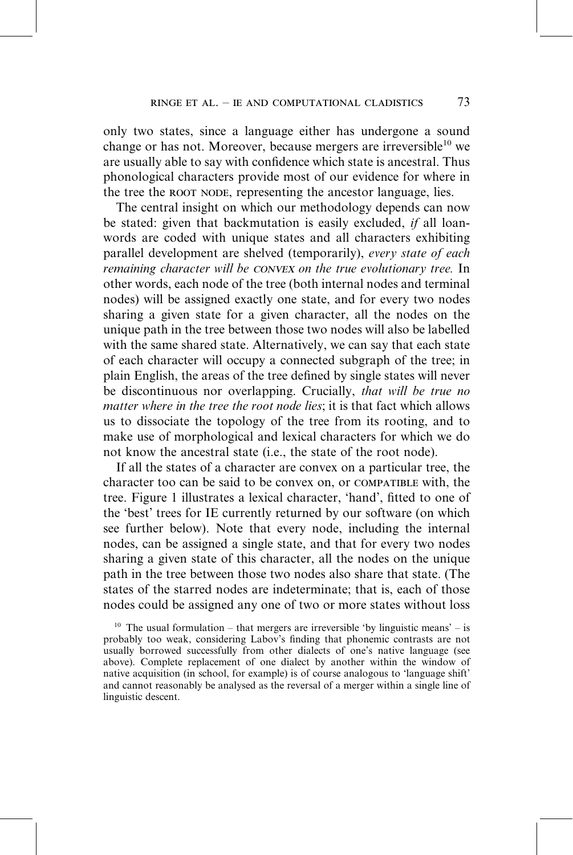only two states, since a language either has undergone a sound change or has not. Moreover, because mergers are irreversible<sup>10</sup> we are usually able to say with confidence which state is ancestral. Thus phonological characters provide most of our evidence for where in the tree the ROOT NODE, representing the ancestor language, lies.

The central insight on which our methodology depends can now be stated: given that backmutation is easily excluded, if all loanwords are coded with unique states and all characters exhibiting parallel development are shelved (temporarily), every state of each remaining character will be CONVEX on the true evolutionary tree. In other words, each node of the tree (both internal nodes and terminal nodes) will be assigned exactly one state, and for every two nodes sharing a given state for a given character, all the nodes on the unique path in the tree between those two nodes will also be labelled with the same shared state. Alternatively, we can say that each state of each character will occupy a connected subgraph of the tree; in plain English, the areas of the tree defined by single states will never be discontinuous nor overlapping. Crucially, that will be true no *matter where in the tree the root node lies; it is that fact which allows* us to dissociate the topology of the tree from its rooting, and to make use of morphological and lexical characters for which we do not know the ancestral state (i.e., the state of the root node).

If all the states of a character are convex on a particular tree, the character too can be said to be convex on, or COMPATIBLE with, the tree. Figure 1 illustrates a lexical character, 'hand', fitted to one of the 'best' trees for IE currently returned by our software (on which see further below). Note that every node, including the internal nodes, can be assigned a single state, and that for every two nodes sharing a given state of this character, all the nodes on the unique path in the tree between those two nodes also share that state. (The states of the starred nodes are indeterminate: that is, each of those nodes could be assigned any one of two or more states without loss

<sup>10</sup> The usual formulation – that mergers are irreversible 'by linguistic means' – is probably too weak, considering Labov's finding that phonemic contrasts are not usually borrowed successfully from other dialects of one's native language (see above). Complete replacement of one dialect by another within the window of native acquisition (in school, for example) is of course analogous to 'language shift' and cannot reasonably be analysed as the reversal of a merger within a single line of linguistic descent.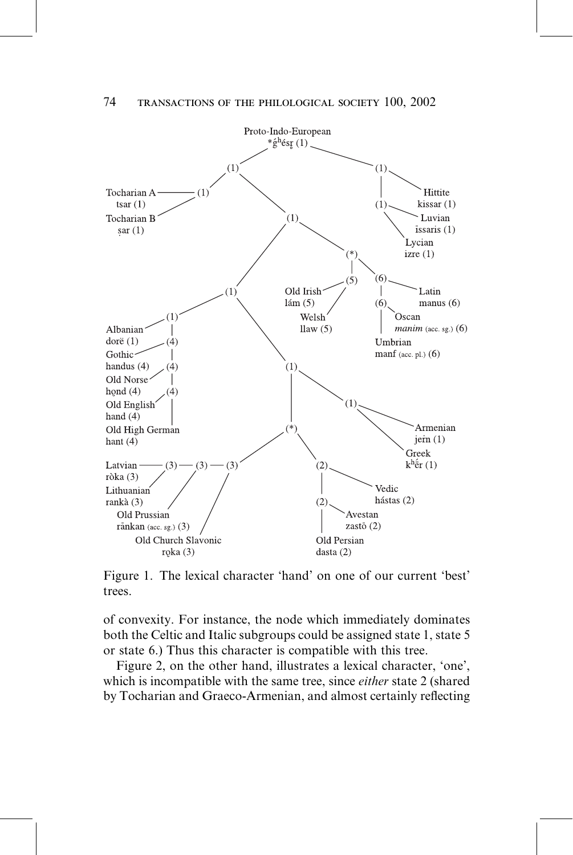

Figure 1. The lexical character 'hand' on one of our current 'best' trees.

of convexity. For instance, the node which immediately dominates both the Celtic and Italic subgroups could be assigned state 1, state 5 or state 6.) Thus this character is compatible with this tree.

Figure 2, on the other hand, illustrates a lexical character, 'one', which is incompatible with the same tree, since *either* state 2 (shared by Tocharian and Graeco-Armenian, and almost certainly reflecting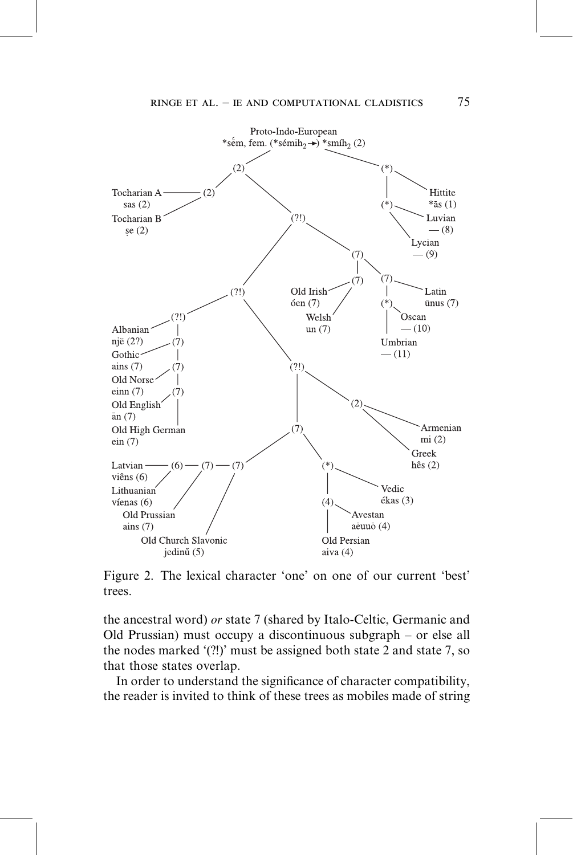

Figure 2. The lexical character 'one' on one of our current 'best' trees.

the ancestral word) or state 7 (shared by Italo-Celtic, Germanic and Old Prussian) must occupy a discontinuous subgraph  $-$  or else all the nodes marked '(?!)' must be assigned both state 2 and state 7, so that those states overlap.

In order to understand the significance of character compatibility, the reader is invited to think of these trees as mobiles made of string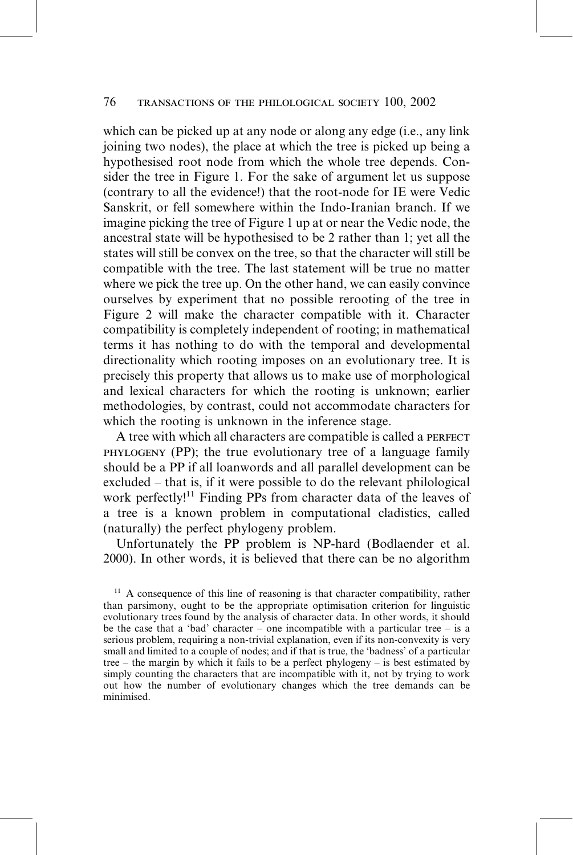which can be picked up at any node or along any edge (i.e., any link joining two nodes), the place at which the tree is picked up being a hypothesised root node from which the whole tree depends. Consider the tree in Figure 1. For the sake of argument let us suppose (contrary to all the evidence!) that the root-node for IE were Vedic Sanskrit, or fell somewhere within the Indo-Iranian branch. If we imagine picking the tree of Figure 1 up at or near the Vedic node, the ancestral state will be hypothesised to be 2 rather than 1; yet all the states will still be convex on the tree, so that the character will still be compatible with the tree. The last statement will be true no matter where we pick the tree up. On the other hand, we can easily convince ourselves by experiment that no possible rerooting of the tree in Figure 2 will make the character compatible with it. Character compatibility is completely independent of rooting; in mathematical terms it has nothing to do with the temporal and developmental directionality which rooting imposes on an evolutionary tree. It is precisely this property that allows us to make use of morphological and lexical characters for which the rooting is unknown; earlier methodologies, by contrast, could not accommodate characters for which the rooting is unknown in the inference stage.

A tree with which all characters are compatible is called a PERFECT PHYLOGENY (PP); the true evolutionary tree of a language family should be a PP if all loanwords and all parallel development can be excluded – that is, if it were possible to do the relevant philological work perfectly!<sup>11</sup> Finding PPs from character data of the leaves of a tree is a known problem in computational cladistics, called (naturally) the perfect phylogeny problem.

Unfortunately the PP problem is NP-hard (Bodlaender et al. 2000). In other words, it is believed that there can be no algorithm

<sup>11</sup> A consequence of this line of reasoning is that character compatibility, rather than parsimony, ought to be the appropriate optimisation criterion for linguistic evolutionary trees found by the analysis of character data. In other words, it should be the case that a 'bad' character – one incompatible with a particular tree – is a serious problem, requiring a non-trivial explanation, even if its non-convexity is very small and limited to a couple of nodes; and if that is true, the 'badness' of a particular tree – the margin by which it fails to be a perfect phylogeny – is best estimated by simply counting the characters that are incompatible with it, not by trying to work out how the number of evolutionary changes which the tree demands can be minimised.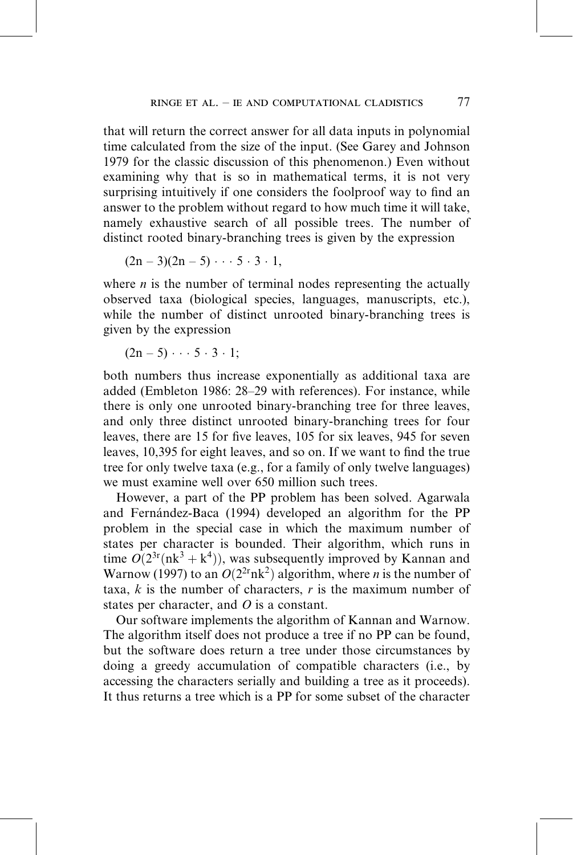that will return the correct answer for all data inputs in polynomial time calculated from the size of the input. (See Garey and Johnson 1979 for the classic discussion of this phenomenon.) Even without examining why that is so in mathematical terms, it is not very surprising intuitively if one considers the foolproof way to find an answer to the problem without regard to how much time it will take. namely exhaustive search of all possible trees. The number of distinct rooted binary-branching trees is given by the expression

$$
(2n-3)(2n-5)\cdot\cdot\cdot 5\cdot 3\cdot 1,
$$

where  $n$  is the number of terminal nodes representing the actually observed taxa (biological species, languages, manuscripts, etc.), while the number of distinct unrooted binary-branching trees is given by the expression

$$
(2n-5)\cdot\cdot\cdot 5\cdot 3\cdot 1;
$$

both numbers thus increase exponentially as additional taxa are added (Embleton 1986: 28–29 with references). For instance, while there is only one unrooted binary-branching tree for three leaves, and only three distinct unrooted binary-branching trees for four leaves, there are 15 for five leaves, 105 for six leaves, 945 for seven leaves, 10,395 for eight leaves, and so on. If we want to find the true tree for only twelve taxa (e.g., for a family of only twelve languages) we must examine well over 650 million such trees.

However, a part of the PP problem has been solved. Agarwala and Fernández-Baca (1994) developed an algorithm for the PP problem in the special case in which the maximum number of states per character is bounded. Their algorithm, which runs in time  $O(2^{3r} (nk^3 + k^4))$ , was subsequently improved by Kannan and Warnow (1997) to an  $O(2^{2r}nk^2)$  algorithm, where *n* is the number of taxa,  $k$  is the number of characters,  $r$  is the maximum number of states per character, and  $O$  is a constant.

Our software implements the algorithm of Kannan and Warnow. The algorithm itself does not produce a tree if no PP can be found, but the software does return a tree under those circumstances by doing a greedy accumulation of compatible characters (i.e., by accessing the characters serially and building a tree as it proceeds). It thus returns a tree which is a PP for some subset of the character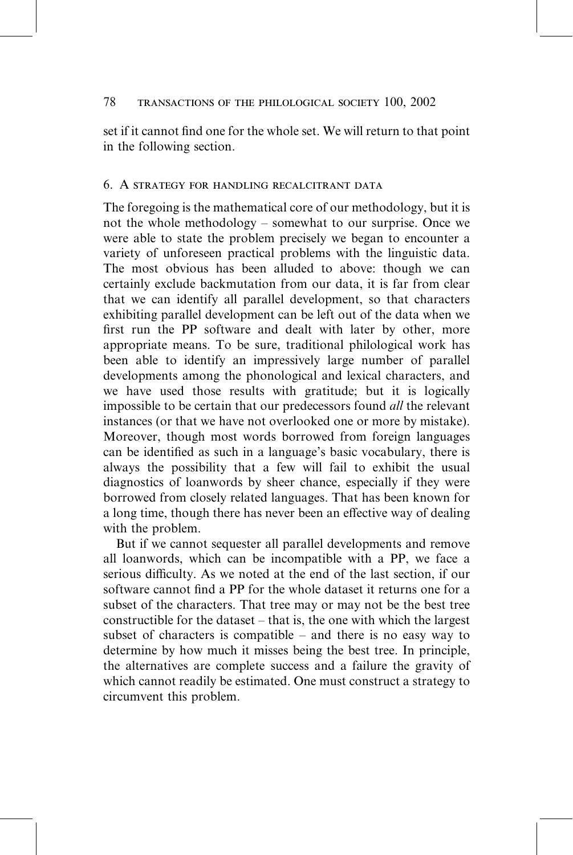#### 78 TRANSACTIONS OF THE PHILOLOGICAL SOCIETY 100, 2002

set if it cannot find one for the whole set. We will return to that point in the following section.

#### 6. A STRATEGY FOR HANDLING RECALCITRANT DATA

The foregoing is the mathematical core of our methodology, but it is not the whole methodology – somewhat to our surprise. Once we were able to state the problem precisely we began to encounter a variety of unforeseen practical problems with the linguistic data. The most obvious has been alluded to above: though we can certainly exclude backmutation from our data, it is far from clear that we can identify all parallel development, so that characters exhibiting parallel development can be left out of the data when we first run the PP software and dealt with later by other, more appropriate means. To be sure, traditional philological work has been able to identify an impressively large number of parallel developments among the phonological and lexical characters, and we have used those results with gratitude; but it is logically impossible to be certain that our predecessors found all the relevant instances (or that we have not overlooked one or more by mistake). Moreover, though most words borrowed from foreign languages can be identified as such in a language's basic vocabulary, there is always the possibility that a few will fail to exhibit the usual diagnostics of loanwords by sheer chance, especially if they were borrowed from closely related languages. That has been known for a long time, though there has never been an effective way of dealing with the problem.

But if we cannot sequester all parallel developments and remove all loanwords, which can be incompatible with a PP, we face a serious difficulty. As we noted at the end of the last section, if our software cannot find a PP for the whole dataset it returns one for a subset of the characters. That tree may or may not be the best tree constructible for the dataset  $-$  that is, the one with which the largest subset of characters is compatible  $-$  and there is no easy way to determine by how much it misses being the best tree. In principle, the alternatives are complete success and a failure the gravity of which cannot readily be estimated. One must construct a strategy to circumvent this problem.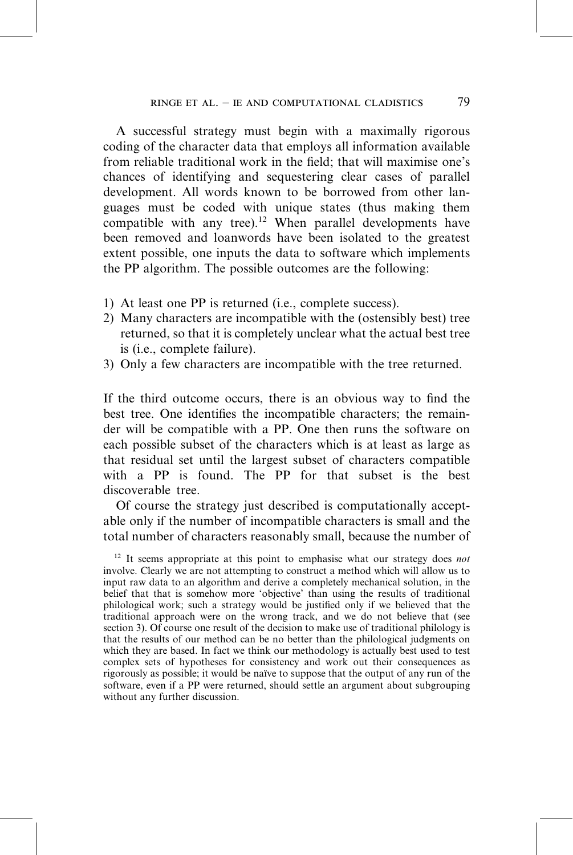A successful strategy must begin with a maximally rigorous coding of the character data that employs all information available from reliable traditional work in the field: that will maximise one's chances of identifying and sequestering clear cases of parallel development. All words known to be borrowed from other languages must be coded with unique states (thus making them compatible with any tree).<sup>12</sup> When parallel developments have been removed and loanwords have been isolated to the greatest extent possible, one inputs the data to software which implements the PP algorithm. The possible outcomes are the following:

- 1) At least one PP is returned (i.e., complete success).
- 2) Many characters are incompatible with the (ostensibly best) tree returned, so that it is completely unclear what the actual best tree is (*i.e.*, complete failure).
- 3) Only a few characters are incompatible with the tree returned.

If the third outcome occurs, there is an obvious way to find the best tree. One identifies the incompatible characters; the remainder will be compatible with a PP. One then runs the software on each possible subset of the characters which is at least as large as that residual set until the largest subset of characters compatible with a PP is found. The PP for that subset is the best discoverable tree.

Of course the strategy just described is computationally acceptable only if the number of incompatible characters is small and the total number of characters reasonably small, because the number of

<sup>&</sup>lt;sup>12</sup> It seems appropriate at this point to emphasise what our strategy does not involve. Clearly we are not attempting to construct a method which will allow us to input raw data to an algorithm and derive a completely mechanical solution, in the belief that that is somehow more 'objective' than using the results of traditional philological work; such a strategy would be justified only if we believed that the traditional approach were on the wrong track, and we do not believe that (see section 3). Of course one result of the decision to make use of traditional philology is that the results of our method can be no better than the philological judgments on which they are based. In fact we think our methodology is actually best used to test complex sets of hypotheses for consistency and work out their consequences as rigorously as possible; it would be naïve to suppose that the output of any run of the software, even if a PP were returned, should settle an argument about subgrouping without any further discussion.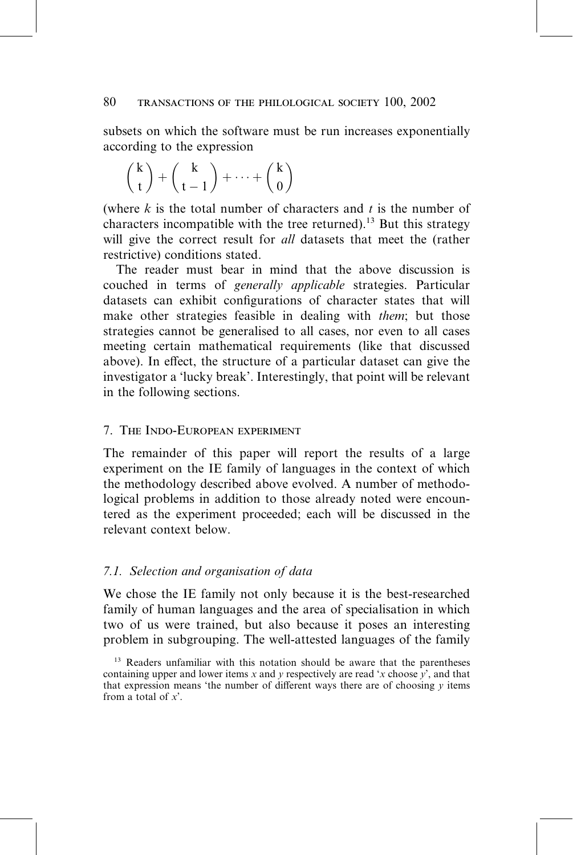subsets on which the software must be run increases exponentially according to the expression

$$
\binom{k}{t} + \binom{k}{t-1} + \dots + \binom{k}{0}
$$

(where  $k$  is the total number of characters and  $t$  is the number of characters incompatible with the tree returned).<sup>13</sup> But this strategy will give the correct result for *all* datasets that meet the (rather restrictive) conditions stated.

The reader must bear in mind that the above discussion is couched in terms of *generally applicable* strategies. Particular datasets can exhibit configurations of character states that will make other strategies feasible in dealing with *them*; but those strategies cannot be generalised to all cases, nor even to all cases meeting certain mathematical requirements (like that discussed above). In effect, the structure of a particular dataset can give the investigator a 'lucky break'. Interestingly, that point will be relevant in the following sections.

### 7 THE INDO-EUROPEAN EXPERIMENT

The remainder of this paper will report the results of a large experiment on the IE family of languages in the context of which the methodology described above evolved. A number of methodological problems in addition to those already noted were encountered as the experiment proceeded; each will be discussed in the relevant context below.

### 7.1. Selection and organisation of data

We chose the IE family not only because it is the best-researched family of human languages and the area of specialisation in which two of us were trained, but also because it poses an interesting problem in subgrouping. The well-attested languages of the family

<sup>&</sup>lt;sup>13</sup> Readers unfamiliar with this notation should be aware that the parentheses containing upper and lower items x and y respectively are read 'x choose  $y$ ', and that that expression means 'the number of different ways there are of choosing  $\nu$  items from a total of  $x'$ .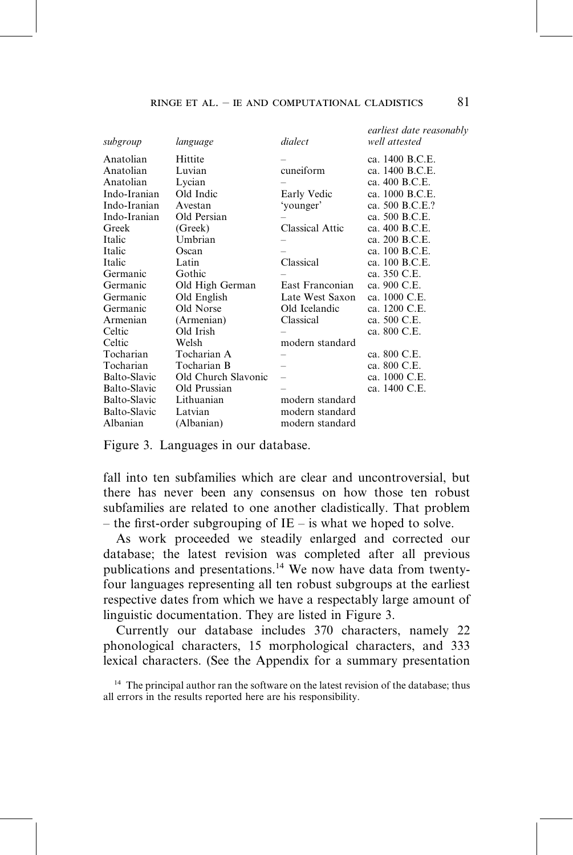| subgroup     | language            | dialect                | earliest date reasonably<br>well attested |
|--------------|---------------------|------------------------|-------------------------------------------|
| Anatolian    | Hittite             |                        | ca. 1400 B.C.E.                           |
| Anatolian    | Luvian              | cuneiform              | ca. 1400 B.C.E.                           |
| Anatolian    | Lycian              |                        | ca. 400 B.C.E.                            |
| Indo-Iranian | Old Indic           | Early Vedic            | ca. 1000 B.C.E.                           |
| Indo-Iranian | Avestan             | 'younger'              | ca. 500 B.C.E.?                           |
| Indo-Iranian | Old Persian         |                        | ca. 500 B.C.E.                            |
| Greek        | (Greek)             | <b>Classical Attic</b> | ca. 400 B.C.E.                            |
| Italic       | Umbrian             |                        | ca. 200 B.C.E.                            |
| Italic       | Oscan               |                        | ca. 100 B.C.E.                            |
| Italic       | Latin               | Classical              | ca. 100 B.C.E.                            |
| Germanic     | Gothic              |                        | ca. 350 C.E.                              |
| Germanic     | Old High German     | East Franconian        | ca. 900 C.E.                              |
| Germanic     | Old English         | Late West Saxon        | ca. 1000 C.E.                             |
| Germanic     | Old Norse           | Old Icelandic          | ca. 1200 C.E.                             |
| Armenian     | (Armenian)          | Classical              | ca. 500 C.E.                              |
| Celtic       | Old Irish           |                        | ca. 800 C.E.                              |
| Celtic       | Welsh               | modern standard        |                                           |
| Tocharian    | Tocharian A         |                        | ca. 800 C.E.                              |
| Tocharian    | Tocharian B         |                        | ca. 800 C.E.                              |
| Balto-Slavic | Old Church Slavonic |                        | ca. 1000 C.E.                             |
| Balto-Slavic | Old Prussian        |                        | ca. 1400 C.E.                             |
| Balto-Slavic | Lithuanian          | modern standard        |                                           |
| Balto-Slavic | Latvian             | modern standard        |                                           |
| Albanian     | (Albanian)          | modern standard        |                                           |
|              |                     |                        |                                           |

Figure 3. Languages in our database.

fall into ten subfamilies which are clear and uncontroversial, but there has never been any consensus on how those ten robust subfamilies are related to one another cladistically. That problem - the first-order subgrouping of IE – is what we hoped to solve.

As work proceeded we steadily enlarged and corrected our database; the latest revision was completed after all previous publications and presentations.<sup>14</sup> We now have data from twentyfour languages representing all ten robust subgroups at the earliest respective dates from which we have a respectably large amount of linguistic documentation. They are listed in Figure 3.

Currently our database includes 370 characters, namely 22 phonological characters, 15 morphological characters, and 333 lexical characters. (See the Appendix for a summary presentation

<sup>14</sup> The principal author ran the software on the latest revision of the database; thus all errors in the results reported here are his responsibility.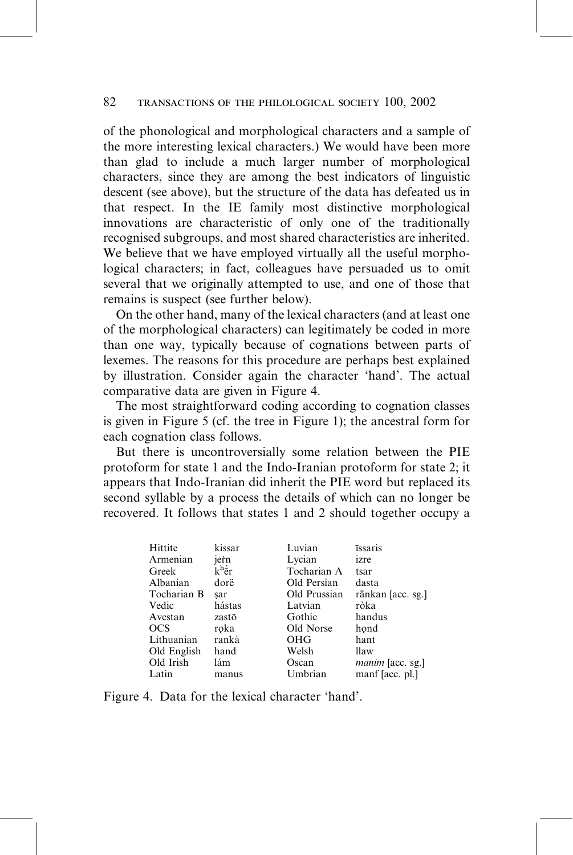of the phonological and morphological characters and a sample of the more interesting lexical characters.) We would have been more than glad to include a much larger number of morphological characters, since they are among the best indicators of linguistic descent (see above), but the structure of the data has defeated us in that respect. In the IE family most distinctive morphological innovations are characteristic of only one of the traditionally recognised subgroups, and most shared characteristics are inherited. We believe that we have employed virtually all the useful morphological characters; in fact, colleagues have persuaded us to omit several that we originally attempted to use, and one of those that remains is suspect (see further below).

On the other hand, many of the lexical characters (and at least one of the morphological characters) can legitimately be coded in more than one way, typically because of cognations between parts of lexemes. The reasons for this procedure are perhaps best explained by illustration. Consider again the character 'hand'. The actual comparative data are given in Figure 4.

The most straightforward coding according to cognation classes is given in Figure 5 (cf. the tree in Figure 1); the ancestral form for each cognation class follows.

But there is uncontroversially some relation between the PIE protoform for state 1 and the Indo-Iranian protoform for state 2: it appears that Indo-Iranian did inherit the PIE word but replaced its second syllable by a process the details of which can no longer be recovered. It follows that states 1 and 2 should together occupy a

|        |                                     | <i>issaris</i>    |
|--------|-------------------------------------|-------------------|
|        | Lycian                              | izre              |
|        | Tocharian A                         | tsar              |
| dorë   | Old Persian                         | dasta             |
| sar    | Old Prussian                        | rānkan [acc. sg.] |
| hástas | Latvian                             | ròka              |
| zastō  | Gothic                              | handus            |
| roka   | Old Norse                           | hond              |
| rankà  | OHG                                 | hant              |
| hand   | Welsh                               | llaw              |
| lám    | Oscan                               | manim [acc. sg.]  |
| manus  | Umbrian                             | manf [acc. pl.]   |
|        | kissar<br>jern<br>k <sup>h</sup> ér | Luvian            |

Figure 4. Data for the lexical character 'hand'.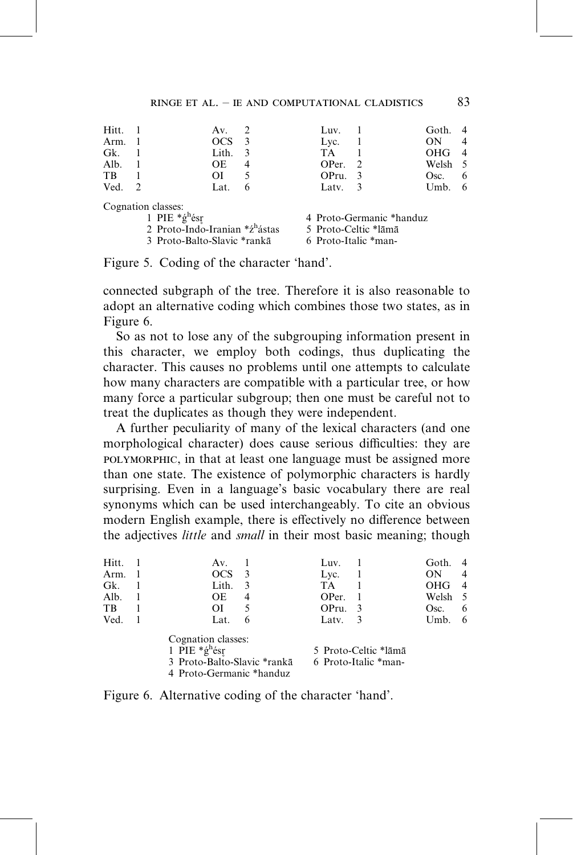| Hitt.                                       |                                  | Av.   |                      | Luv.  |                          | Goth. | $\overline{4}$ |
|---------------------------------------------|----------------------------------|-------|----------------------|-------|--------------------------|-------|----------------|
| Arm.                                        |                                  | OCS   |                      | Lyc.  |                          | OΝ    | 4              |
| Gk.                                         |                                  | Lith. |                      | TA.   |                          | OHG   | 4              |
| Alb.                                        |                                  | OE    | 4                    | OPer. | $\mathcal{D}$            | Welsh | -5             |
| <b>TB</b>                                   |                                  | OІ    |                      | OPru. | 3                        | Osc.  | 6              |
| Ved.                                        |                                  | Lat.  | 6                    | Latv. | 3                        | Umb.  | 6              |
|                                             | Cognation classes:               |       |                      |       |                          |       |                |
|                                             | 1 PIE * $\oint$ <sup>h</sup> ésr |       |                      |       | 4 Proto-Germanic *handuz |       |                |
| 2 Proto-Indo-Iranian * z <sup>h</sup> ástas |                                  |       | 5 Proto-Celtic *lāmā |       |                          |       |                |
|                                             | 3 Proto-Balto-Slavic *rankā      |       |                      |       | 6 Proto-Italic *man-     |       |                |

Figure 5. Coding of the character 'hand'.

connected subgraph of the tree. Therefore it is also reasonable to adopt an alternative coding which combines those two states, as in Figure 6.

So as not to lose any of the subgrouping information present in this character, we employ both codings, thus duplicating the character. This causes no problems until one attempts to calculate how many characters are compatible with a particular tree, or how many force a particular subgroup; then one must be careful not to treat the duplicates as though they were independent.

A further peculiarity of many of the lexical characters (and one morphological character) does cause serious difficulties: they are POLYMORPHIC, in that at least one language must be assigned more than one state. The existence of polymorphic characters is hardly surprising. Even in a language's basic vocabulary there are real synonyms which can be used interchangeably. To cite an obvious modern English example, there is effectively no difference between the adjectives *little* and *small* in their most basic meaning; though

| Hitt. | Av.                                                                                                           |   | Luv.  |                                              | Goth.      | $\overline{4}$ |
|-------|---------------------------------------------------------------------------------------------------------------|---|-------|----------------------------------------------|------------|----------------|
| Arm.  | <b>OCS</b>                                                                                                    | 3 | Lyc.  |                                              | ON         | 4              |
| Gk.   | Lith.                                                                                                         |   | TA.   |                                              | <b>OHG</b> | $\overline{4}$ |
| Alb.  | OE                                                                                                            | 4 | OPer. |                                              | Welsh      | - 5            |
| TB    | ОI                                                                                                            | 5 | OPru. | -3                                           | Osc.       | 6              |
| Ved.  | Lat.                                                                                                          | 6 | Latv. | 3                                            | Umb.       | 6              |
|       | Cognation classes:<br>1 PIE $*$ g <sup>h</sup> ésr<br>3 Proto-Balto-Slavic *rankā<br>4 Proto-Germanic *handuz |   |       | 5 Proto-Celtic *lāmā<br>6 Proto-Italic *man- |            |                |

Figure 6. Alternative coding of the character 'hand'.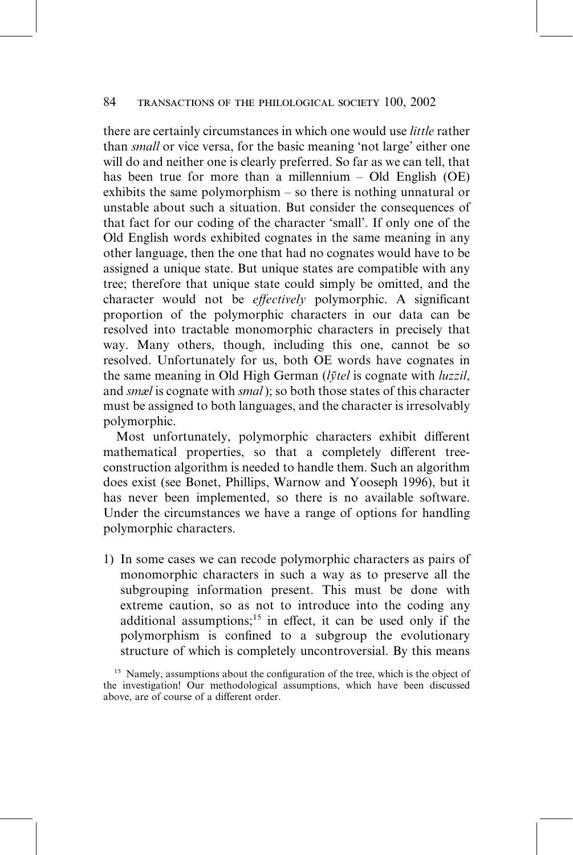there are certainly circumstances in which one would use little rather than *small* or vice versa, for the basic meaning 'not large' either one will do and neither one is clearly preferred. So far as we can tell, that has been true for more than a millennium  $-$  Old English (OE) exhibits the same polymorphism  $-$  so there is nothing unnatural or unstable about such a situation. But consider the consequences of that fact for our coding of the character 'small'. If only one of the Old English words exhibited cognates in the same meaning in any other language, then the one that had no cognates would have to be assigned a unique state. But unique states are compatible with any tree; therefore that unique state could simply be omitted, and the character would not be *effectively* polymorphic. A significant proportion of the polymorphic characters in our data can be resolved into tractable monomorphic characters in precisely that way. Many others, though, including this one, cannot be so resolved. Unfortunately for us, both OE words have cognates in the same meaning in Old High German (lytel is cognate with luzzil, and *smæl* is cognate with *smal*); so both those states of this character must be assigned to both languages, and the character is irresolvably polymorphic.

Most unfortunately, polymorphic characters exhibit different mathematical properties, so that a completely different treeconstruction algorithm is needed to handle them. Such an algorithm does exist (see Bonet, Phillips, Warnow and Yooseph 1996), but it has never been implemented, so there is no available software. Under the circumstances we have a range of options for handling polymorphic characters.

1) In some cases we can recode polymorphic characters as pairs of monomorphic characters in such a way as to preserve all the subgrouping information present. This must be done with extreme caution, so as not to introduce into the coding any additional assumptions;<sup>15</sup> in effect, it can be used only if the polymorphism is confined to a subgroup the evolutionary structure of which is completely uncontroversial. By this means

<sup>&</sup>lt;sup>15</sup> Namely, assumptions about the configuration of the tree, which is the object of the investigation! Our methodological assumptions, which have been discussed above, are of course of a different order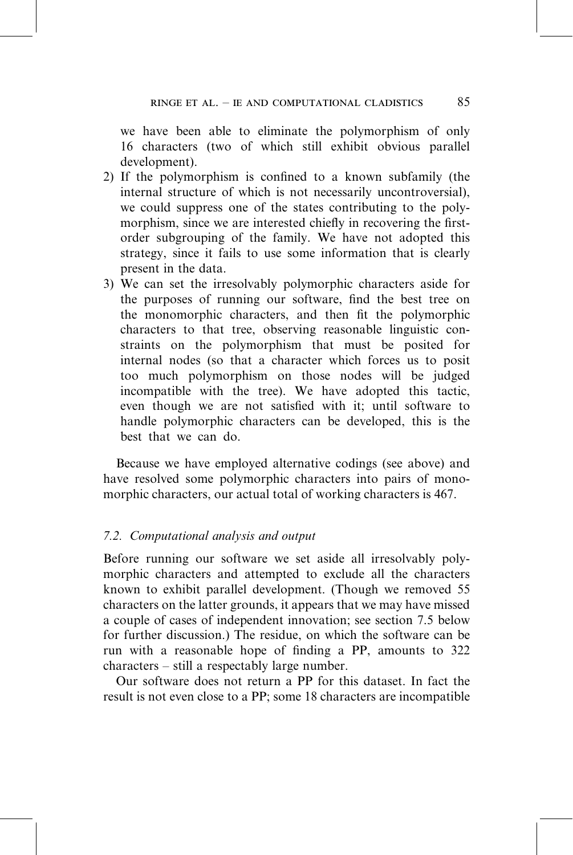we have been able to eliminate the polymorphism of only 16 characters (two of which still exhibit obvious parallel development).

- 2) If the polymorphism is confined to a known subfamily (the internal structure of which is not necessarily uncontroversial). we could suppress one of the states contributing to the polymorphism, since we are interested chiefly in recovering the firstorder subgrouping of the family. We have not adopted this strategy, since it fails to use some information that is clearly present in the data.
- 3) We can set the irresolvably polymorphic characters aside for the purposes of running our software, find the best tree on the monomorphic characters, and then fit the polymorphic characters to that tree, observing reasonable linguistic constraints on the polymorphism that must be posited for internal nodes (so that a character which forces us to posit too much polymorphism on those nodes will be judged incompatible with the tree). We have adopted this tactic, even though we are not satisfied with it; until software to handle polymorphic characters can be developed, this is the best that we can do.

Because we have employed alternative codings (see above) and have resolved some polymorphic characters into pairs of monomorphic characters, our actual total of working characters is 467.

### 7.2. Computational analysis and output

Before running our software we set aside all irresolvably polymorphic characters and attempted to exclude all the characters known to exhibit parallel development. (Though we removed 55 characters on the latter grounds, it appears that we may have missed a couple of cases of independent innovation; see section 7.5 below for further discussion.) The residue, on which the software can be run with a reasonable hope of finding a PP, amounts to 322 characters – still a respectably large number.

Our software does not return a PP for this dataset. In fact the result is not even close to a PP; some 18 characters are incompatible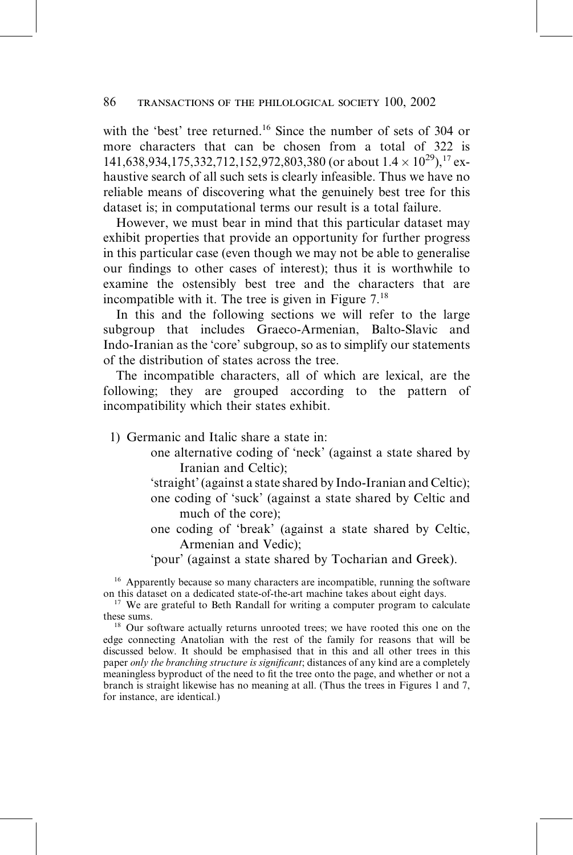with the 'best' tree returned.<sup>16</sup> Since the number of sets of 304 or more characters that can be chosen from a total of 322 is 141,638,934,175,332,712,152,972,803,380 (or about  $1.4 \times 10^{29}$ ).<sup>17</sup> exhaustive search of all such sets is clearly infeasible. Thus we have no reliable means of discovering what the genuinely best tree for this dataset is: in computational terms our result is a total failure.

However, we must bear in mind that this particular dataset may exhibit properties that provide an opportunity for further progress in this particular case (even though we may not be able to generalise our findings to other cases of interest); thus it is worthwhile to examine the ostensibly best tree and the characters that are incompatible with it. The tree is given in Figure  $7<sup>18</sup>$ 

In this and the following sections we will refer to the large subgroup that includes Graeco-Armenian, Balto-Slavic and Indo-Iranian as the 'core' subgroup, so as to simplify our statements of the distribution of states across the tree.

The incompatible characters, all of which are lexical, are the following; they are grouped according to the pattern of incompatibility which their states exhibit.

1) Germanic and Italic share a state in:

- one alternative coding of 'neck' (against a state shared by Iranian and Celtic);
- 'straight' (against a state shared by Indo-Iranian and Celtic); one coding of 'suck' (against a state shared by Celtic and much of the core):
- one coding of 'break' (against a state shared by Celtic, Armenian and Vedic);

'pour' (against a state shared by Tocharian and Greek).

<sup>16</sup> Apparently because so many characters are incompatible, running the software on this dataset on a dedicated state-of-the-art machine takes about eight days.

<sup>17</sup> We are grateful to Beth Randall for writing a computer program to calculate these sums.

<sup>18</sup> Our software actually returns unrooted trees; we have rooted this one on the edge connecting Anatolian with the rest of the family for reasons that will be discussed below. It should be emphasised that in this and all other trees in this paper only the branching structure is significant; distances of any kind are a completely meaningless byproduct of the need to fit the tree onto the page, and whether or not a branch is straight likewise has no meaning at all. (Thus the trees in Figures 1 and 7, for instance are identical)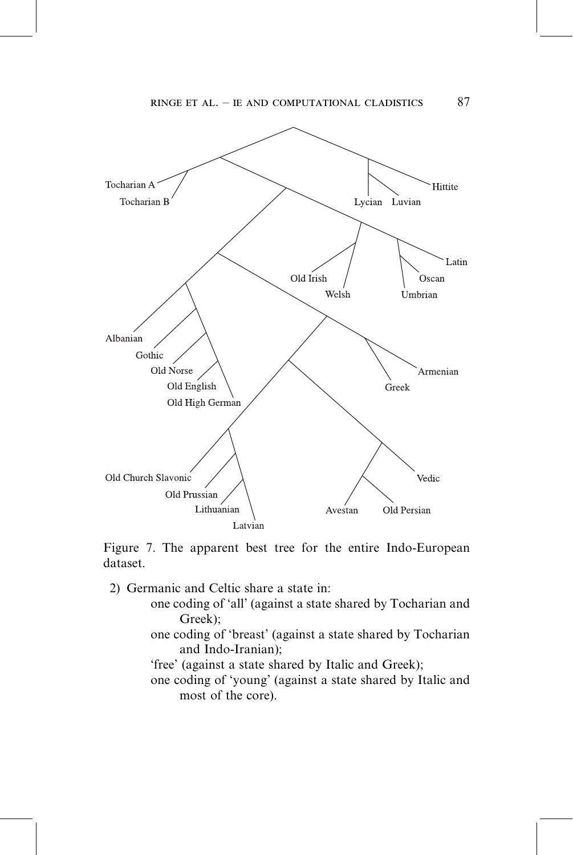

Figure 7. The apparent best tree for the entire Indo-European dataset.

- 2) Germanic and Celtic share a state in:
	- one coding of 'all' (against a state shared by Tocharian and Greek);
	- one coding of 'breast' (against a state shared by Tocharian and Indo-Iranian);

'free' (against a state shared by Italic and Greek);

one coding of 'young' (against a state shared by Italic and most of the core).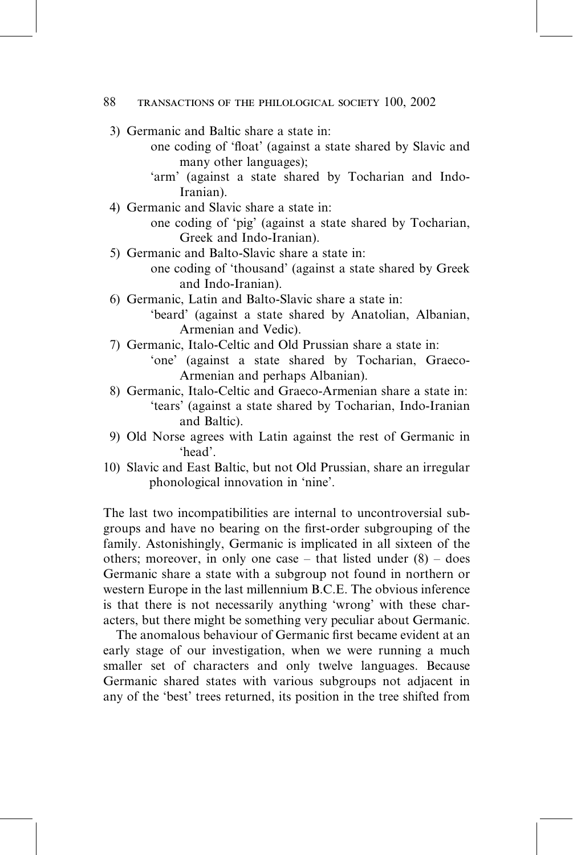#### 88 TRANSACTIONS OF THE PHILOLOGICAL SOCIETY 100, 2002

- 3) Germanic and Baltic share a state in:
	- one coding of 'float' (against a state shared by Slavic and many other languages):
	- 'arm' (against a state shared by Tocharian and Indo-Iranian).
- 4) Germanic and Slavic share a state in: one coding of 'pig' (against a state shared by Tocharian, Greek and Indo-Iranian).
- 5) Germanic and Balto-Slavic share a state in:
	- one coding of 'thousand' (against a state shared by Greek and Indo-Iranian).
- 6) Germanic, Latin and Balto-Slavic share a state in: 'beard' (against a state shared by Anatolian, Albanian, Armenian and Vedic).
- 7) Germanic, Italo-Celtic and Old Prussian share a state in:
	- 'one' (against a state shared by Tocharian, Graeco-Armenian and perhaps Albanian).
- 8) Germanic, Italo-Celtic and Graeco-Armenian share a state in: 'tears' (against a state shared by Tocharian, Indo-Iranian and Baltic).
- 9) Old Norse agrees with Latin against the rest of Germanic in 'head'.
- 10) Slavic and East Baltic, but not Old Prussian, share an irregular phonological innovation in 'nine'.

The last two incompatibilities are internal to uncontroversial subgroups and have no bearing on the first-order subgrouping of the family. Astonishingly, Germanic is implicated in all sixteen of the others; moreover, in only one case – that listed under  $(8)$  – does Germanic share a state with a subgroup not found in northern or western Europe in the last millennium B.C.E. The obvious inference is that there is not necessarily anything 'wrong' with these characters, but there might be something very peculiar about Germanic.

The anomalous behaviour of Germanic first became evident at an early stage of our investigation, when we were running a much smaller set of characters and only twelve languages. Because Germanic shared states with various subgroups not adjacent in any of the 'best' trees returned, its position in the tree shifted from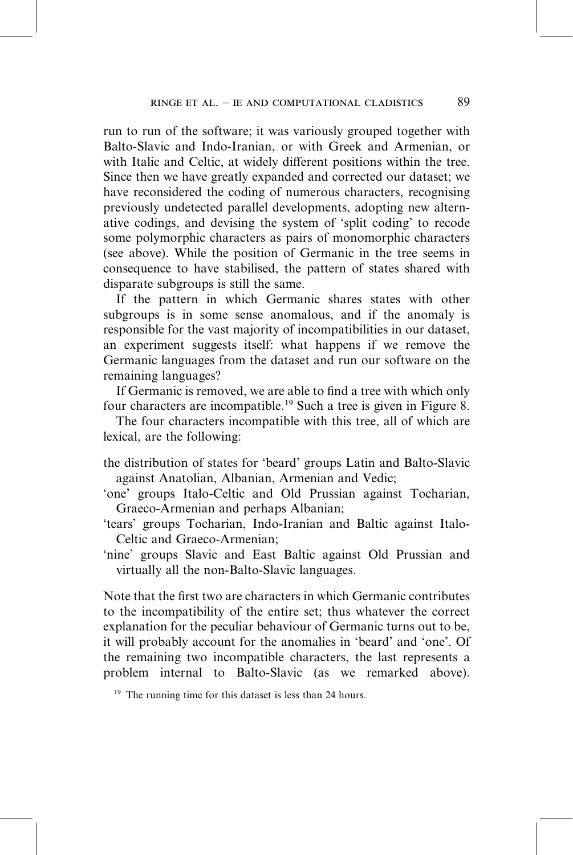run to run of the software; it was variously grouped together with Balto-Slavic and Indo-Iranian, or with Greek and Armenian, or with Italic and Celtic, at widely different positions within the tree. Since then we have greatly expanded and corrected our dataset; we have reconsidered the coding of numerous characters, recognising previously undetected parallel developments, adopting new alternative codings, and devising the system of 'split coding' to recode some polymorphic characters as pairs of monomorphic characters (see above). While the position of Germanic in the tree seems in consequence to have stabilised, the pattern of states shared with disparate subgroups is still the same.

If the pattern in which Germanic shares states with other subgroups is in some sense anomalous, and if the anomaly is responsible for the vast majority of incompatibilities in our dataset, an experiment suggests itself: what happens if we remove the Germanic languages from the dataset and run our software on the remaining languages?

If Germanic is removed, we are able to find a tree with which only four characters are incompatible.<sup>19</sup> Such a tree is given in Figure 8.

The four characters incompatible with this tree, all of which are lexical, are the following:

- the distribution of states for 'beard' groups Latin and Balto-Slavic against Anatolian, Albanian, Armenian and Vedic;
- 'one' groups Italo-Celtic and Old Prussian against Tocharian, Graeco-Armenian and perhaps Albanian;
- 'tears' groups Tocharian, Indo-Iranian and Baltic against Italo-Celtic and Graeco-Armenian;
- 'nine' groups Slavic and East Baltic against Old Prussian and virtually all the non-Balto-Slavic languages.

Note that the first two are characters in which Germanic contributes to the incompatibility of the entire set: thus whatever the correct explanation for the peculiar behaviour of Germanic turns out to be, it will probably account for the anomalies in 'beard' and 'one'. Of the remaining two incompatible characters, the last represents a problem internal to Balto-Slavic (as we remarked above).

<sup>&</sup>lt;sup>19</sup> The running time for this dataset is less than 24 hours.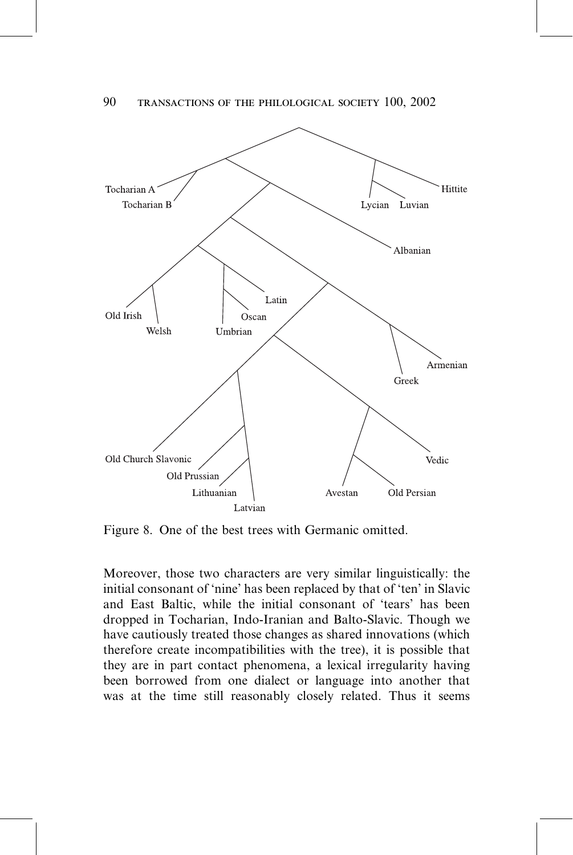

Figure 8. One of the best trees with Germanic omitted.

Moreover, those two characters are very similar linguistically: the initial consonant of 'nine' has been replaced by that of 'ten' in Slavic and East Baltic, while the initial consonant of 'tears' has been dropped in Tocharian, Indo-Iranian and Balto-Slavic. Though we have cautiously treated those changes as shared innovations (which therefore create incompatibilities with the tree), it is possible that they are in part contact phenomena, a lexical irregularity having been borrowed from one dialect or language into another that was at the time still reasonably closely related. Thus it seems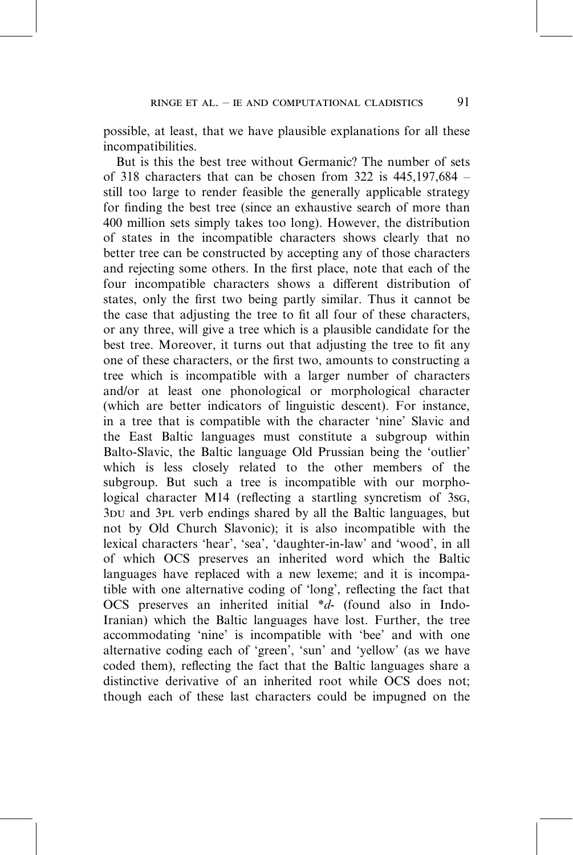possible, at least, that we have plausible explanations for all these incompatibilities.

But is this the best tree without Germanic? The number of sets of 318 characters that can be chosen from 322 is  $445.197.684$  still too large to render feasible the generally applicable strategy for finding the best tree (since an exhaustive search of more than 400 million sets simply takes too long). However, the distribution of states in the incompatible characters shows clearly that no better tree can be constructed by accepting any of those characters and rejecting some others. In the first place, note that each of the four incompatible characters shows a different distribution of states, only the first two being partly similar. Thus it cannot be the case that adjusting the tree to fit all four of these characters, or any three, will give a tree which is a plausible candidate for the best tree. Moreover, it turns out that adjusting the tree to fit any one of these characters, or the first two, amounts to constructing a tree which is incompatible with a larger number of characters and/or at least one phonological or morphological character (which are better indicators of linguistic descent). For instance, in a tree that is compatible with the character 'nine' Slavic and the East Baltic languages must constitute a subgroup within Balto-Slavic, the Baltic language Old Prussian being the 'outlier' which is less closely related to the other members of the subgroup. But such a tree is incompatible with our morphological character M14 (reflecting a startling syncretism of 3sG, 3DU and 3PL verb endings shared by all the Baltic languages, but not by Old Church Slavonic); it is also incompatible with the lexical characters 'hear', 'sea', 'daughter-in-law' and 'wood', in all of which OCS preserves an inherited word which the Baltic languages have replaced with a new lexeme; and it is incompatible with one alternative coding of 'long', reflecting the fact that OCS preserves an inherited initial  $*d$ - (found also in Indo-Iranian) which the Baltic languages have lost. Further, the tree accommodating 'nine' is incompatible with 'bee' and with one alternative coding each of 'green', 'sun' and 'yellow' (as we have coded them), reflecting the fact that the Baltic languages share a distinctive derivative of an inherited root while OCS does not: though each of these last characters could be impugned on the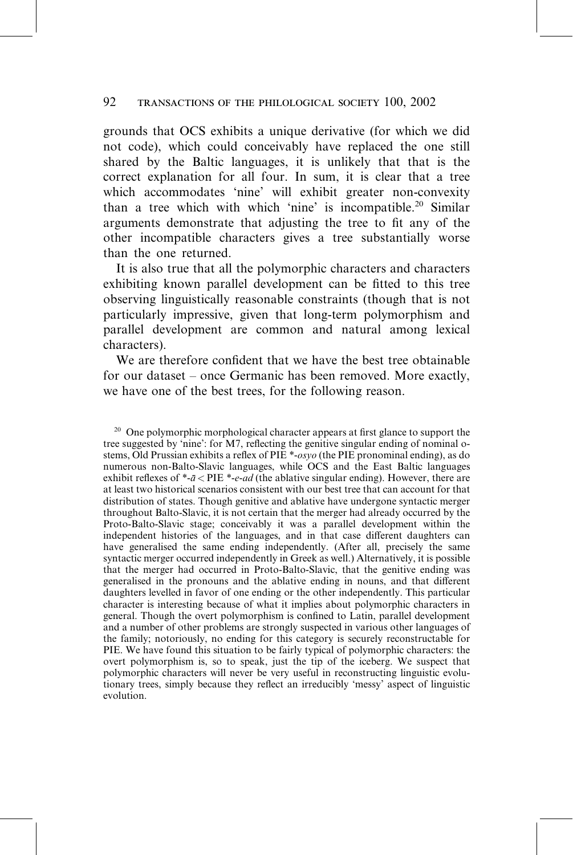grounds that OCS exhibits a unique derivative (for which we did not code), which could conceivably have replaced the one still shared by the Baltic languages, it is unlikely that that is the correct explanation for all four. In sum, it is clear that a tree which accommodates 'nine' will exhibit greater non-convexity than a tree which with which 'nine' is incompatible.<sup>20</sup> Similar arguments demonstrate that adjusting the tree to fit any of the other incompatible characters gives a tree substantially worse than the one returned.

It is also true that all the polymorphic characters and characters exhibiting known parallel development can be fitted to this tree observing linguistically reasonable constraints (though that is not particularly impressive, given that long-term polymorphism and parallel development are common and natural among lexical characters).

We are therefore confident that we have the best tree obtainable for our dataset – once Germanic has been removed. More exactly, we have one of the best trees, for the following reason.

<sup>&</sup>lt;sup>20</sup> One nolymorphic morphological character appears at first glance to support the tree suggested by 'nine': for M7, reflecting the genitive singular ending of nominal ostems, Old Prussian exhibits a reflex of PIE  $*$ - $osyo$  (the PIE pronominal ending), as do numerous non-Balto-Slavic languages, while OCS and the East Baltic languages exhibit reflexes of \*- $\bar{a}$  < PIE \*-e-ad (the ablative singular ending). However, there are at least two historical scenarios consistent with our best tree that can account for that distribution of states. Though genitive and ablative have undergone syntactic merger throughout Balto-Slavic, it is not certain that the merger had already occurred by the Proto-Balto-Slavic stage; conceivably it was a parallel development within the independent histories of the languages, and in that case different daughters can have generalised the same ending independently. (After all, precisely the same syntactic merger occurred independently in Greek as well.) Alternatively, it is possible that the merger had occurred in Proto-Balto-Slavic, that the genitive ending was generalised in the pronouns and the ablative ending in nouns, and that different daughters levelled in favor of one ending or the other independently. This particular character is interesting because of what it implies about polymorphic characters in general. Though the overt polymorphism is confined to Latin, parallel development and a number of other problems are strongly suspected in various other languages of the family; notoriously, no ending for this category is securely reconstructable for PIE. We have found this situation to be fairly typical of polymorphic characters: the overt polymorphism is, so to speak, just the tip of the iceberg. We suspect that polymorphic characters will never be very useful in reconstructing linguistic evolutionary trees, simply because they reflect an irreducibly 'messy' aspect of linguistic evolution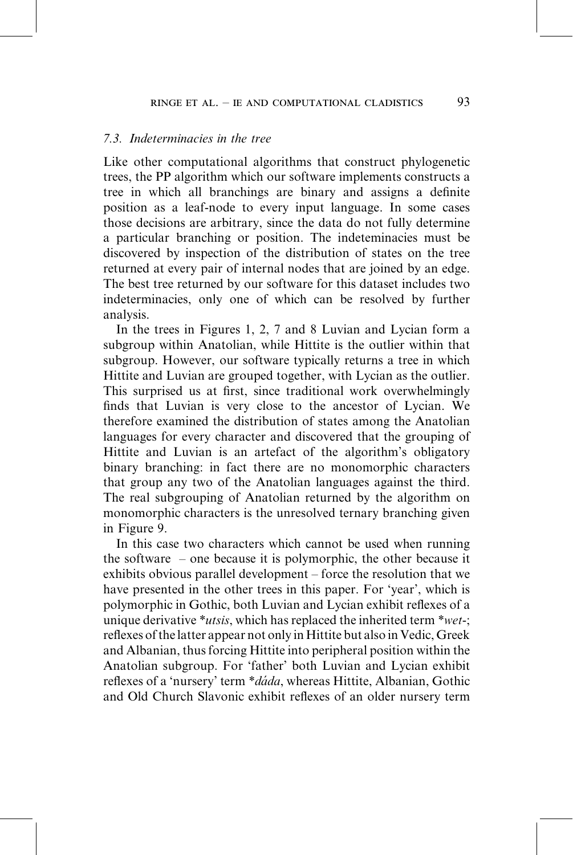#### 7.3. Indeterminacies in the tree

Like other computational algorithms that construct phylogenetic trees, the PP algorithm which our software implements constructs a tree in which all branchings are binary and assigns a definite position as a leaf-node to every input language. In some cases those decisions are arbitrary, since the data do not fully determine a particular branching or position. The indeteminacies must be discovered by inspection of the distribution of states on the tree returned at every pair of internal nodes that are joined by an edge. The best tree returned by our software for this dataset includes two indeterminacies, only one of which can be resolved by further analysis.

In the trees in Figures 1, 2, 7 and 8 Luvian and Lycian form a subgroup within Anatolian, while Hittite is the outlier within that subgroup. However, our software typically returns a tree in which Hittite and Luvian are grouped together, with Lycian as the outlier. This surprised us at first, since traditional work overwhelmingly finds that Luvian is very close to the ancestor of Lycian. We therefore examined the distribution of states among the Anatolian languages for every character and discovered that the grouping of Hittite and Luvian is an artefact of the algorithm's obligatory binary branching: in fact there are no monomorphic characters that group any two of the Anatolian languages against the third. The real subgrouping of Anatolian returned by the algorithm on monomorphic characters is the unresolved ternary branching given in Figure 9.

In this case two characters which cannot be used when running the software  $-$  one because it is polymorphic, the other because it exhibits obvious parallel development – force the resolution that we have presented in the other trees in this paper. For 'year', which is polymorphic in Gothic, both Luvian and Lycian exhibit reflexes of a unique derivative \*utsis, which has replaced the inherited term \*wet-; reflexes of the latter appear not only in Hittite but also in Vedic, Greek and Albanian, thus forcing Hittite into peripheral position within the Anatolian subgroup. For 'father' both Luvian and Lycian exhibit reflexes of a 'nursery' term \*dada, whereas Hittite, Albanian, Gothic and Old Church Slavonic exhibit reflexes of an older nursery term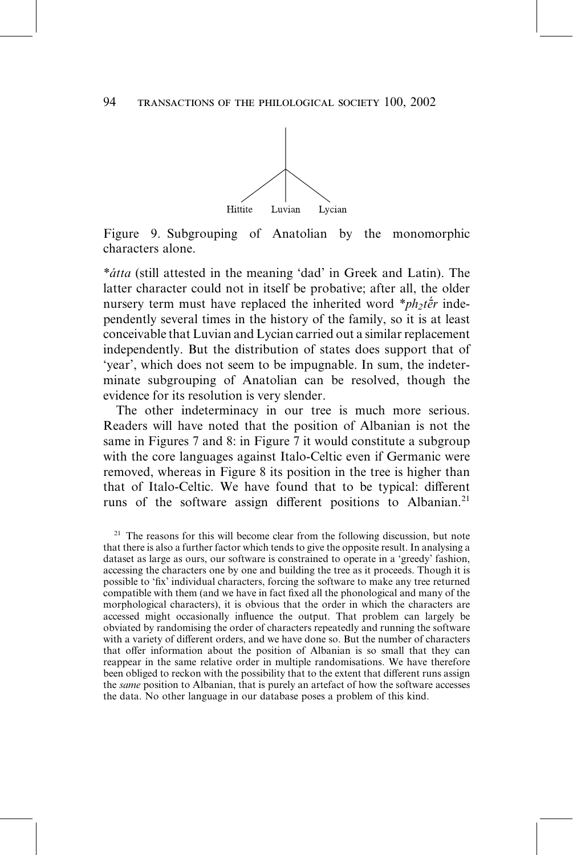

Figure 9. Subgrouping of Anatolian by the monomorphic characters alone.

\**atta* (still attested in the meaning 'dad' in Greek and Latin). The latter character could not in itself be probative: after all, the older nursery term must have replaced the inherited word  $*_{ph,1}t\acute{e}r$  independently several times in the history of the family, so it is at least conceivable that Luvian and Lycian carried out a similar replacement independently. But the distribution of states does support that of 'year', which does not seem to be impugnable. In sum, the indeterminate subgrouping of Anatolian can be resolved, though the evidence for its resolution is very slender.

The other indeterminacy in our tree is much more serious. Readers will have noted that the position of Albanian is not the same in Figures 7 and 8: in Figure 7 it would constitute a subgroup with the core languages against Italo-Celtic even if Germanic were removed, whereas in Figure 8 its position in the tree is higher than that of Italo-Celtic. We have found that to be typical: different runs of the software assign different positions to Albanian.<sup>21</sup>

 $21$  The reasons for this will become clear from the following discussion, but note that there is also a further factor which tends to give the opposite result. In analysing a dataset as large as ours, our software is constrained to operate in a 'greedy' fashion, accessing the characters one by one and building the tree as it proceeds. Though it is possible to 'fix' individual characters, forcing the software to make any tree returned compatible with them (and we have in fact fixed all the phonological and many of the morphological characters), it is obvious that the order in which the characters are accessed might occasionally influence the output. That problem can largely be obviated by randomising the order of characters repeatedly and running the software with a variety of different orders, and we have done so. But the number of characters that offer information about the position of Albanian is so small that they can reappear in the same relative order in multiple randomisations. We have therefore been obliged to reckon with the possibility that to the extent that different runs assign the *same* position to Albanian, that is purely an artefact of how the software accesses the data. No other language in our database poses a problem of this kind.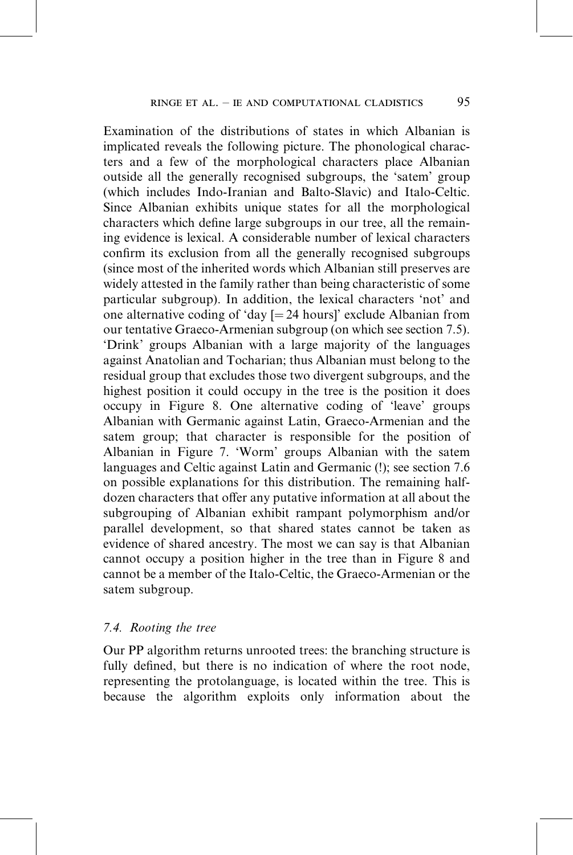Examination of the distributions of states in which Albanian is implicated reveals the following picture. The phonological characters and a few of the morphological characters place Albanian outside all the generally recognised subgroups, the 'satem' group (which includes Indo-Iranian and Balto-Slavic) and Italo-Celtic. Since Albanian exhibits unique states for all the morphological characters which define large subgroups in our tree, all the remaining evidence is lexical. A considerable number of lexical characters confirm its exclusion from all the generally recognised subgroups (since most of the inherited words which Albanian still preserves are widely attested in the family rather than being characteristic of some particular subgroup). In addition, the lexical characters 'not' and one alternative coding of 'day  $[=24$  hours' exclude Albanian from our tentative Graeco-Armenian subgroup (on which see section 7.5). 'Drink' groups Albanian with a large majority of the languages against Anatolian and Tocharian; thus Albanian must belong to the residual group that excludes those two divergent subgroups, and the highest position it could occupy in the tree is the position it does occupy in Figure 8. One alternative coding of 'leave' groups Albanian with Germanic against Latin, Graeco-Armenian and the satem group; that character is responsible for the position of Albanian in Figure 7. 'Worm' groups Albanian with the satem languages and Celtic against Latin and Germanic (!); see section 7.6 on possible explanations for this distribution. The remaining halfdozen characters that offer any putative information at all about the subgrouping of Albanian exhibit rampant polymorphism and/or parallel development, so that shared states cannot be taken as evidence of shared ancestry. The most we can say is that Albanian cannot occupy a position higher in the tree than in Figure 8 and cannot be a member of the Italo-Celtic, the Graeco-Armenian or the satem subgroup.

#### 7.4. Rooting the tree

Our PP algorithm returns unrooted trees: the branching structure is fully defined, but there is no indication of where the root node, representing the protolanguage, is located within the tree. This is because the algorithm exploits only information about the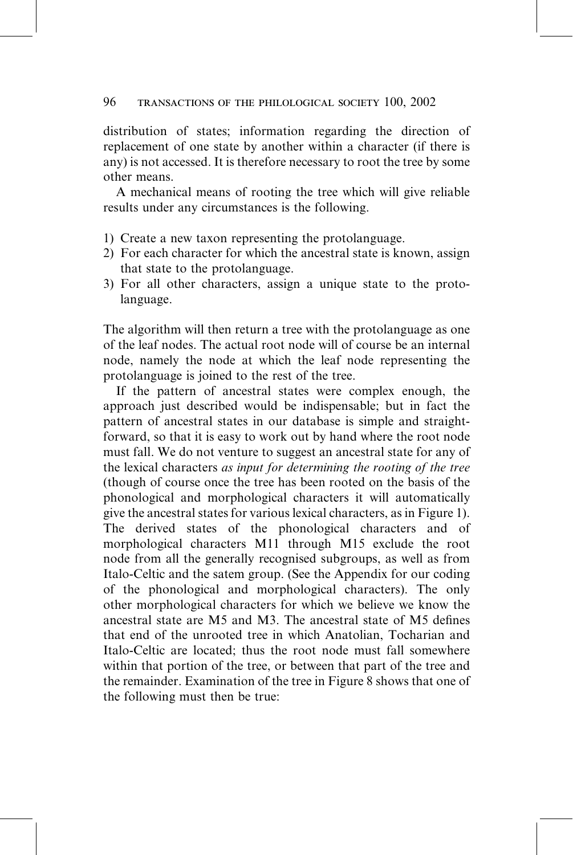distribution of states; information regarding the direction of replacement of one state by another within a character (if there is any) is not accessed. It is therefore necessary to root the tree by some other means.

A mechanical means of rooting the tree which will give reliable results under any circumstances is the following.

- 1) Create a new taxon representing the protolanguage.
- 2) For each character for which the ancestral state is known, assign that state to the protolanguage.
- 3) For all other characters, assign a unique state to the protolanguage.

The algorithm will then return a tree with the protolanguage as one of the leaf nodes. The actual root node will of course be an internal node, namely the node at which the leaf node representing the protolanguage is joined to the rest of the tree.

If the pattern of ancestral states were complex enough, the approach just described would be indispensable; but in fact the pattern of ancestral states in our database is simple and straightforward, so that it is easy to work out by hand where the root node must fall. We do not venture to suggest an ancestral state for any of the lexical characters as input for determining the rooting of the tree (though of course once the tree has been rooted on the basis of the phonological and morphological characters it will automatically give the ancestral states for various lexical characters, as in Figure 1). The derived states of the phonological characters and of morphological characters M11 through M15 exclude the root node from all the generally recognised subgroups, as well as from Italo-Celtic and the satem group. (See the Appendix for our coding of the phonological and morphological characters). The only other morphological characters for which we believe we know the ancestral state are M5 and M3. The ancestral state of M5 defines that end of the unrooted tree in which Anatolian. Tocharian and Italo-Celtic are located: thus the root node must fall somewhere within that portion of the tree, or between that part of the tree and the remainder. Examination of the tree in Figure 8 shows that one of the following must then be true: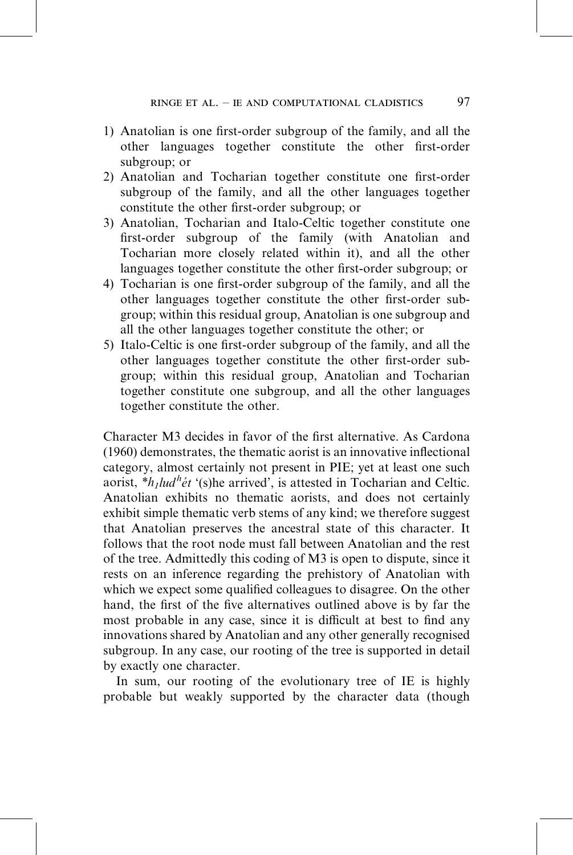- 1) Anatolian is one first-order subgroup of the family, and all the other languages together constitute the other first-order subgroup: or
- 2) Anatolian and Tocharian together constitute one first-order subgroup of the family, and all the other languages together constitute the other first-order subgroup; or
- 3) Anatolian, Tocharian and Italo-Celtic together constitute one first-order subgroup of the family (with Anatolian and Tocharian more closely related within it), and all the other languages together constitute the other first-order subgroup; or
- 4) Tocharian is one first-order subgroup of the family, and all the other languages together constitute the other first-order subgroup; within this residual group, Anatolian is one subgroup and all the other languages together constitute the other: or
- 5) Italo-Celtic is one first-order subgroup of the family, and all the other languages together constitute the other first-order subgroup; within this residual group, Anatolian and Tocharian together constitute one subgroup, and all the other languages together constitute the other.

Character M3 decides in favor of the first alternative. As Cardona (1960) demonstrates, the thematic aorist is an innovative inflectional category, almost certainly not present in PIE; yet at least one such aorist.  $*h_l l u d^h \acute{e}t$  '(s) he arrived', is attested in Tocharian and Celtic. Anatolian exhibits no thematic aorists, and does not certainly exhibit simple thematic verb stems of any kind; we therefore suggest that Anatolian preserves the ancestral state of this character. It follows that the root node must fall between Anatolian and the rest of the tree. Admittedly this coding of M3 is open to dispute, since it rests on an inference regarding the prehistory of Anatolian with which we expect some qualified colleagues to disagree. On the other hand, the first of the five alternatives outlined above is by far the most probable in any case, since it is difficult at best to find any innovations shared by Anatolian and any other generally recognised subgroup. In any case, our rooting of the tree is supported in detail by exactly one character.

In sum, our rooting of the evolutionary tree of IE is highly probable but weakly supported by the character data (though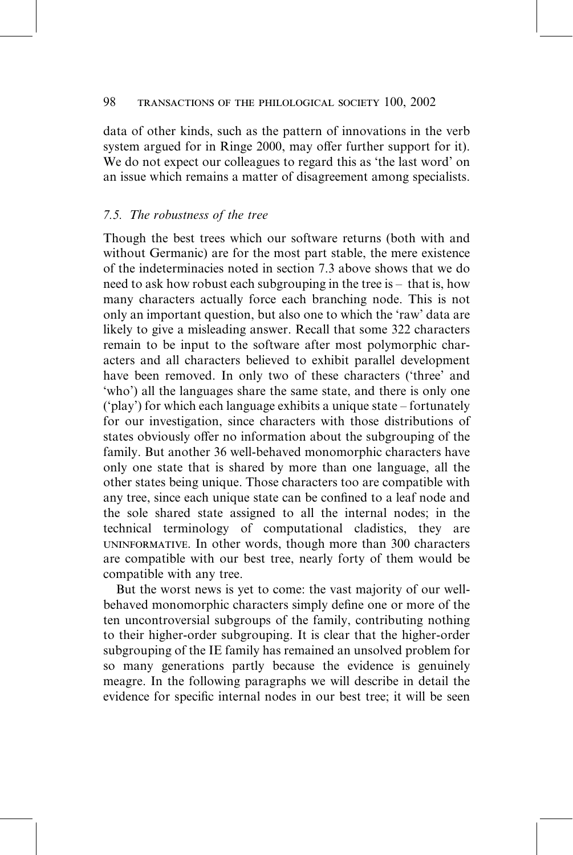data of other kinds, such as the pattern of innovations in the verb system argued for in Ringe 2000, may offer further support for it). We do not expect our colleagues to regard this as 'the last word' on an issue which remains a matter of disagreement among specialists.

### 7.5. The robustness of the tree

Though the best trees which our software returns (both with and without Germanic) are for the most part stable, the mere existence of the indeterminacies noted in section 7.3 above shows that we do need to ask how robust each subgrouping in the tree is – that is, how many characters actually force each branching node. This is not only an important question, but also one to which the 'raw' data are likely to give a misleading answer. Recall that some 322 characters remain to be input to the software after most polymorphic characters and all characters believed to exhibit parallel development have been removed. In only two of these characters ('three' and 'who') all the languages share the same state, and there is only one ('play') for which each language exhibits a unique state – fortunately for our investigation, since characters with those distributions of states obviously offer no information about the subgrouping of the family. But another 36 well-behaved monomorphic characters have only one state that is shared by more than one language, all the other states being unique. Those characters too are compatible with any tree, since each unique state can be confined to a leaf node and the sole shared state assigned to all the internal nodes; in the technical terminology of computational cladistics, they are UNINFORMATIVE. In other words, though more than 300 characters are compatible with our best tree, nearly forty of them would be compatible with any tree.

But the worst news is yet to come: the vast majority of our wellbehaved monomorphic characters simply define one or more of the ten uncontroversial subgroups of the family, contributing nothing to their higher-order subgrouping. It is clear that the higher-order subgrouping of the IE family has remained an unsolved problem for so many generations partly because the evidence is genuinely meagre. In the following paragraphs we will describe in detail the evidence for specific internal nodes in our best tree; it will be seen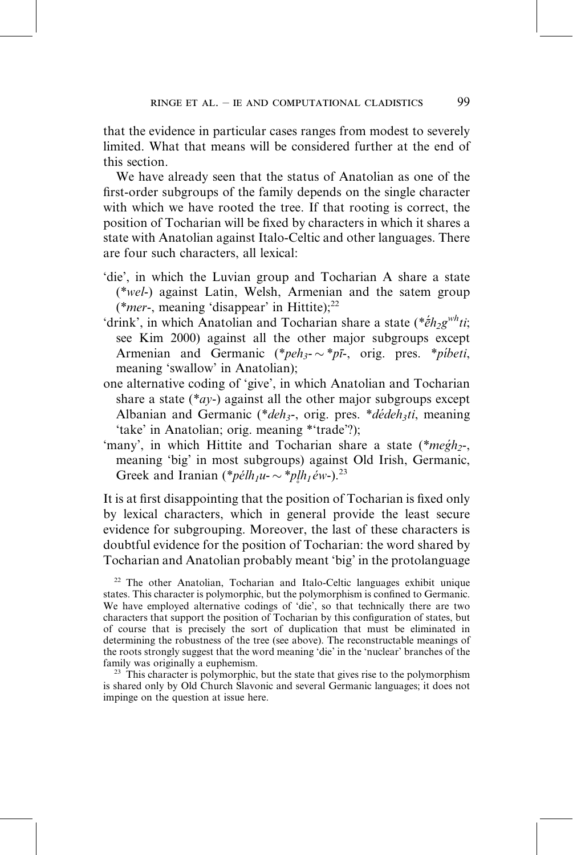that the evidence in particular cases ranges from modest to severely limited. What that means will be considered further at the end of this section.

We have already seen that the status of Anatolian as one of the first-order subgroups of the family depends on the single character with which we have rooted the tree. If that rooting is correct, the position of Tocharian will be fixed by characters in which it shares a state with Anatolian against Italo-Celtic and other languages. There are four such characters, all lexical:

- 'die', in which the Luvian group and Tocharian A share a state  $(*wel-)$  against Latin, Welsh, Armenian and the satem group (\**mer*-, meaning 'disappear' in Hittite); $22$
- 'drink', in which Anatolian and Tocharian share a state (\* $\acute{e}h_2g^{wh}t$ i; see Kim 2000) against all the other major subgroups except Armenian and Germanic (\*peh<sub>3</sub>- $\sim$ \*pī-, orig. pres. \*pibeti, meaning 'swallow' in Anatolian);
- one alternative coding of 'give', in which Anatolian and Tocharian share a state  $(*a_{v})$  against all the other major subgroups except Albanian and Germanic (\*deh<sub>3</sub>-, orig. pres. \*dédeh<sub>3</sub>ti, meaning 'take' in Anatolian; orig. meaning \*'trade'?);
- 'many', in which Hittite and Tocharian share a state (\**megh*<sub>2</sub>meaning 'big' in most subgroups) against Old Irish, Germanic, Greek and Iranian  $(*p\acute{e}lh_1u - \sim *plh_1\acute{e}w -$ .<sup>23</sup>

It is at first disappointing that the position of Tocharian is fixed only by lexical characters, which in general provide the least secure evidence for subgrouping. Moreover, the last of these characters is doubtful evidence for the position of Tocharian: the word shared by Tocharian and Anatolian probably meant 'big' in the protolanguage

<sup>&</sup>lt;sup>22</sup> The other Anatolian, Tocharian and Italo-Celtic languages exhibit unique states. This character is polymorphic, but the polymorphism is confined to Germanic. We have employed alternative codings of 'die', so that technically there are two characters that support the position of Tocharian by this configuration of states, but of course that is precisely the sort of duplication that must be eliminated in determining the robustness of the tree (see above). The reconstructable meanings of the roots strongly suggest that the word meaning 'die' in the 'nuclear' branches of the family was originally a euphemism.

<sup>&</sup>lt;sup>23</sup> This character is polymorphic, but the state that gives rise to the polymorphism is shared only by Old Church Slavonic and several Germanic languages; it does not impinge on the question at issue here.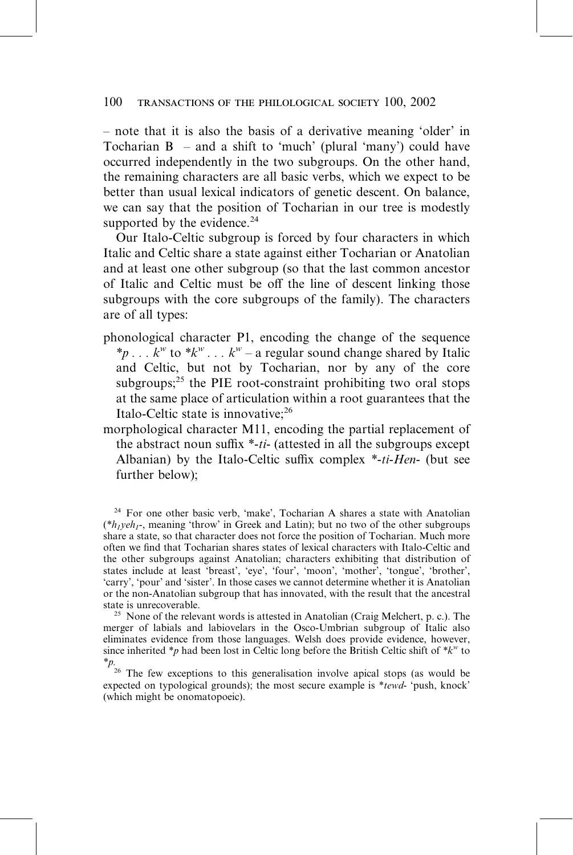- note that it is also the basis of a derivative meaning 'older' in Tocharian  $B$  – and a shift to 'much' (plural 'many') could have occurred independently in the two subgroups. On the other hand, the remaining characters are all basic verbs, which we expect to be better than usual lexical indicators of genetic descent. On balance, we can say that the position of Tocharian in our tree is modestly supported by the evidence. $24$ 

Our Italo-Celtic subgroup is forced by four characters in which Italic and Celtic share a state against either Tocharian or Anatolian and at least one other subgroup (so that the last common ancestor of Italic and Celtic must be off the line of descent linking those subgroups with the core subgroups of the family). The characters are of all types:

- phonological character P1, encoding the change of the sequence  $*_p$ ...  $k^w$  to  $* k^w$ ...  $k^w$  – a regular sound change shared by Italic and Celtic, but not by Tocharian, nor by any of the core subgroups; $^{25}$  the PIE root-constraint prohibiting two oral stops at the same place of articulation within a root guarantees that the Italo-Celtic state is innovative:<sup>26</sup>
- morphological character M11, encoding the partial replacement of the abstract noun suffix  $*$ -ti- (attested in all the subgroups except Albanian) by the Italo-Celtic suffix complex \*-ti-Hen- (but see further below);

<sup>24</sup> For one other basic verb, 'make', Tocharian A shares a state with Anatolian  $(*h_1$ yeh<sub>1</sub>-, meaning 'throw' in Greek and Latin); but no two of the other subgroups share a state, so that character does not force the position of Tocharian. Much more often we find that Tocharian shares states of lexical characters with Italo-Celtic and the other subgroups against Anatolian; characters exhibiting that distribution of states include at least 'breast', 'eye', 'four', 'moon', 'mother', 'tongue', 'brother', 'carry', 'pour' and 'sister'. In those cases we cannot determine whether it is Anatolian or the non-Anatolian subgroup that has innovated, with the result that the ancestral state is unrecoverable

<sup>25</sup> None of the relevant words is attested in Anatolian (Craig Melchert, p. c.). The merger of labials and labiovelars in the Osco-Umbrian subgroup of Italic also eliminates evidence from those languages. Welsh does provide evidence, however, since inherited \*p had been lost in Celtic long before the British Celtic shift of \*k<sup>w</sup> to  $\ast_p$ .

 $\int_{0}^{\frac{\pi}{26}}$  The few exceptions to this generalisation involve apical stops (as would be expected on typological grounds); the most secure example is  $*$ tewd- 'push, knock' (which might be onomatopoeic).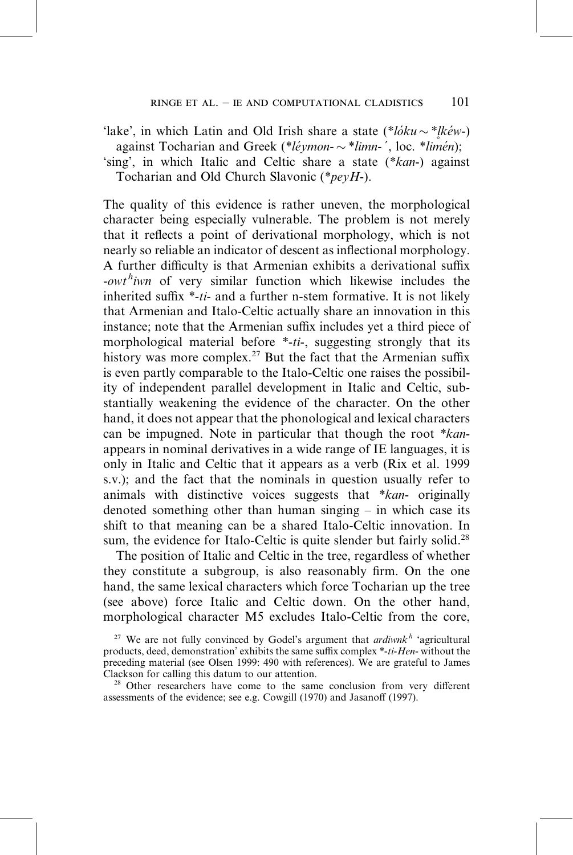'lake', in which Latin and Old Irish share a state (\*lóku ~ \*lkéw-) against Tocharian and Greek (\*léymon- $\sim$ \*limn- $\prime$ , loc. \*limén);

'sing', in which Italic and Celtic share a state (\*kan-) against Tocharian and Old Church Slavonic (\*peyH-).

The quality of this evidence is rather uneven, the morphological character being especially vulnerable. The problem is not merely that it reflects a point of derivational morphology, which is not nearly so reliable an indicator of descent as inflectional morphology. A further difficulty is that Armenian exhibits a derivational suffix *owt* <sup>h</sup>iwn of very similar function which likewise includes the inherited suffix \*-ti- and a further n-stem formative. It is not likely that Armenian and Italo-Celtic actually share an innovation in this instance; note that the Armenian suffix includes yet a third piece of morphological material before \*-ti-, suggesting strongly that its history was more complex.<sup>27</sup> But the fact that the Armenian suffix is even partly comparable to the Italo-Celtic one raises the possibility of independent parallel development in Italic and Celtic, substantially weakening the evidence of the character. On the other hand, it does not appear that the phonological and lexical characters can be impugned. Note in particular that though the root \*kanappears in nominal derivatives in a wide range of IE languages, it is only in Italic and Celtic that it appears as a verb (Rix et al. 1999) s.v.); and the fact that the nominals in question usually refer to animals with distinctive voices suggests that  $**kan*$ - originally denoted something other than human singing  $-$  in which case its shift to that meaning can be a shared Italo-Celtic innovation. In sum, the evidence for Italo-Celtic is quite slender but fairly solid.<sup>28</sup>

The position of Italic and Celtic in the tree, regardless of whether they constitute a subgroup, is also reasonably firm. On the one hand, the same lexical characters which force Tocharian up the tree (see above) force Italic and Celtic down. On the other hand, morphological character M5 excludes Italo-Celtic from the core,

<sup>28</sup> Other researchers have come to the same conclusion from very different assessments of the evidence; see e.g. Cowgill (1970) and Jasanoff (1997).

<sup>&</sup>lt;sup>27</sup> We are not fully convinced by Godel's argument that *ardiwnk*<sup>h</sup> 'agricultural' products, deed, demonstration' exhibits the same suffix complex \*-ti-Hen-without the preceding material (see Olsen 1999: 490 with references). We are grateful to James Clackson for calling this datum to our attention.

<sup>101</sup>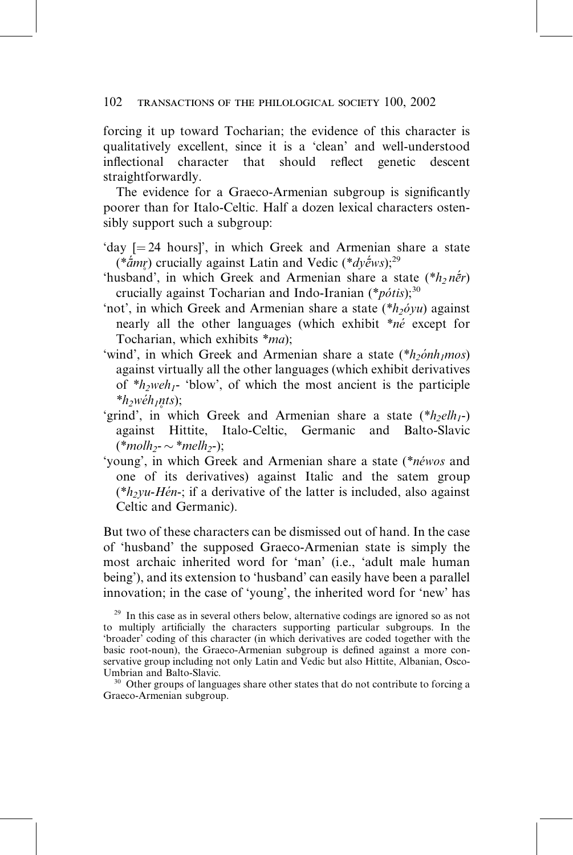forcing it up toward Tocharian; the evidence of this character is qualitatively excellent, since it is a 'clean' and well-understood inflectional character that should reflect genetic descent straightforwardly.

The evidence for a Graeco-Armenian subgroup is significantly poorer than for Italo-Celtic. Half a dozen lexical characters ostensibly support such a subgroup:

- 'day  $[= 24$  hours]', in which Greek and Armenian share a state (\* $\frac{1}{2}$ amr) crucially against Latin and Vedic (\* $\frac{1}{2}$ ve $\frac{1}{2}$ ye<sup>29</sup>)
- 'husband', in which Greek and Armenian share a state  $(*h_2n\acute{e}r)$ crucially against Tocharian and Indo-Iranian  $(*p\'otis)$ ;<sup>30</sup>
- 'not', in which Greek and Armenian share a state  $(*h_2 \circ \nu u)$  against nearly all the other languages (which exhibit \*né except for Tocharian, which exhibits \*ma);
- 'wind', in which Greek and Armenian share a state  $(*h_2ónh_1mos)$ against virtually all the other languages (which exhibit derivatives of  $*h_2weh_1$ - 'blow', of which the most ancient is the participle  $*<sub>h</sub>$ <sub>v</sub> $\forall$ <sub>l</sub> $\forall$ <sub>l</sub> $\forall$ <sub>l</sub> $\forall$ is);
- 'grind', in which Greek and Armenian share a state  $(*h_2elh_1-)$ against Hittite. Italo-Celtic. Germanic and Balto-Slavic  $(*molh_{2}~ \sim *mell_{2}$ :
- 'young', in which Greek and Armenian share a state (\*néwos and one of its derivatives) against Italic and the satem group  $(*h_2$ vu-Hén-; if a derivative of the latter is included, also against Celtic and Germanic).

But two of these characters can be dismissed out of hand. In the case of 'husband' the supposed Graeco-Armenian state is simply the most archaic inherited word for 'man' (i.e., 'adult male human being'), and its extension to 'husband' can easily have been a parallel innovation; in the case of 'young', the inherited word for 'new' has

<sup>&</sup>lt;sup>29</sup> In this case as in several others below, alternative codings are ignored so as not to multiply artificially the characters supporting particular subgroups. In the 'broader' coding of this character (in which derivatives are coded together with the basic root-noun), the Graeco-Armenian subgroup is defined against a more conservative group including not only Latin and Vedic but also Hittite. Albanian, Osco-Umbrian and Balto-Slavic

<sup>&</sup>lt;sup>30</sup> Other groups of languages share other states that do not contribute to forcing a Graeco-Armenian subgroup.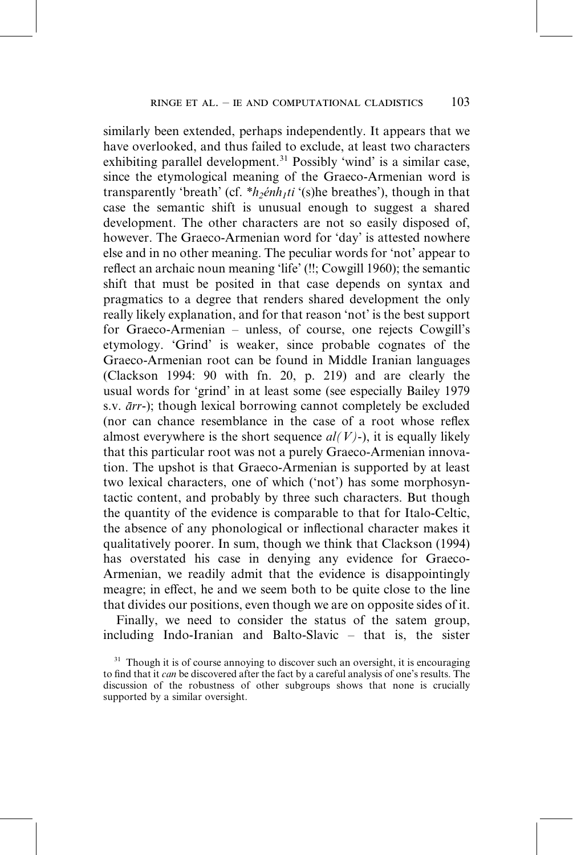$103$ 

similarly been extended, perhaps independently. It appears that we have overlooked, and thus failed to exclude, at least two characters exhibiting parallel development.<sup>31</sup> Possibly 'wind' is a similar case, since the etymological meaning of the Graeco-Armenian word is transparently 'breath' (cf.  $*h \neq h_1 t$ '(s) he breathes'), though in that case the semantic shift is unusual enough to suggest a shared development. The other characters are not so easily disposed of, however. The Graeco-Armenian word for 'day' is attested nowhere else and in no other meaning. The peculiar words for 'not' appear to reflect an archaic noun meaning 'life' (!!; Cowgill 1960); the semantic shift that must be posited in that case depends on syntax and pragmatics to a degree that renders shared development the only really likely explanation, and for that reason 'not' is the best support for Graeco-Armenian – unless, of course, one rejects Cowgill's etymology. 'Grind' is weaker, since probable cognates of the Graeco-Armenian root can be found in Middle Iranian languages (Clackson 1994: 90 with fn. 20, p. 219) and are clearly the usual words for 'grind' in at least some (see especially Bailey 1979 s.v. *ārr*-); though lexical borrowing cannot completely be excluded (nor can chance resemblance in the case of a root whose reflex almost everywhere is the short sequence  $al(V)$ -), it is equally likely that this particular root was not a purely Graeco-Armenian innovation. The upshot is that Graeco-Armenian is supported by at least two lexical characters, one of which ('not') has some morphosyntactic content, and probably by three such characters. But though the quantity of the evidence is comparable to that for Italo-Celtic, the absence of any phonological or inflectional character makes it qualitatively poorer. In sum, though we think that Clackson (1994) has overstated his case in denying any evidence for Graeco-Armenian, we readily admit that the evidence is disappointingly meagre; in effect, he and we seem both to be quite close to the line that divides our positions, even though we are on opposite sides of it.

Finally, we need to consider the status of the satem group, including Indo-Iranian and Balto-Slavic – that is, the sister

<sup>&</sup>lt;sup>31</sup> Though it is of course annoving to discover such an oversight, it is encouraging to find that it can be discovered after the fact by a careful analysis of one's results. The discussion of the robustness of other subgroups shows that none is crucially supported by a similar oversight.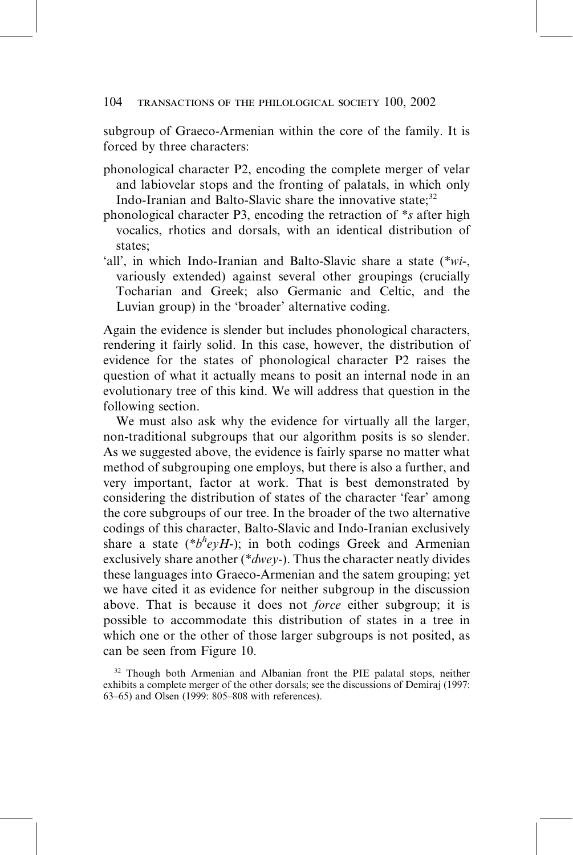#### 104 TRANSACTIONS OF THE PHILOLOGICAL SOCIETY 100, 2002

subgroup of Graeco-Armenian within the core of the family. It is forced by three characters:

phonological character P2, encoding the complete merger of velar and labiovelar stops and the fronting of palatals, in which only Indo-Iranian and Balto-Slavic share the innovative state;<sup>32</sup>

- phonological character P3, encoding the retraction of \*s after high vocalics, rhotics and dorsals, with an identical distribution of states:
- 'all', in which Indo-Iranian and Balto-Slavic share a state (\*wi-, variously extended) against several other groupings (crucially Tocharian and Greek; also Germanic and Celtic, and the Luvian group) in the 'broader' alternative coding.

Again the evidence is slender but includes phonological characters, rendering it fairly solid. In this case, however, the distribution of evidence for the states of phonological character P2 raises the question of what it actually means to posit an internal node in an evolutionary tree of this kind. We will address that question in the following section.

We must also ask why the evidence for virtually all the larger, non-traditional subgroups that our algorithm posits is so slender. As we suggested above, the evidence is fairly sparse no matter what method of subgrouping one employs, but there is also a further, and very important, factor at work. That is best demonstrated by considering the distribution of states of the character 'fear' among the core subgroups of our tree. In the broader of the two alternative codings of this character, Balto-Slavic and Indo-Iranian exclusively share a state  $(*b^h evH-)$ ; in both codings Greek and Armenian exclusively share another  $(*dwey-)$ . Thus the character neatly divides these languages into Graeco-Armenian and the satem grouping; yet we have cited it as evidence for neither subgroup in the discussion above. That is because it does not *force* either subgroup; it is possible to accommodate this distribution of states in a tree in which one or the other of those larger subgroups is not posited, as can be seen from Figure 10.

<sup>&</sup>lt;sup>32</sup> Though both Armenian and Albanian front the PIE palatal stops, neither exhibits a complete merger of the other dorsals; see the discussions of Demiraj (1997: 63–65) and Olsen (1999: 805–808 with references).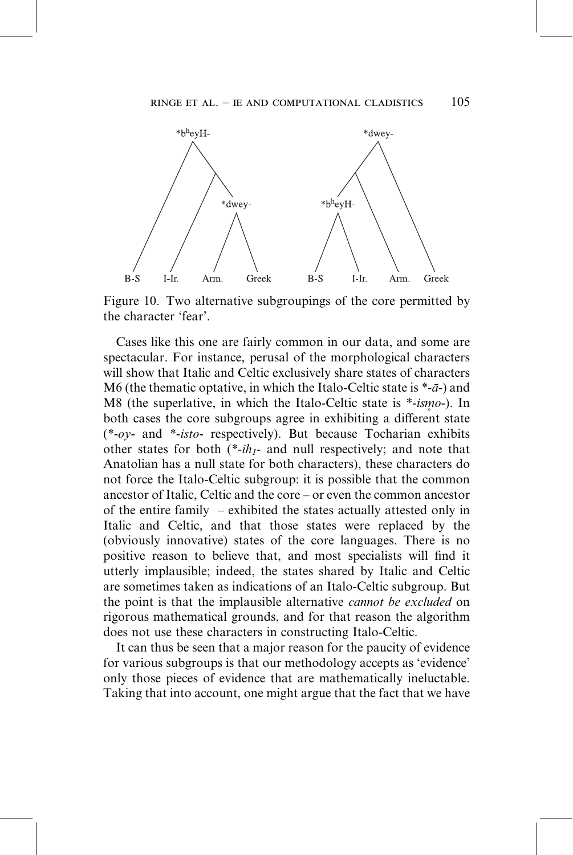

Figure 10. Two alternative subgroupings of the core permitted by the character 'fear'.

Cases like this one are fairly common in our data, and some are spectacular. For instance, perusal of the morphological characters will show that Italic and Celtic exclusively share states of characters M6 (the thematic optative, in which the Italo-Celtic state is  $*$ - $\bar{a}$ -) and M8 (the superlative, in which the Italo-Celtic state is \*-*ismo*-). In both cases the core subgroups agree in exhibiting a different state  $(*-ov$ - and \*-*isto*- respectively). But because Tocharian exhibits other states for both  $(*-ih_1$ - and null respectively; and note that Anatolian has a null state for both characters), these characters do not force the Italo-Celtic subgroup: it is possible that the common ancestor of Italic. Celtic and the core  $-\alpha$  even the common ancestor of the entire family  $-$  exhibited the states actually attested only in Italic and Celtic, and that those states were replaced by the (obviously innovative) states of the core languages. There is no positive reason to believe that, and most specialists will find it utterly implausible; indeed, the states shared by Italic and Celtic are sometimes taken as indications of an Italo-Celtic subgroup. But the point is that the implausible alternative *cannot be excluded* on rigorous mathematical grounds, and for that reason the algorithm does not use these characters in constructing Italo-Celtic.

It can thus be seen that a major reason for the paucity of evidence for various subgroups is that our methodology accepts as 'evidence' only those pieces of evidence that are mathematically ineluctable. Taking that into account, one might argue that the fact that we have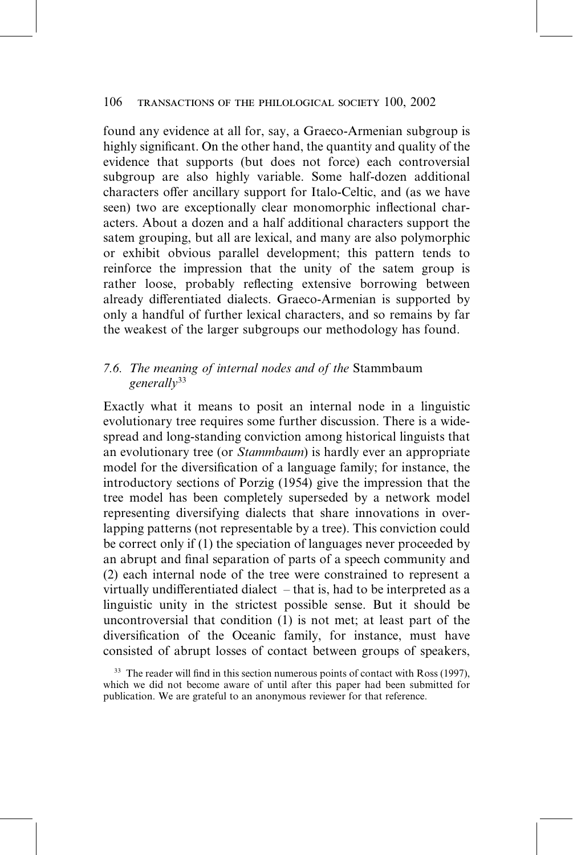found any evidence at all for, say, a Graeco-Armenian subgroup is highly significant. On the other hand, the quantity and quality of the evidence that supports (but does not force) each controversial subgroup are also highly variable. Some half-dozen additional characters offer ancillary support for Italo-Celtic, and (as we have seen) two are exceptionally clear monomorphic inflectional characters. About a dozen and a half additional characters support the satem grouping, but all are lexical, and many are also polymorphic or exhibit obvious parallel development; this pattern tends to reinforce the impression that the unity of the satem group is rather loose, probably reflecting extensive borrowing between already differentiated dialects. Graeco-Armenian is supported by only a handful of further lexical characters, and so remains by far the weakest of the larger subgroups our methodology has found.

### 7.6. The meaning of internal nodes and of the Stammbaum generall $v^{33}$

Exactly what it means to posit an internal node in a linguistic evolutionary tree requires some further discussion. There is a widespread and long-standing conviction among historical linguists that an evolutionary tree (or *Stammbaum*) is hardly ever an appropriate model for the diversification of a language family; for instance, the introductory sections of Porzig (1954) give the impression that the tree model has been completely superseded by a network model representing diversifying dialects that share innovations in overlapping patterns (not representable by a tree). This conviction could be correct only if (1) the speciation of languages never proceeded by an abrupt and final separation of parts of a speech community and (2) each internal node of the tree were constrained to represent a virtually undifferentiated dialect  $-$  that is, had to be interpreted as a linguistic unity in the strictest possible sense. But it should be uncontroversial that condition (1) is not met; at least part of the diversification of the Oceanic family, for instance, must have consisted of abrupt losses of contact between groups of speakers,

<sup>&</sup>lt;sup>33</sup> The reader will find in this section numerous points of contact with Ross (1997), which we did not become aware of until after this paper had been submitted for publication. We are grateful to an anonymous reviewer for that reference.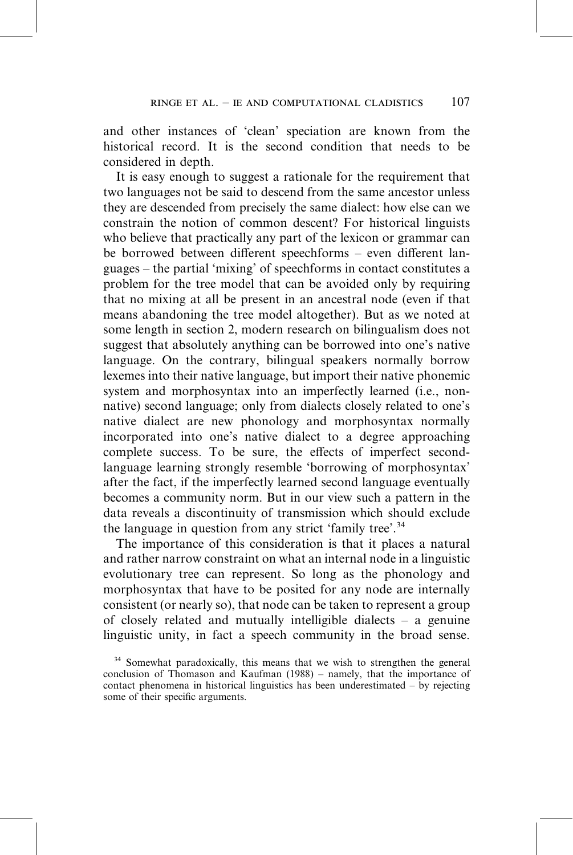and other instances of 'clean' speciation are known from the historical record. It is the second condition that needs to be considered in depth.

It is easy enough to suggest a rationale for the requirement that two languages not be said to descend from the same ancestor unless they are descended from precisely the same dialect: how else can we constrain the notion of common descent? For historical linguists who believe that practically any part of the lexicon or grammar can be borrowed between different speechforms – even different languages – the partial 'mixing' of speechforms in contact constitutes a problem for the tree model that can be avoided only by requiring that no mixing at all be present in an ancestral node (even if that means abandoning the tree model altogether). But as we noted at some length in section 2, modern research on bilingualism does not suggest that absolutely anything can be borrowed into one's native language. On the contrary, bilingual speakers normally borrow lexemes into their native language, but import their native phonemic system and morphosyntax into an imperfectly learned (i.e., nonnative) second language; only from dialects closely related to one's native dialect are new phonology and morphosyntax normally incorporated into one's native dialect to a degree approaching complete success. To be sure, the effects of imperfect secondlanguage learning strongly resemble 'borrowing of morphosyntax' after the fact, if the imperfectly learned second language eventually becomes a community norm. But in our view such a pattern in the data reveals a discontinuity of transmission which should exclude the language in question from any strict 'family tree'.<sup>34</sup>

The importance of this consideration is that it places a natural and rather narrow constraint on what an internal node in a linguistic evolutionary tree can represent. So long as the phonology and morphosyntax that have to be posited for any node are internally consistent (or nearly so), that node can be taken to represent a group of closely related and mutually intelligible dialects  $-$  a genuine linguistic unity, in fact a speech community in the broad sense.

<sup>34</sup> Somewhat paradoxically, this means that we wish to strengthen the general conclusion of Thomason and Kaufman (1988) – namely, that the importance of contact phenomena in historical linguistics has been underestimated  $-\mathbf{b}$  rejecting some of their specific arguments.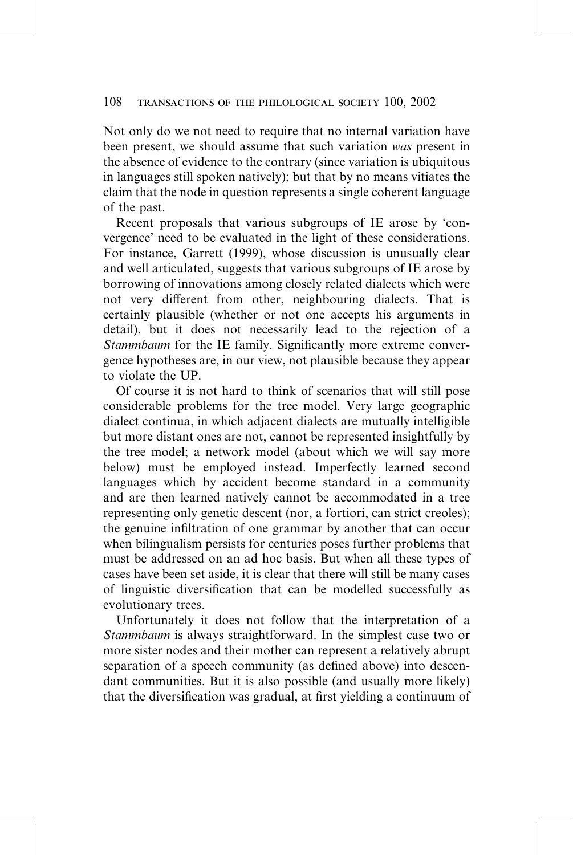Not only do we not need to require that no internal variation have been present, we should assume that such variation was present in the absence of evidence to the contrary (since variation is ubiquitous in languages still spoken natively); but that by no means vitiates the claim that the node in question represents a single coherent language of the past.

Recent proposals that various subgroups of IE arose by 'convergence' need to be evaluated in the light of these considerations. For instance, Garrett (1999), whose discussion is unusually clear and well articulated, suggests that various subgroups of IE arose by borrowing of innovations among closely related dialects which were not very different from other, neighbouring dialects. That is certainly plausible (whether or not one accepts his arguments in detail), but it does not necessarily lead to the rejection of a *Stammbaum* for the IE family. Significantly more extreme convergence hypotheses are, in our view, not plausible because they appear to violate the UP

Of course it is not hard to think of scenarios that will still pose considerable problems for the tree model. Very large geographic dialect continua, in which adjacent dialects are mutually intelligible but more distant ones are not, cannot be represented insightfully by the tree model; a network model (about which we will say more below) must be employed instead. Imperfectly learned second languages which by accident become standard in a community and are then learned natively cannot be accommodated in a tree representing only genetic descent (nor, a fortiori, can strict creoles); the genuine infiltration of one grammar by another that can occur when bilingualism persists for centuries poses further problems that must be addressed on an ad hoc basis. But when all these types of cases have been set aside, it is clear that there will still be many cases of linguistic diversification that can be modelled successfully as evolutionary trees.

Unfortunately it does not follow that the interpretation of a *Stammbaum* is always straightforward. In the simplest case two or more sister nodes and their mother can represent a relatively abrupt separation of a speech community (as defined above) into descendant communities. But it is also possible (and usually more likely) that the diversification was gradual, at first yielding a continuum of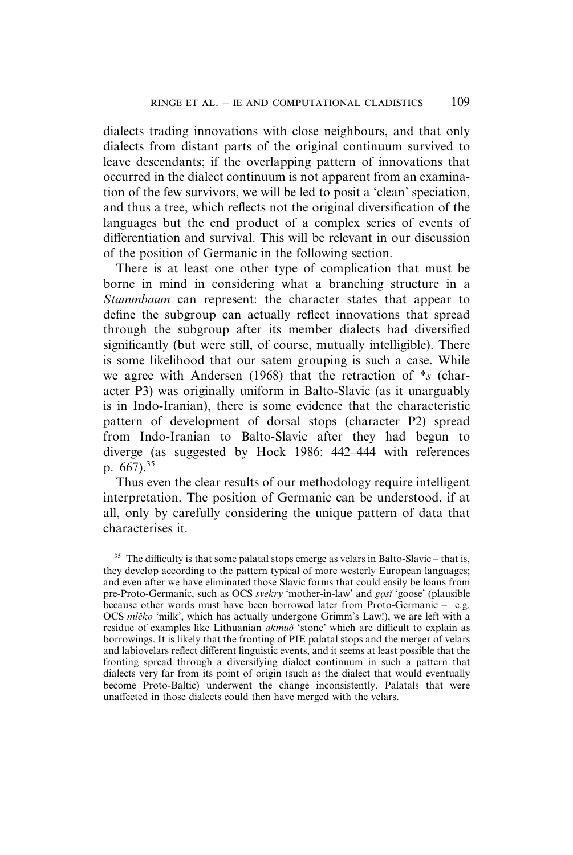dialects trading innovations with close neighbours, and that only dialects from distant parts of the original continuum survived to leave descendants; if the overlapping pattern of innovations that occurred in the dialect continuum is not apparent from an examination of the few survivors, we will be led to posit a 'clean' speciation. and thus a tree, which reflects not the original diversification of the languages but the end product of a complex series of events of differentiation and survival. This will be relevant in our discussion of the position of Germanic in the following section.

There is at least one other type of complication that must be borne in mind in considering what a branching structure in a Stammbaum can represent: the character states that appear to define the subgroup can actually reflect innovations that spread through the subgroup after its member dialects had diversified significantly (but were still, of course, mutually intelligible). There is some likelihood that our satem grouping is such a case. While we agree with Andersen (1968) that the retraction of  $*_s$  (character P3) was originally uniform in Balto-Slavic (as it unarguably is in Indo-Iranian), there is some evidence that the characteristic pattern of development of dorsal stops (character P2) spread from Indo-Iranian to Balto-Slavic after they had begun to diverge (as suggested by Hock 1986: 442-444 with references p.  $667.35$ 

Thus even the clear results of our methodology require intelligent interpretation. The position of Germanic can be understood, if at all, only by carefully considering the unique pattern of data that characterises it.

The difficulty is that some palatal stops emerge as velars in Balto-Slavic – that is, they develop according to the pattern typical of more westerly European languages; and even after we have eliminated those Slavic forms that could easily be loans from pre-Proto-Germanic, such as OCS svekry 'mother-in-law' and gost 'goose' (plausible because other words must have been borrowed later from Proto-Germanic – e.g. OCS mlěko 'milk', which has actually undergone Grimm's Law!), we are left with a residue of examples like Lithuanian akmuo 'stone' which are difficult to explain as borrowings. It is likely that the fronting of PIE palatal stops and the merger of velars and labiovelars reflect different linguistic events, and it seems at least possible that the fronting spread through a diversifying dialect continuum in such a pattern that dialects very far from its point of origin (such as the dialect that would eventually become Proto-Baltic) underwent the change inconsistently. Palatals that were unaffected in those dialects could then have merged with the velars.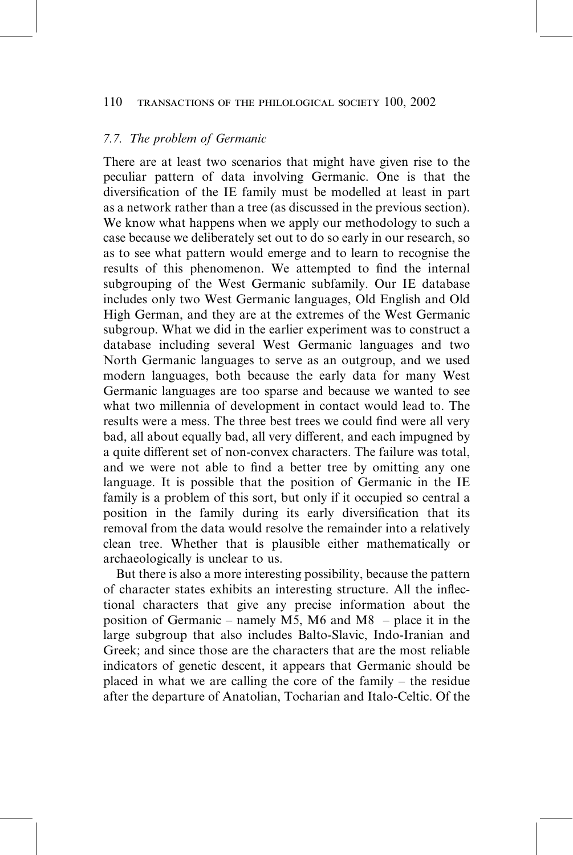#### 110 TRANSACTIONS OF THE PHILOLOGICAL SOCIETY 100, 2002

#### 7.7. The problem of Germanic

There are at least two scenarios that might have given rise to the peculiar pattern of data involving Germanic. One is that the diversification of the IE family must be modelled at least in part as a network rather than a tree (as discussed in the previous section). We know what happens when we apply our methodology to such a case because we deliberately set out to do so early in our research, so as to see what pattern would emerge and to learn to recognise the results of this phenomenon. We attempted to find the internal subgrouping of the West Germanic subfamily. Our IE database includes only two West Germanic languages. Old English and Old High German, and they are at the extremes of the West Germanic subgroup. What we did in the earlier experiment was to construct a database including several West Germanic languages and two North Germanic languages to serve as an outgroup, and we used modern languages, both because the early data for many West Germanic languages are too sparse and because we wanted to see what two millennia of development in contact would lead to. The results were a mess. The three best trees we could find were all very bad, all about equally bad, all very different, and each impugned by a quite different set of non-convex characters. The failure was total, and we were not able to find a better tree by omitting any one language. It is possible that the position of Germanic in the IE family is a problem of this sort, but only if it occupied so central a position in the family during its early diversification that its removal from the data would resolve the remainder into a relatively clean tree. Whether that is plausible either mathematically or archaeologically is unclear to us.

But there is also a more interesting possibility, because the pattern of character states exhibits an interesting structure. All the inflectional characters that give any precise information about the position of Germanic – namely M5, M6 and M8 – place it in the large subgroup that also includes Balto-Slavic, Indo-Iranian and Greek: and since those are the characters that are the most reliable indicators of genetic descent, it appears that Germanic should be placed in what we are calling the core of the family  $-$  the residue after the departure of Anatolian, Tocharian and Italo-Celtic. Of the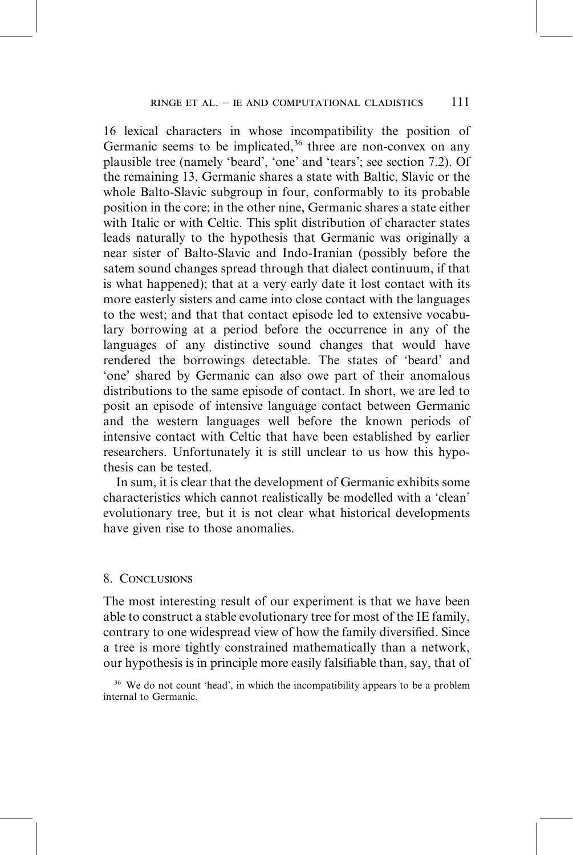16 lexical characters in whose incompatibility the position of Germanic seems to be implicated,  $36$  three are non-convex on any plausible tree (namely 'beard', 'one' and 'tears'; see section 7.2). Of the remaining 13, Germanic shares a state with Baltic, Slavic or the whole Balto-Slavic subgroup in four, conformably to its probable position in the core: in the other nine. Germanic shares a state either with Italic or with Celtic. This split distribution of character states leads naturally to the hypothesis that Germanic was originally a near sister of Balto-Slavic and Indo-Iranian (possibly before the satem sound changes spread through that dialect continuum, if that is what happened); that at a very early date it lost contact with its more easterly sisters and came into close contact with the languages to the west; and that that contact episode led to extensive vocabulary borrowing at a period before the occurrence in any of the languages of any distinctive sound changes that would have rendered the borrowings detectable. The states of 'beard' and 'one' shared by Germanic can also owe part of their anomalous distributions to the same episode of contact. In short, we are led to posit an episode of intensive language contact between Germanic and the western languages well before the known periods of intensive contact with Celtic that have been established by earlier researchers. Unfortunately it is still unclear to us how this hypothesis can be tested.

In sum, it is clear that the development of Germanic exhibits some characteristics which cannot realistically be modelled with a 'clean' evolutionary tree, but it is not clear what historical developments have given rise to those anomalies.

#### 8 CONCLUSIONS

The most interesting result of our experiment is that we have been able to construct a stable evolutionary tree for most of the IE family, contrary to one widespread view of how the family diversified. Since a tree is more tightly constrained mathematically than a network, our hypothesis is in principle more easily falsifiable than, say, that of

<sup>36</sup> We do not count 'head', in which the incompatibility appears to be a problem internal to Germanic.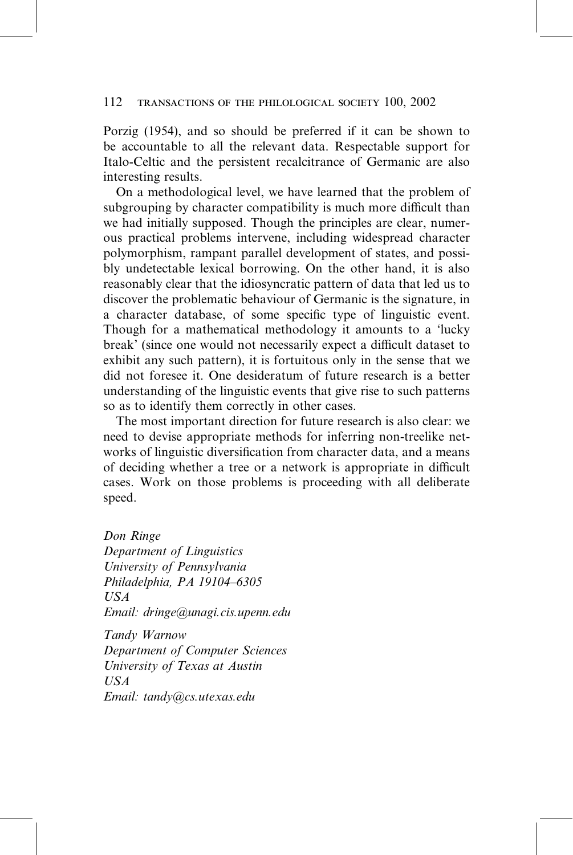Porzig (1954), and so should be preferred if it can be shown to be accountable to all the relevant data. Respectable support for Italo-Celtic and the persistent recalcitrance of Germanic are also interesting results.

On a methodological level, we have learned that the problem of subgrouping by character compatibility is much more difficult than we had initially supposed. Though the principles are clear, numerous practical problems intervene, including widespread character polymorphism, rampant parallel development of states, and possibly undetectable lexical borrowing. On the other hand, it is also reasonably clear that the idiosyncratic pattern of data that led us to discover the problematic behaviour of Germanic is the signature, in a character database, of some specific type of linguistic event. Though for a mathematical methodology it amounts to a 'lucky break' (since one would not necessarily expect a difficult dataset to exhibit any such pattern), it is fortuitous only in the sense that we did not foresee it. One desideratum of future research is a better understanding of the linguistic events that give rise to such patterns so as to identify them correctly in other cases.

The most important direction for future research is also clear; we need to devise appropriate methods for inferring non-treelike networks of linguistic diversification from character data, and a means of deciding whether a tree or a network is appropriate in difficult cases. Work on those problems is proceeding with all deliberate speed.

Don Ringe Department of Linguistics University of Pennsylvania Philadelphia, PA 19104-6305  $IISA$ Email: dringe@unagi.cis.upenn.edu Tandy Warnow Department of Computer Sciences University of Texas at Austin **USA** 

Email: tandy@cs.utexas.edu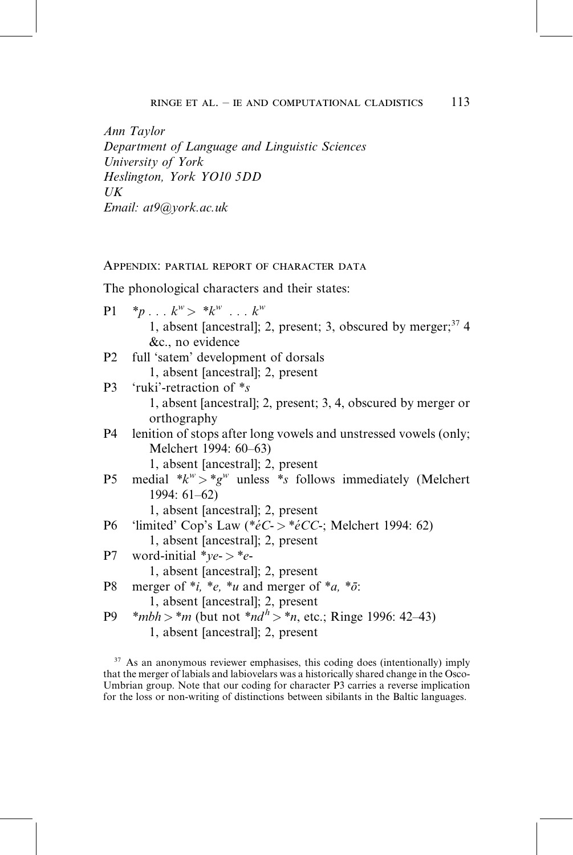Ann Taylor Department of Language and Linguistic Sciences University of York Heslington, York YO10 5DD  $U K$ Email: at9@york.ac.uk

#### APPENDIX: PARTIAL REPORT OF CHARACTER DATA

The phonological characters and their states:

|    | $P1 \quad *p \ldots k^w > *k^w \ldots k^w$                                        |
|----|-----------------------------------------------------------------------------------|
|    | 1, absent [ancestral]; 2, present; 3, obscured by merger; $^{37}$ 4               |
|    | &c., no evidence                                                                  |
| P2 | full 'satem' development of dorsals                                               |
|    | 1, absent [ancestral]; 2, present                                                 |
|    | P3 'ruki'-retraction of $*_s$                                                     |
|    | 1, absent [ancestral]; 2, present; 3, 4, obscured by merger or                    |
|    | orthography                                                                       |
| Р4 | lenition of stops after long vowels and unstressed vowels (only;                  |
|    | Melchert 1994: 60–63)                                                             |
|    | 1, absent [ancestral]; 2, present                                                 |
| P5 | medial $*k^w > *g^w$ unless $*$ follows immediately (Melchert                     |
|    | $1994: 61-62$                                                                     |
|    | 1, absent [ancestral]; 2, present                                                 |
| Р6 | 'limited' Cop's Law (* $e^{\epsilon}C$ > * $e^{\epsilon}CC$ ); Melchert 1994: 62) |
|    | 1, absent [ancestral]; 2, present                                                 |
| P7 | word-initial $*_{ye->*_e}$                                                        |
|    | 1, absent [ancestral]; 2, present                                                 |
| P8 | merger of $*_i$ , $*_e$ , $*_u$ and merger of $*_a$ , $*_\sigma$ .                |
|    | 1, absent [ancestral]; 2, present                                                 |
| P9 | *mbh > *m (but not *nd <sup>h</sup> > *n, etc.; Ringe 1996: 42–43)                |
|    | 1, absent [ancestral]; 2, present                                                 |

<sup>37</sup> As an anonymous reviewer emphasises, this coding does (intentionally) imply that the merger of labials and labiovelars was a historically shared change in the Osco-Umbrian group. Note that our coding for character P3 carries a reverse implication for the loss or non-writing of distinctions between sibilants in the Baltic languages.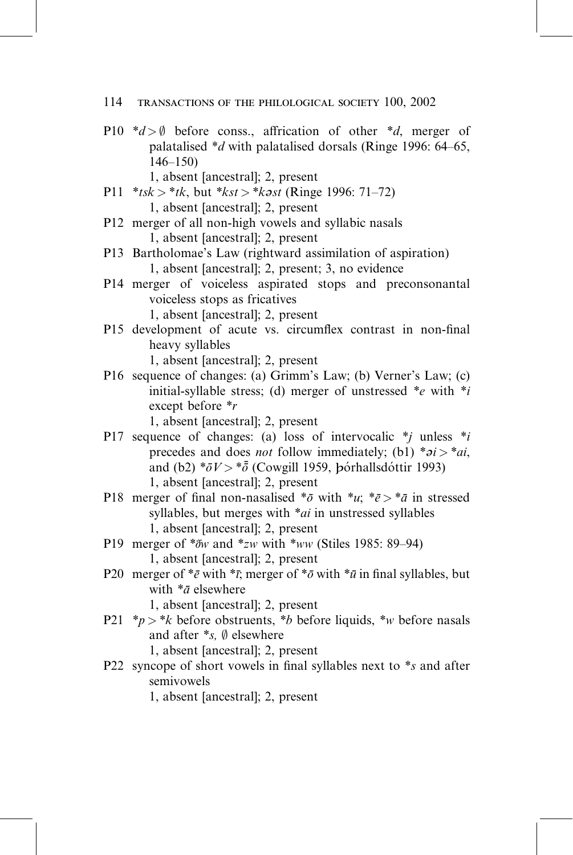- 114 TRANSACTIONS OF THE PHILOLOGICAL SOCIETY 100, 2002
- P10  $*d > \emptyset$  before conss., affrication of other  $*d$ , merger of palatalised \*d with palatalised dorsals (Ringe 1996: 64–65,  $146 - 150$ 
	- 1, absent [ancestral]; 2, present
- P11 \*tsk > \*tk, but \*kst > \*k $\sigma$ st (Ringe 1996: 71–72) 1, absent [ancestral]; 2, present
- P12 merger of all non-high vowels and svllabic nasals 1. absent fancestrall: 2. present
- P13 Bartholomae's Law (rightward assimilation of aspiration) 1, absent [ancestral]; 2, present; 3, no evidence
- P14 merger of voiceless aspirated stops and preconsonantal voiceless stops as fricatives
	- 1, absent [ancestral]; 2, present
- P15 development of acute vs. circumflex contrast in non-final heavy syllables
	- 1, absent [ancestral]; 2, present
- P16 sequence of changes: (a) Grimm's Law; (b) Verner's Law; (c) initial-syllable stress; (d) merger of unstressed  $*$ e with  $*$ i except before  $*_r$ 
	- 1, absent [ancestral]; 2, present
- P17 sequence of changes: (a) loss of intervocalic  $*_i$  unless  $*_i$ precedes and does *not* follow immediately; (b1)  $*ai > *ai$ , and (b2)  $* \bar{\sigma} V > * \bar{\sigma}$  (Coweill 1959, bórhallsdóttir 1993) 1. absent [ancestral]: 2. present
- P18 merger of final non-nasalised  $\overline{v}$  with  $\overline{u}$ :  $\overline{v}$   $\overline{e}$  in stressed syllables, but merges with \*ai in unstressed syllables 1, absent [ancestral]; 2, present
- P19 merger of  $* \partial w$  and  $* zw$  with  $* ww$  (Stiles 1985: 89–94) 1, absent [ancestral]; 2, present
- P20 merger of  $* \bar{e}$  with  $* \bar{i}$ ; merger of  $* \bar{o}$  with  $* \bar{u}$  in final syllables, but with  $*{\bar a}$  elsewhere
	- 1, absent [ancestral]; 2, present
- P21  $*_p$  >  $*_k$  before obstruents,  $*_b$  before liquids,  $*_w$  before nasals and after  $*_s$ ,  $\emptyset$  elsewhere
	- 1, absent [ancestral]; 2, present
- P22 syncope of short vowels in final syllables next to \*s and after semivowels
	- 1, absent [ancestral]; 2, present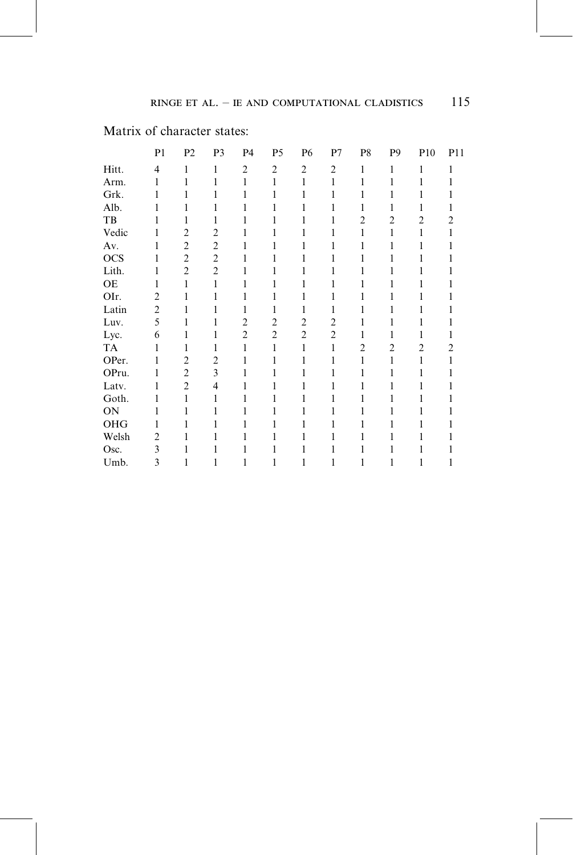# Matrix of character states:

|            | P1             | P <sub>2</sub> | P <sub>3</sub> | P <sub>4</sub> | P5             | P <sub>6</sub> | P7             | P8             | P9             | P <sub>10</sub> | P11 |
|------------|----------------|----------------|----------------|----------------|----------------|----------------|----------------|----------------|----------------|-----------------|-----|
| Hitt.      | 4              | 1              | 1              | $\overline{2}$ | $\overline{2}$ | $\overline{c}$ | $\overline{2}$ | 1              | 1              | 1               | 1   |
| Arm.       | 1              | 1              | 1              | $\mathbf{1}$   | $\mathbf{1}$   | $\mathbf{1}$   | 1              | 1              | 1              | 1               |     |
| Grk.       | 1              | 1              | 1              | 1              | 1              | 1              | 1              | 1              | 1              | 1               |     |
| Alb.       | 1              | 1              | 1              | 1              | 1              | 1              | 1              | 1              | 1              | 1               |     |
| TB         | 1              | 1              | 1              | 1              | 1              | 1              | 1              | $\overline{2}$ | $\overline{2}$ | $\overline{2}$  | 2   |
| Vedic      | 1              | $\overline{2}$ | 2              | 1              | 1              |                | 1              | 1              | 1              | 1               |     |
| Av.        | 1              | $\overline{2}$ | $\overline{c}$ | 1              | 1              | 1              | 1              | 1              | 1              | 1               |     |
| <b>OCS</b> | 1              | $\overline{c}$ | $\overline{c}$ | 1              | 1              |                | 1              | 1              | 1              | 1               |     |
| Lith.      | 1              | $\overline{2}$ | $\overline{c}$ | 1              | 1              | 1              | 1              | 1              | 1              | 1               |     |
| <b>OE</b>  | 1              | 1              | 1              | 1              | 1              | 1              | 1              | 1              | 1              | 1               |     |
| OIr.       | $\overline{c}$ | 1              | 1              | 1              | 1              | 1              | 1              | 1              | 1              | 1               |     |
| Latin      | $\overline{c}$ | 1              | 1              | 1              | 1              | 1              | 1              | 1              | 1              | 1               |     |
| Luv.       | 5              | 1              | 1              | 2              | 2              | 2              | 2              | 1              | 1              | 1               |     |
| Lyc.       | 6              | 1              | 1              | $\overline{2}$ | $\overline{2}$ | $\overline{c}$ | 2              | 1              | 1              | 1               |     |
| TA         | 1              | 1              | 1              | 1              | 1              | $\mathbf{1}$   | 1              | 2              | 2              | 2               | 2   |
| OPer.      | 1              | 2              | 2              | 1              | 1              | 1              | 1              | 1              | 1              | 1               |     |
| OPru.      | 1              | $\overline{c}$ | 3              | 1              | 1              | 1              | 1              | 1              | 1              | 1               |     |
| Latv.      | 1              | $\overline{2}$ | 4              | 1              | 1              | 1              | 1              | 1              | 1              | 1               |     |
| Goth.      | 1              | 1              | 1              | 1              | 1              | 1              | 1              | 1              | 1              | 1               |     |
| ON         | 1              | 1              | 1              | 1              | 1              | 1              | 1              | 1              | 1              | 1               |     |
| OHG        | 1              | 1              | 1              | 1              | 1              | 1              | 1              | 1              | 1              | 1               |     |
| Welsh      | $\overline{2}$ | 1              | 1              | 1              | 1              | 1              | 1              | 1              | 1              | 1               |     |
| Osc.       | 3              | 1              | 1              |                |                |                | l              | l              | l              | l               |     |
| Umb.       | 3              |                |                |                |                |                | 1              | 1              | 1              | 1               |     |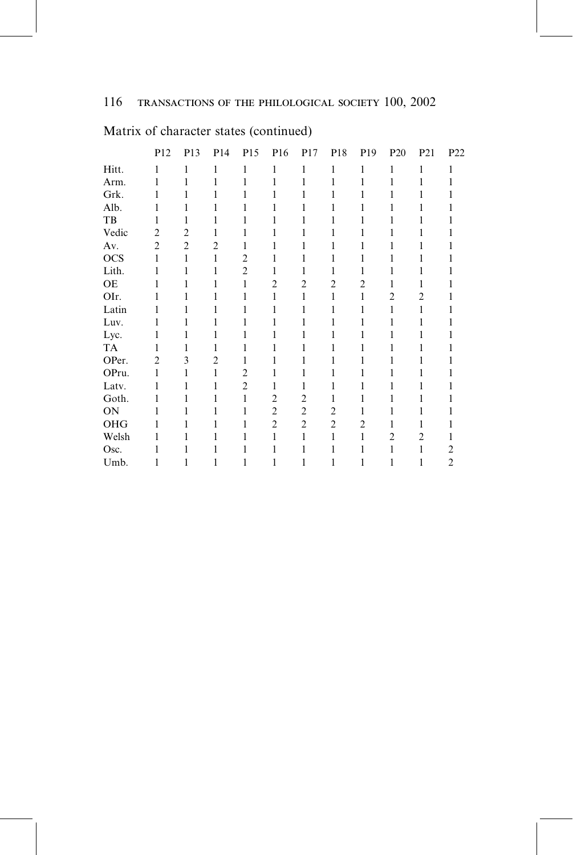## 116 TRANSACTIONS OF THE PHILOLOGICAL SOCIETY 100, 2002

|            | P <sub>12</sub> | P <sub>13</sub> | P <sub>14</sub> | P <sub>15</sub> | P <sub>16</sub> | P17            | P18 | P <sub>19</sub> | P <sub>20</sub> | P <sub>21</sub> | P <sub>22</sub> |
|------------|-----------------|-----------------|-----------------|-----------------|-----------------|----------------|-----|-----------------|-----------------|-----------------|-----------------|
| Hitt.      | 1               | 1               | 1               | 1               | 1               | 1              | 1   | 1               | 1               | 1               | 1               |
| Arm.       | 1               | 1               | 1               | 1               | 1               | 1              | 1   | 1               | 1               | 1               | 1               |
| Grk.       | 1               | 1               | 1               | 1               | 1               | 1              | 1   | 1               | 1               | 1               |                 |
| Alb.       | 1               | 1               | 1               | 1               | 1               | 1              | 1   | 1               | 1               | 1               |                 |
| TB         | 1               | 1               | 1               | 1               | 1               | 1              | 1   | 1               | 1               | 1               |                 |
| Vedic      | 2               | $\overline{2}$  | 1               | 1               | 1               | 1              | 1   | 1               | 1               | 1               |                 |
| Av.        | $\overline{c}$  | $\overline{2}$  | 2               | 1               | 1               | 1              | 1   | 1               | 1               | 1               |                 |
| <b>OCS</b> | 1               | 1               | 1               | 2               | 1               | 1              | 1   | 1               | 1               | 1               |                 |
| Lith.      | 1               | 1               | 1               | $\overline{c}$  | 1               | 1              | 1   | 1               | 1               | 1               |                 |
| OE         | 1               | 1               | 1               | 1               | 2               | $\overline{c}$ | 2   | 2               | 1               | 1               |                 |
| OIr.       | 1               | 1               | 1               | 1               | 1               | 1              | 1   | 1               | $\overline{2}$  | 2               |                 |
| Latin      | 1               | 1               | 1               | 1               | 1               | 1              | 1   | 1               | 1               | 1               |                 |
| Luv.       | 1               | 1               | 1               | 1               | 1               | 1              | 1   | 1               | 1               | 1               |                 |
| Lyc.       | 1               | 1               | 1               | 1               | 1               | 1              | 1   | 1               | 1               | 1               |                 |
| TA         | 1               | 1               | 1               | 1               | 1               | 1              | 1   | 1               | 1               | 1               |                 |
| OPer.      | 2               | 3               | 2               | 1               | 1               | 1              | 1   | 1               | 1               | 1               |                 |
| OPru.      | 1               | 1               | 1               | 2               | 1               | 1              | 1   | 1               | 1               | 1               |                 |
| Latv.      | 1               | 1               | 1               | $\overline{c}$  | 1               | 1              | 1   | 1               | 1               | 1               |                 |
| Goth.      | 1               | 1               | 1               | 1               | 2               | 2              | 1   | 1               | 1               | 1               |                 |
| <b>ON</b>  | 1               | 1               | 1               | 1               | $\overline{2}$  | $\overline{2}$ | 2   | 1               | 1               | 1               |                 |
| <b>OHG</b> | 1               | 1               | 1               | 1               | $\mathfrak{2}$  | $\mathfrak{2}$ | 2   | 2               | 1               | 1               |                 |
| Welsh      | 1               | 1               | 1               | 1               | 1               | 1              | 1   | 1               | $\overline{2}$  | 2               |                 |
| Osc.       | 1               | 1               | 1               | 1               | 1               | 1              | 1   | 1               | 1               | 1               | 2               |
| Umb.       |                 | 1               | 1               | 1               | 1               | 1              | 1   | 1               | 1               | 1               | 2               |

# Matrix of character states (continued)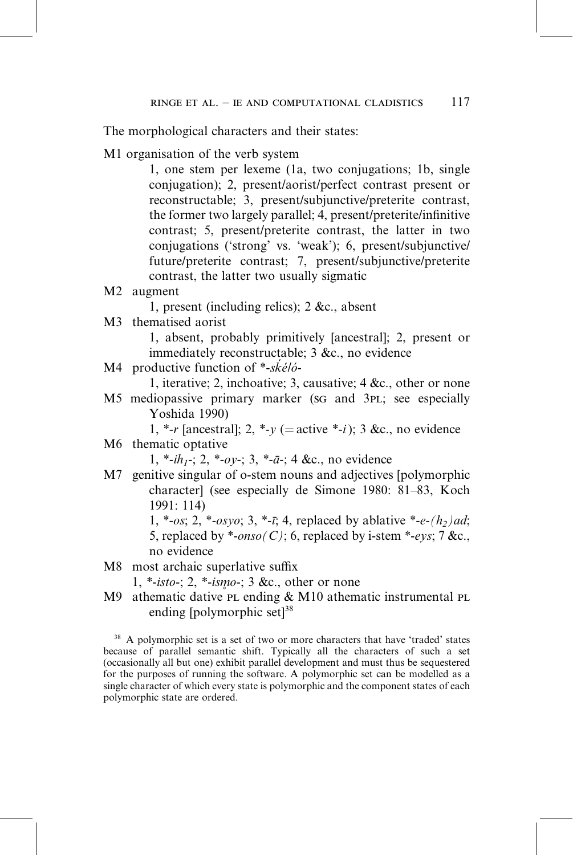The morphological characters and their states:

M1 organisation of the verb system

1, one stem per lexeme (1a, two conjugations; 1b, single conjugation); 2, present/aorist/perfect contrast present or reconstructable; 3, present/subjunctive/preterite contrast, the former two largely parallel: 4, present/preterite/infinitive contrast; 5, present/preterite contrast, the latter in two conjugations ('strong' vs. 'weak'); 6, present/subjunctive/ future/preterite contrast: 7, present/subjunctive/preterite contrast, the latter two usually sigmatic

M<sub>2</sub> augment

1, present (including relics);  $2 \&c.,$  absent

M<sub>3</sub> thematised aorist

1, absent, probably primitively [ancestral]; 2, present or immediately reconstructable;  $3 \&c.,$  no evidence

M4 productive function of  $*$ -skel 6-

1, iterative; 2, inchoative; 3, causative;  $4 \&c.,$  other or none

M5 mediopassive primary marker (sq and 3 PL; see especially Yoshida 1990)

1, \*-*r* [ancestral]; 2, \*-*y* (= active \*-*i*); 3 &c., no evidence M6 thematic optative

1, \*- $ih_1$ -; 2, \*- $oy$ -; 3, \*- $\bar{a}$ -; 4 &c., no evidence

- M7 genitive singular of o-stem nouns and adjectives [polymorphic] characterl (see especially de Simone 1980: 81–83. Koch  $1991:114$ 
	- 1, \*-*os*; 2, \*-*osvo*; 3, \*-*i*; 4, replaced by ablative \*-*e*- $(h_2)$ *ad*; 5, replaced by \*-*onso* (C); 6, replaced by i-stem \*-*eys*; 7 &c., no evidence
- M8 most archaic superlative suffix
	- 1, \*-*isto*-; 2, \*-*ismo*-; 3 &c., other or none
- M9 athematic dative PL ending  $& M10$  athematic instrumental PL ending [polymorphic set]<sup>38</sup>

<sup>38</sup> A polymorphic set is a set of two or more characters that have 'traded' states because of parallel semantic shift. Typically all the characters of such a set (occasionally all but one) exhibit parallel development and must thus be sequestered for the purposes of running the software. A polymorphic set can be modelled as a single character of which every state is polymorphic and the component states of each polymorphic state are ordered.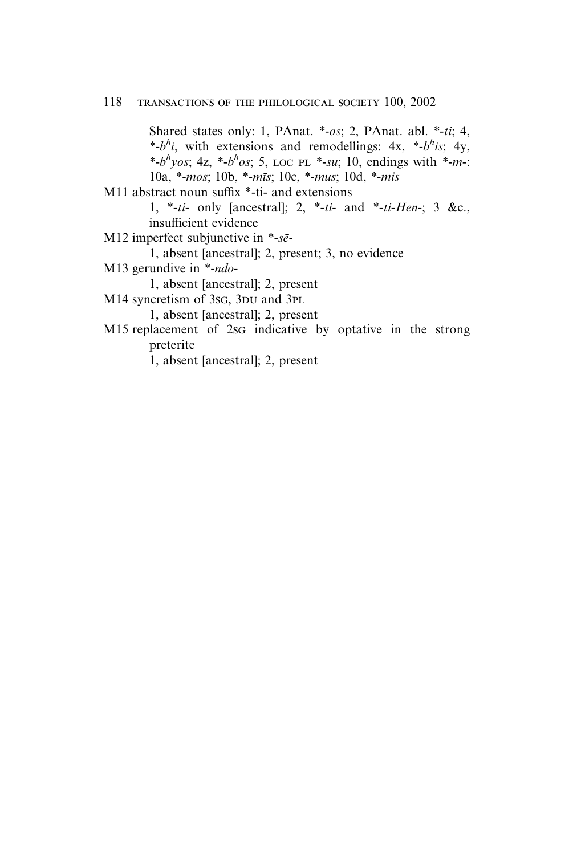### 118 TRANSACTIONS OF THE PHILOLOGICAL SOCIETY 100, 2002

Shared states only: 1, PAnat.  $*-os$ ; 2, PAnat. abl.  $*-ti$ ; 4, \*- $b^h i$ , with extensions and remodellings: 4x, \*- $b^h i s$ ; 4y, \*-b<sup>h</sup>yos; 4z, \*-b<sup>h</sup>os; 5, LOC PL \*-su; 10, endings with \*-m-: 10a, \*-mos; 10b, \*-mīs; 10c, \*-mus; 10d, \*-mis

M11 abstract noun suffix \*-ti- and extensions

1, \*-ti- only [ancestral]; 2, \*-ti- and \*-ti-Hen-; 3 &c., insufficient evidence

M12 imperfect subjunctive in  $*-s\bar{e}$ 

1, absent [ancestral]; 2, present; 3, no evidence

M13 gerundive in  $*$ -ndo-

1, absent [ancestral]; 2, present

M14 syncretism of 3sG, 3DU and 3PL

1, absent [ancestral]; 2, present

M15 replacement of 2sG indicative by optative in the strong preterite

1, absent [ancestral]; 2, present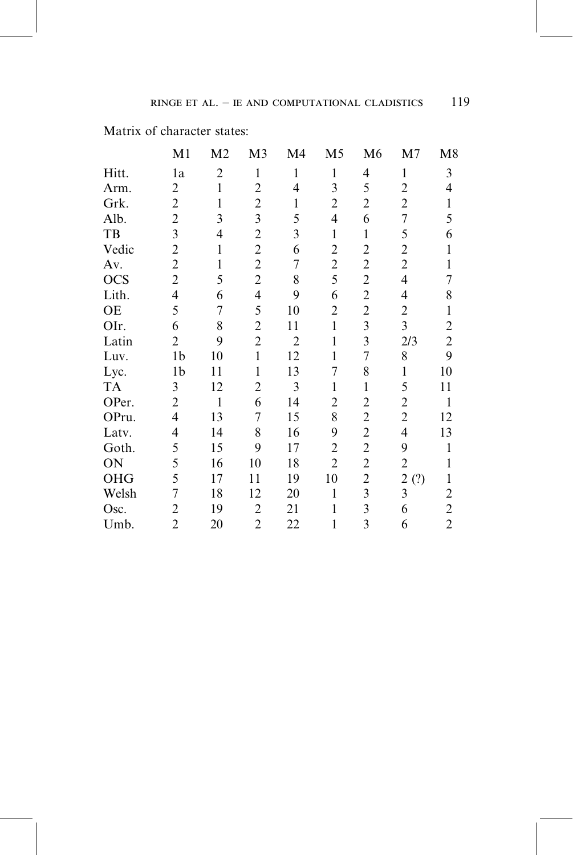Matrix of character states:

|             | M1                      | M <sub>2</sub>           | M <sub>3</sub>          | M4             | M <sub>5</sub>          | M6                      | M <sub>7</sub>           | M8             |
|-------------|-------------------------|--------------------------|-------------------------|----------------|-------------------------|-------------------------|--------------------------|----------------|
| Hitt.       | 1a                      | $\overline{c}$           | $\mathbf{1}$            | $\mathbf{1}$   | $\mathbf{1}$            | $\overline{\mathbf{4}}$ | $\mathbf{1}$             | 3              |
| Arm.        | $\mathfrak{2}$          | $\mathbf{1}$             | $\overline{c}$          | $\overline{4}$ | 3                       | 5                       | $\overline{c}$           | 4              |
| Grk.        | $\overline{c}$          | $\mathbf{1}$             | $\overline{c}$          | $\,1$          | $\overline{c}$          | $\overline{c}$          | $\overline{c}$           | 1              |
| Alb.        | $\overline{c}$          | 3                        | $\overline{\mathbf{3}}$ | 5              | $\overline{\mathbf{4}}$ | 6                       | $\overline{7}$           | 5              |
| $_{\rm TB}$ | $\overline{3}$          | $\overline{\mathcal{L}}$ | $\overline{c}$          | 3              | $\mathbf{1}$            | $\mathbf{1}$            | 5                        | 6              |
| Vedic       | $\overline{c}$          | $\mathbf{1}$             | $\overline{c}$          | 6              | $\overline{c}$          | $\overline{c}$          | $\overline{c}$           | 1              |
| Av.         | $\overline{c}$          | $\mathbf{1}$             | $\overline{c}$          | 7              | $\overline{c}$          | $\overline{c}$          | $\overline{c}$           | 1              |
| <b>OCS</b>  | $\overline{c}$          | 5                        | $\overline{c}$          | 8              | 5                       | $\overline{c}$          | $\overline{4}$           | 7              |
| Lith.       | $\overline{\mathbf{4}}$ | 6                        | $\overline{\mathbf{4}}$ | 9              | 6                       | $\overline{c}$          | $\overline{\mathcal{A}}$ | 8              |
| <b>OE</b>   | 5                       | $\overline{7}$           | 5                       | 10             | $\overline{c}$          | $\overline{c}$          | $\overline{c}$           | 1              |
| OIr.        | 6                       | 8                        | $\overline{c}$          | 11             | $\mathbf{1}$            | $\overline{\mathbf{3}}$ | $\overline{\mathbf{3}}$  | $\overline{2}$ |
| Latin       | $\overline{c}$          | 9                        | $\overline{c}$          | $\overline{2}$ | $\mathbf{1}$            | 3                       | 2/3                      | $\overline{c}$ |
| Luv.        | 1 <sub>b</sub>          | 10                       | $\mathbf{1}$            | 12             | 1                       | $\overline{7}$          | 8                        | 9              |
| Lyc.        | 1 <sub>b</sub>          | 11                       | $\mathbf{1}$            | 13             | $\overline{7}$          | 8                       | $\mathbf{1}$             | 10             |
| <b>TA</b>   | 3                       | 12                       | $\overline{c}$          | 3              | $\mathbf{1}$            | $\mathbf{1}$            | 5                        | 11             |
| OPer.       | $\overline{2}$          | $\mathbf{1}$             | 6                       | 14             | $\overline{c}$          | $\overline{c}$          |                          | 1              |
| OPru.       | $\overline{4}$          | 13                       | 7                       | 15             | 8                       | $\overline{c}$          | $\frac{2}{2}$            | 12             |
| Latv.       | 4                       | 14                       | 8                       | 16             | 9                       | $\overline{c}$          | $\overline{4}$           | 13             |
| Goth.       | 5                       | 15                       | 9                       | 17             | $\overline{c}$          | $\overline{c}$          | 9                        | 1              |
| ON          | 5                       | 16                       | 10                      | 18             | $\overline{c}$          | $\overline{c}$          | $\overline{c}$           |                |
| <b>OHG</b>  | 5                       | 17                       | 11                      | 19             | 10                      | $\overline{c}$          | $\overline{c}$<br>(?)    | 1              |
| Welsh       | $\overline{7}$          | 18                       | 12                      | 20             | $\mathbf{1}$            | $\overline{3}$          | 3                        | $\overline{c}$ |
| Osc.        | $\overline{c}$          | 19                       | $\overline{c}$          | 21             | 1                       | 3                       | 6                        | $\overline{c}$ |
| Umb.        | $\overline{c}$          | 20                       | $\overline{2}$          | 22             |                         | 3                       | 6                        | $\overline{c}$ |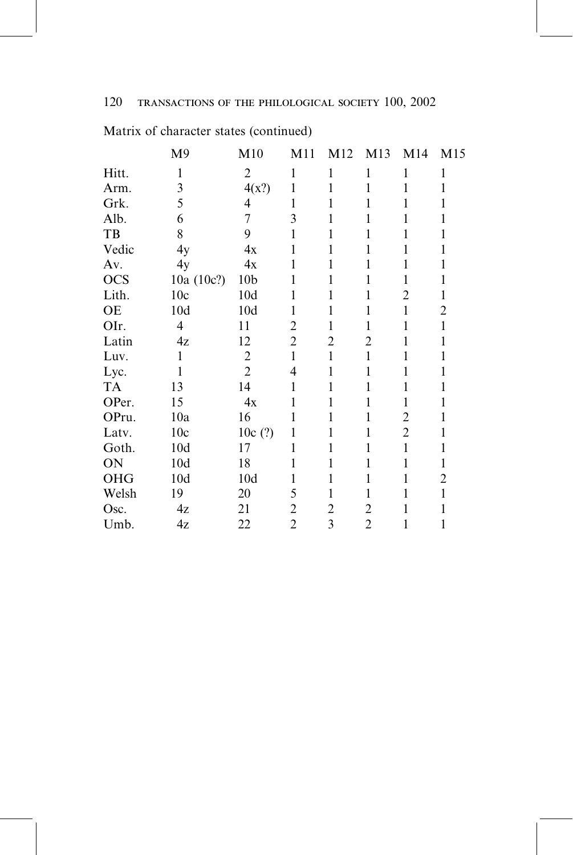|            | M <sub>9</sub> | M10             | M11            | M12          | M13            | M14            | M15            |
|------------|----------------|-----------------|----------------|--------------|----------------|----------------|----------------|
| Hitt.      | 1              | $\overline{c}$  | 1              | 1            | $\mathbf{1}$   | 1              | 1              |
| Arm.       | 3              | 4(x?)           | 1              | 1            | 1              | 1              | 1              |
| Grk.       | 5              | 4               | 1              | 1            | 1              | 1              | 1              |
| Alb.       | 6              | 7               | 3              | 1            | 1              | 1              | 1              |
| TB         | 8              | 9               | 1              | 1            | 1              | 1              | 1              |
| Vedic      | 4y             | 4x              | 1              | 1            | 1              | 1              | 1              |
| Av.        | 4y             | 4x              | 1              | 1            | 1              | 1              | 1              |
| <b>OCS</b> | 10a (10c?)     | 10 <sub>b</sub> | 1              | 1            | 1              | 1              | 1              |
| Lith.      | 10c            | 10d             | 1              | 1            | 1              | $\overline{c}$ | 1              |
| <b>OE</b>  | 10d            | 10d             | 1              | 1            | 1              | 1              | $\overline{c}$ |
| OIr.       | 4              | 11              | 2              | 1            | 1              | 1              | $\mathbf{1}$   |
| Latin      | 4z             | 12              | $\overline{c}$ | 2            | $\overline{c}$ | 1              | 1              |
| Luv.       | $\mathbf{1}$   | $\overline{2}$  | 1              | $\mathbf{1}$ | $\mathbf{1}$   | 1              | 1              |
| Lyc.       | 1              | $\overline{2}$  | 4              | 1            | 1              | 1              | 1              |
| <b>TA</b>  | 13             | 14              | 1              | 1            | 1              | 1              | 1              |
| OPer.      | 15             | 4x              | 1              | 1            | 1              | 1              | 1              |
| OPru.      | 10a            | 16              | 1              | 1            | 1              | 2              | 1              |
| Latv.      | 10c            | 10c(?)          | 1              | 1            | 1              | $\overline{c}$ | $\mathbf{1}$   |
| Goth.      | 10d            | 17              | 1              | 1            | 1              | $\mathbf{1}$   | $\mathbf{1}$   |
| ON         | 10d            | 18              | 1              | 1            | 1              | 1              | 1              |
| <b>OHG</b> | 10d            | 10d             | 1              | 1            | 1              | 1              | $\overline{c}$ |
| Welsh      | 19             | 20              | 5              | 1            | 1              | 1              | $\mathbf{1}$   |
| Osc.       | 4z             | 21              | 2              | 2            | $\overline{c}$ | 1              | 1              |
| Umb.       | 4z             | 22              | $\overline{2}$ | 3            | $\overline{c}$ | 1              | 1              |

Matrix of character states (continued)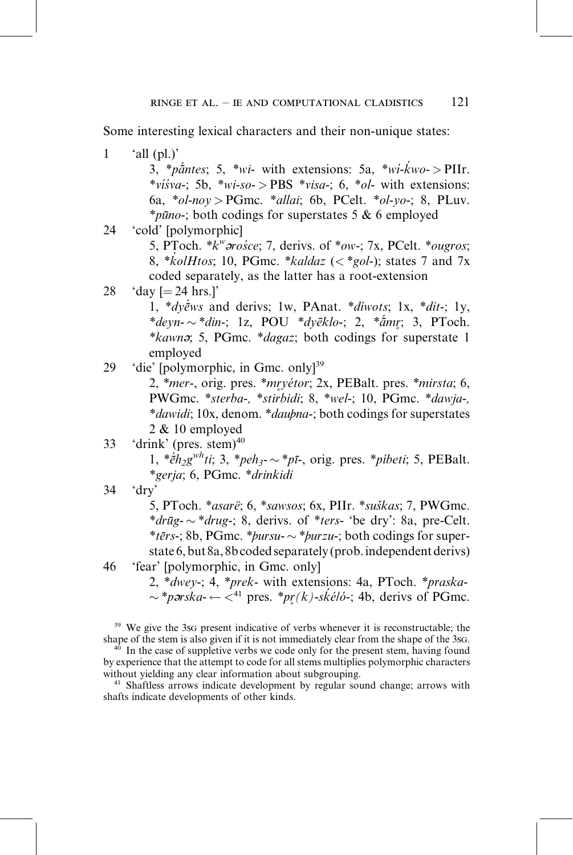Some interesting lexical characters and their non-unique states:

- 1 'all  $(\text{pl.})$ ' 3, \*p $\alpha$ *intes*; 5, \*wi- with extensions: 5a, \*wi- $\vec{k}$ wo->PIIr. \*visya-; 5b, \*wi-so->PBS \*visa-; 6, \*ol- with extensions: 6a,  $*_{ol-nov}$  > PGmc.  $*_{allai}$ ; 6b, PCelt.  $*_{ol-vo-1}$ ; 8, PLuv. \* $v\bar{u}$ *no*-: both codings for superstates 5 & 6 employed  $24$ 'cold' [polymorphic] 5. PToch.  $*_{k}^{w}$ *erośce*: 7. derivs. of  $*_{\text{ow-}}$ : 7x. PCelt.  $*_{\text{oueros}}$ : 8, \*kolHtos; 10, PGmc. \*kaldaz (< \*gol-); states 7 and 7x coded separately, as the latter has a root-extension 28 'day  $[= 24$  hrs.]' 1, \*dy ews and derivs; 1w, PAnat. \*diwots; 1x, \*dit-; 1y, \*deyn-  $\sim$  \*din-; 1z, POU \*dyēklo-; 2, \*ámr; 3, PToch. \*kawno; 5, PGmc. \*dagaz; both codings for superstate 1 employed 'die' [polymorphic, in Gmc. only]<sup>39</sup> 29 2, \*mer-, orig. pres. \*mrvétor; 2x, PEBalt. pres. \*mirsta; 6, PWGmc. \*sterba-, \*stirbidi; 8, \*wel-; 10, PGmc. \*dawja-, \*dawidi; 10x, denom. \*daupna-; both codings for superstates  $2 \& 10$  employed 'drink' (pres. stem) $40$ 33 1, \* $\overline{\hat{eh}}_2 g^{wh} t i$ ; 3, \* $peh_3 \sim$ \* $p\overline{\hat{l}}$ , orig. pres. \* $pibeti$ ; 5, PEBalt. \*gerja; 6, PGmc. \*drinkidi  $34$ 'dry' 5, PToch. \* asarë; 6, \* sawsos; 6x, PHr. \* suškas; 7, PWGmc. \*drūg- $\sim$  \*drug-; 8, derivs. of \*ters- 'be dry': 8a, pre-Celt. \*ters-; 8b, PGmc. \*bursu- $\sim$  \*burzu-; both codings for superstate 6, but 8a, 8b coded separately (prob. independent derivs) 46 'fear' [polymorphic, in Gmc, only]
	- 2, \*dwey-; 4, \*prek- with extensions: 4a, PToch. \*praska- $\sim$ \*pərska- $\leftarrow$  <<sup>41</sup> pres. \*pr(k)-skéló-; 4b, derivs of PGmc.

<sup>39</sup> We give the 3sG present indicative of verbs whenever it is reconstructable; the shape of the stem is also given if it is not immediately clear from the shape of the 3sg.

 $40$  In the case of suppletive verbs we code only for the present stem, having found by experience that the attempt to code for all stems multiplies polymorphic characters without yielding any clear information about subgrouping.

<sup>41</sup> Shaftless arrows indicate development by regular sound change; arrows with shafts indicate developments of other kinds.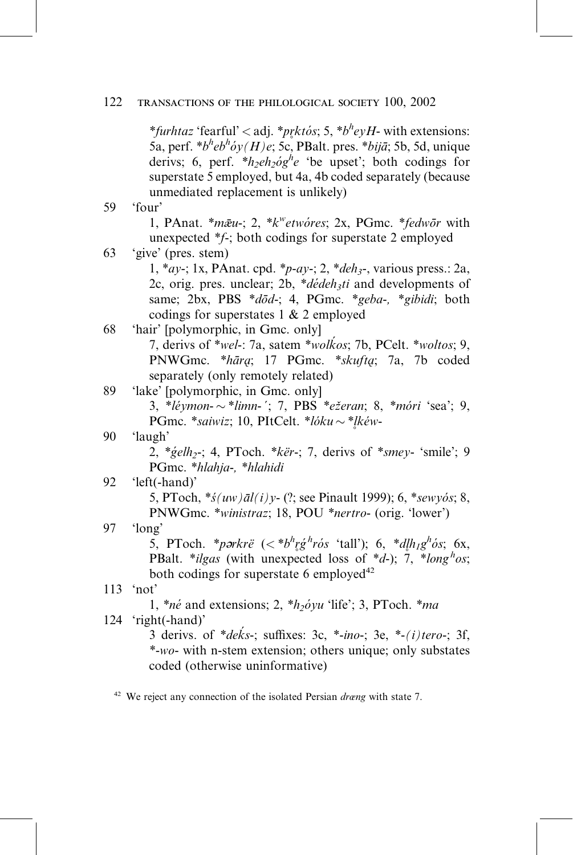#### $122$ TRANSACTIONS OF THE PHILOLOGICAL SOCIETY 100, 2002

\**furhtaz* 'fearful' < adj. \**prktós*; 5, \* $b^h e v H$ - with extensions: 5a, perf.  $* b^h e b^h \phi y(H) e$ ; 5c, PBalt. pres.  $* b i j \bar{a}$ ; 5b, 5d, unique derivs; 6, perf. \*h<sub>2</sub>eh<sub>2</sub> $\acute{o}g^h$ e 'be upset'; both codings for superstate 5 employed, but 4a, 4b coded separately (because unmediated replacement is unlikely)

59 'four' 1, PAnat. \* māu-; 2, \* k<sup>w</sup>etwóres; 2x, PGmc. \* fedwōr with unexpected \*f-: both codings for superstate 2 employed 63 'give' (pres. stem) 1, \*ay-; 1x, PAnat. cpd. \*p-ay-; 2, \*deh<sub>3</sub>-, various press.: 2a, 2c, orig. pres. unclear; 2b,  $*d\acute{e}deh_3t\acute{i}$  and developments of same; 2bx, PBS \*dōd-; 4, PGmc. \*geba-, \*gibidi; both codings for superstates  $1 \& 2$  employed 'hair' [polymorphic, in Gmc. only] 68 7, derivs of \*wel-: 7a, satem \*wolkos; 7b, PCelt. \*woltos; 9, PNWGmc. \*hāra; 17 PGmc. \*skufta; 7a, 7b coded separately (only remotely related) 89 'lake' [polymorphic, in Gmc, only] 3, \*léymon- $\sim$ \*limn-'; 7, PBS \*ežeran; 8, \*móri 'sea'; 9, PGmc. \*saiwiz; 10, PItCelt. \*lóku ~ \*lkéw-'laugh' 90 2, \*gelh<sub>2</sub>-; 4, PToch. \*kër-; 7, derivs of \*smey- 'smile'; 9 PGmc. \*hlahia-. \*hlahidi 92 'left(-hand)' 5. PToch.  $*_{s(uw)} \bar{a}l(i)v$ - (?: see Pinault 1999): 6.  $*_{seuv\acute{o}s}: 8$ . PNWGmc. \*winistraz; 18, POU \*nertro- (orig. 'lower') 'long' 97 5. PToch. \*parkrë  $(<sup>*</sup>b<sup>h</sup>r\acute{g}h<sup>h</sup>r\acute{g}s$  'tall'); 6, \*dlh<sub>1</sub>g<sup>h</sup>ós; 6x, **PBalt.** \**ilgas* (with unexpected loss of \**d*-); 7, \**long*<sup>*hos*</sup>; both codings for superstate 6 employed<sup>42</sup>  $113$  'not' 1, \*né and extensions; 2, \*h<sub>2</sub>óyu 'life'; 3, PToch. \*ma 124 'right(-hand)' 3 derivs. of \*deks-; suffixes: 3c, \*-ino-; 3e, \*-(i)tero-; 3f, \*-wo- with n-stem extension; others unique; only substates coded (otherwise uninformative)

<sup>&</sup>lt;sup>42</sup> We reject any connection of the isolated Persian *drang* with state 7.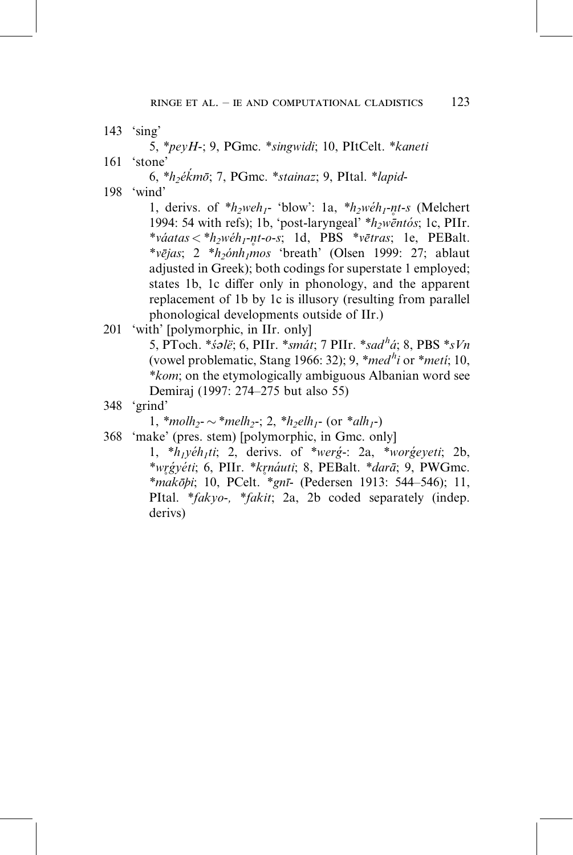143 'sing'

5, \*peyH-; 9, PGmc. \*singwidi; 10, PItCelt. \*kaneti 161 'stone'

6, \*h<sub>2</sub>ékmō; 7, PGmc. \*stainaz; 9, PItal. \*lapid-

 $198$  'wind'

1, derivs. of  $*h_2weh_1$ - 'blow': 1a,  $*h_2w\acute{e}h_1$ -nt-s (Melchert 1994: 54 with refs): 1b. 'post-laryngeal'  $*h$ <sub>2</sub>wentos: 1c. PIIr. \*vágtas < \*h>wéh1-nt-o-s; 1d. PBS \*vētras; 1e. PEBalt. \*vējas; 2 \*h<sub>2</sub>*onh<sub>1</sub>mos* 'breath' (Olsen 1999; 27; ablaut adjusted in Greek); both codings for superstate 1 employed; states 1b, 1c differ only in phonology, and the apparent replacement of 1b by 1c is illusory (resulting from parallel phonological developments outside of IIr.)

- 201 'with' [polymorphic, in IIr. only] 5, PToch. \* $\acute{s}$ əlë; 6, PIIr. \* $sm\acute{a}t$ ; 7 PIIr. \* $sad^h\acute{a}$ ; 8, PBS \* $sVn$ (vowel problematic, Stang 1966: 32); 9, \*med $h$  or \*meti; 10, *\*kom*; on the etymologically ambiguous Albanian word see Demiraj (1997: 274–275 but also 55)
- 348 'grind'

368 'make' (pres. stem) [polymorphic, in Gmc. only]

1,  $*\tilde{h}_1$ yéh<sub>1</sub>ti; 2, derivs. of \*werg-: 2a, \*worgeyeti; 2b, \*wrgyéti; 6, PIIr. \*krnáuti; 8, PEBalt. \*darā; 9, PWGmc. \*makobi; 10. PCelt. \*gnī- (Pedersen 1913; 544–546); 11. PItal. \* *fakvo-.* \* *fakit*: 2a. 2b coded separately (indep. derivs)

<sup>1, \*</sup>molh<sub>2</sub>- $\sim$  \*melh<sub>2</sub>-; 2, \*h<sub>2</sub>elh<sub>1</sub>- (or \*alh<sub>1</sub>-)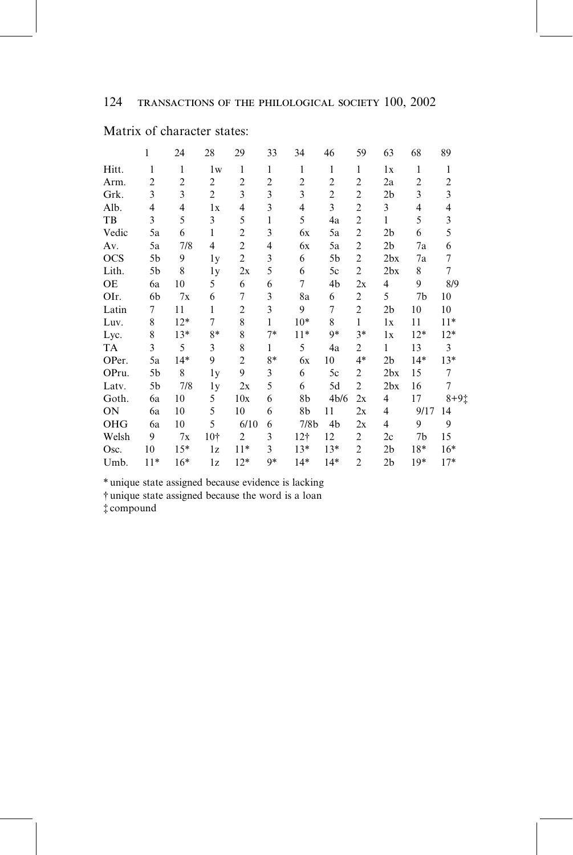|            | 1              | 24             | 28             | 29             | 33             | 34               | 46             | 59             | 63                       | 68           | 89             |
|------------|----------------|----------------|----------------|----------------|----------------|------------------|----------------|----------------|--------------------------|--------------|----------------|
| Hitt.      | 1              | 1              | 1 <sub>w</sub> | $\mathbf{1}$   | 1              | $\mathbf{1}$     | $\mathbf{1}$   | $\mathbf{1}$   | 1x                       | $\mathbf{1}$ | 1              |
| Arm.       | $\overline{2}$ | $\overline{2}$ | 2              | $\mathfrak{2}$ | $\overline{c}$ | $\mathfrak{2}$   | $\overline{2}$ | $\overline{2}$ | 2a                       | 2            | 2              |
| Grk.       | 3              | 3              | 2              | 3              | 3              | 3                | $\overline{c}$ | $\overline{2}$ | 2b                       | 3            | $\overline{3}$ |
| Alb.       | 4              | 4              | 1x             | $\overline{4}$ | 3              | $\overline{4}$   | 3              | $\overline{2}$ | 3                        | 4            | 4              |
| TB         | 3              | 5              | 3              | 5              | $\mathbf{1}$   | 5                | 4a             | $\overline{c}$ | $\mathbf{1}$             | 5            | 3              |
| Vedic      | 5a             | 6              | 1              | $\mathfrak{2}$ | 3              | 6x               | 5a             | $\overline{2}$ | 2 <sub>b</sub>           | 6            | 5              |
| Av.        | 5a             | 7/8            | 4              | $\overline{c}$ | 4              | 6x               | 5a             | $\mathfrak{2}$ | 2 <sub>b</sub>           | 7a           | 6              |
| <b>OCS</b> | 5b             | 9              | 1y             | $\overline{c}$ | 3              | 6                | 5b             | $\mathfrak{2}$ | 2bx                      | 7a           | 7              |
| Lith.      | 5b             | 8              | 1y             | 2x             | 5              | 6                | 5c             | $\mathfrak{2}$ | 2bx                      | 8            | $\overline{7}$ |
| <b>OE</b>  | 6a             | 10             | 5              | 6              | 6              | 7                | 4b             | 2x             | $\overline{\mathcal{L}}$ | 9            | 8/9            |
| OIr.       | 6b             | 7x             | 6              | 7              | 3              | 8a               | 6              | $\mathfrak{2}$ | 5                        | 7b           | 10             |
| Latin      | 7              | 11             | 1              | $\mathfrak{2}$ | 3              | 9                | $\overline{7}$ | $\mathfrak{2}$ | 2 <sub>b</sub>           | 10           | 10             |
| Luv.       | 8              | $12*$          | 7              | 8              | 1              | $10*$            | 8              | $\mathbf{1}$   | 1x                       | 11           | $11*$          |
| Lyc.       | 8              | $13*$          | 8*             | 8              | $7*$           | $11*$            | 9*             | $3*$           | 1x                       | $12*$        | $12*$          |
| TA         | 3              | 5              | 3              | 8              | 1              | 5                | 4a             | $\overline{2}$ | $\mathbf{1}$             | 13           | 3              |
| OPer.      | 5a             | $14*$          | 9              | $\mathfrak{2}$ | 8*             | 6x               | 10             | $4*$           | 2 <sub>b</sub>           | $14*$        | $13*$          |
| OPru.      | 5b             | 8              | 1y             | 9              | 3              | 6                | 5c             | $\mathfrak{2}$ | 2bx                      | 15           | $\tau$         |
| Latv.      | 5b             | 7/8            | 1y             | 2x             | 5              | 6                | 5d             | $\overline{2}$ | 2bx                      | 16           | $\overline{7}$ |
| Goth.      | 6a             | 10             | 5              | 10x            | 6              | 8b               | 4b/6           | 2x             | 4                        | 17           | $8 + 9$        |
| <b>ON</b>  | 6a             | 10             | 5              | 10             | 6              | 8b               | 11             | 2x             | 4                        | 9/17         | 14             |
| OHG        | 6a             | 10             | 5              | 6/10           | 6              | 7/8 <sub>b</sub> | 4b             | 2x             | $\overline{4}$           | 9            | 9              |
| Welsh      | 9              | 7x             | 10†            | 2              | 3              | 12 <sup>†</sup>  | 12             | 2              | 2c                       | 7b           | 15             |
| Osc.       | 10             | $15*$          | 1z             | $11*$          | 3              | $13*$            | $13*$          | $\overline{2}$ | 2 <sub>b</sub>           | 18*          | $16*$          |
| Umb.       | $11*$          | $16*$          | 1z             | $12*$          | $9*$           | $14*$            | $14*$          | $\overline{2}$ | 2b                       | $19*$        | $17*$          |

## Matrix of character states:

\* unique state assigned because evidence is lacking

† unique state assigned because the word is a loan

 $\ddagger$  compound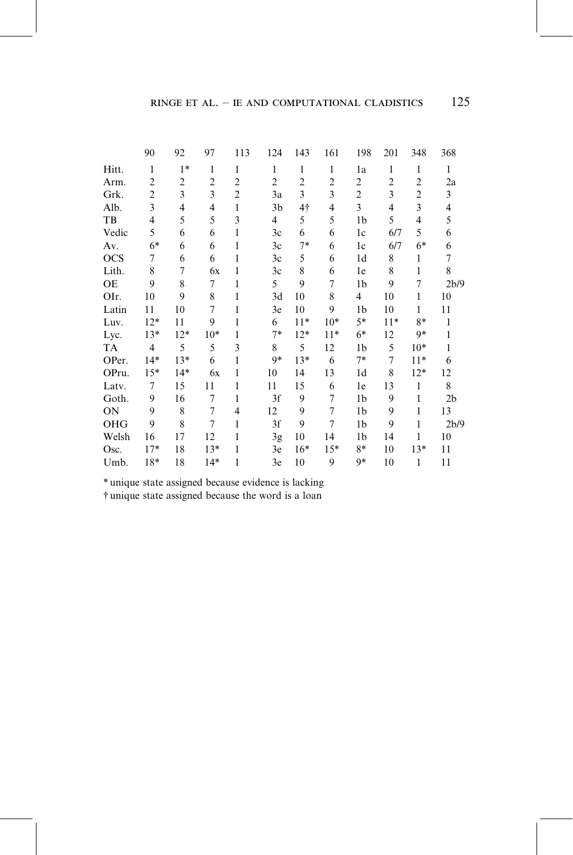|            | 90             | 92             | 97             | 113            | 124            | 143            | 161            | 198            | 201            | 348            | 368          |
|------------|----------------|----------------|----------------|----------------|----------------|----------------|----------------|----------------|----------------|----------------|--------------|
| Hitt.      | 1              | $1*$           | 1              | 1              | 1              | 1              | 1              | 1a             | 1              | 1              | $\mathbf{1}$ |
| Arm.       | 2              | $\overline{c}$ | $\overline{c}$ | $\overline{c}$ | $\overline{c}$ | $\overline{c}$ | $\overline{2}$ | 2              | $\mathfrak{2}$ | 2              | 2a           |
| Grk.       | $\overline{c}$ | 3              | 3              | $\overline{c}$ | 3a             | 3              | 3              | $\overline{2}$ | 3              | $\overline{c}$ | 3            |
| Alb.       | 3              | $\overline{4}$ | $\overline{4}$ | 1              | 3 <sub>b</sub> | 4†             | 4              | 3              | $\overline{4}$ | 3              | 4            |
| TB         | 4              | 5              | 5              | 3              | $\overline{4}$ | 5              | 5              | 1b             | 5              | 4              | 5            |
| Vedic      | 5              | 6              | 6              | 1              | 3c             | 6              | 6              | 1c             | 6/7            | 5              | 6            |
| Av.        | $6*$           | 6              | 6              | 1              | 3c             | $7*$           | 6              | 1c             | 6/7            | $6*$           | 6            |
| <b>OCS</b> | 7              | 6              | 6              | 1              | 3c             | 5              | 6              | 1d             | 8              | 1              | 7            |
| Lith.      | 8              | 7              | 6x             | 1              | 3c             | 8              | 6              | 1e             | 8              | 1              | 8            |
| <b>OE</b>  | 9              | 8              | 7              | 1              | 5              | 9              | 7              | 1b             | 9              | 7              | 2b/9         |
| OIr.       | 10             | 9              | 8              | 1              | 3d             | 10             | 8              | 4              | 10             | 1              | 10           |
| Latin      | 11             | 10             | 7              | 1              | 3e             | 10             | 9              | 1b             | 10             | 1              | 11           |
| Luv.       | $12*$          | 11             | 9              | 1              | 6              | $11*$          | $10*$          | $5*$           | $11*$          | $8*$           | 1            |
| Lyc.       | $13*$          | $12*$          | $10*$          | 1              | $7*$           | $12*$          | $11*$          | $6*$           | 12             | 9*             | 1            |
| TA         | $\overline{4}$ | 5              | 5              | 3              | 8              | 5              | 12             | 1b             | 5              | $10*$          | $\mathbf{1}$ |
| OPer.      | $14*$          | $13*$          | 6              | 1              | 9*             | $13*$          | 6              | $7*$           | 7              | $11*$          | 6            |
| OPru.      | $15*$          | $14*$          | 6x             | 1              | 10             | 14             | 13             | 1d             | 8              | $12*$          | 12           |
| Latv.      | 7              | 15             | 11             | 1              | 11             | 15             | 6              | 1e             | 13             | 1              | 8            |
| Goth.      | 9              | 16             | $\overline{7}$ | 1              | 3f             | 9              | 7              | 1b             | 9              | 1              | 2b           |
| <b>ON</b>  | 9              | 8              | 7              | 4              | 12             | 9              | $\overline{7}$ | 1b             | 9              | 1              | 13           |
| OHG        | 9              | 8              | 7              | 1              | 3f             | 9              | 7              | 1b             | 9              | 1              | 2b/9         |
| Welsh      | 16             | 17             | 12             | 1              | 3g             | 10             | 14             | 1b             | 14             | 1              | 10           |
| Osc.       | $17*$          | 18             | $13*$          | 1              | 3e             | $16*$          | $15*$          | 8*             | 10             | $13*$          | 11           |
| Umb.       | 18*            | 18             | $14*$          | 1              | 3e             | 10             | 9              | 9*             | 10             | 1              | 11           |

\* unique state assigned because evidence is lacking<br>† unique state assigned because the word is a loan

125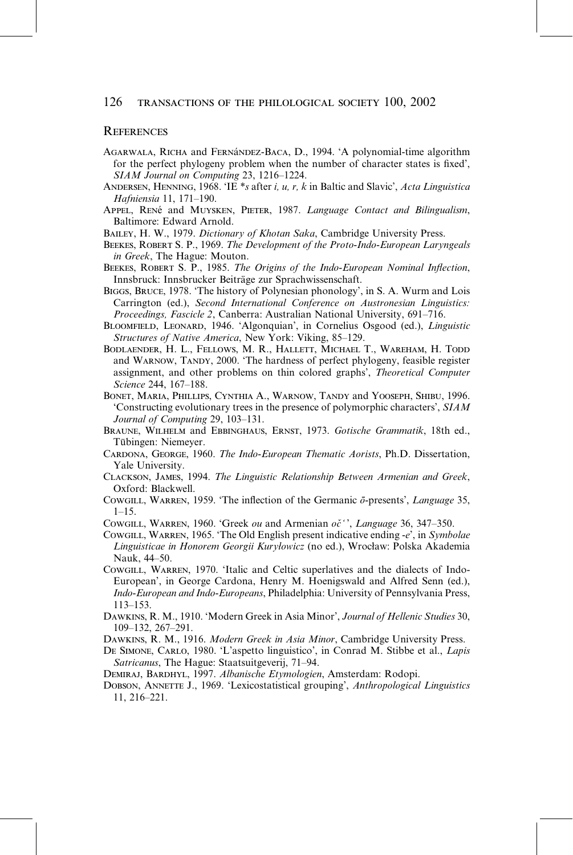#### 126 TRANSACTIONS OF THE PHILOLOGICAL SOCIETY 100, 2002

#### **REFERENCES**

- AGARWALA, RICHA and FERNÁNDEZ-BACA, D., 1994. 'A polynomial-time algorithm for the perfect phylogeny problem when the number of character states is fixed', SIAM Journal on Computing 23, 1216-1224.
- ANDERSEN, HENNING, 1968. 'IE \*s after i, u, r, k in Baltic and Slavic', Acta Linguistica Hafniensia 11, 171-190.
- APPEL, RENÉ and MUYSKEN, PIETER, 1987. Language Contact and Bilingualism, Baltimore: Edward Arnold.
- BAILEY, H. W., 1979. Dictionary of Khotan Saka, Cambridge University Press.
- BEEKES, ROBERT S. P., 1969. The Development of the Proto-Indo-European Laryngeals in Greek. The Hague: Mouton.
- BEEKES, ROBERT S. P., 1985. The Origins of the Indo-European Nominal Inflection, Innsbruck: Innsbrucker Beiträge zur Sprachwissenschaft.
- BIGGS, BRUCE, 1978. 'The history of Polynesian phonology', in S. A. Wurm and Lois Carrington (ed.), Second International Conference on Austronesian Linguistics: Proceedings, Fascicle 2, Canberra: Australian National University, 691-716.
- BLOOMFIELD, LEONARD, 1946. 'Algonquian', in Cornelius Osgood (ed.), Linguistic Structures of Native America, New York: Viking, 85-129.
- BODLAENDER, H. L., FELLOWS, M. R., HALLETT, MICHAEL T., WAREHAM, H. TODD and WARNOW, TANDY, 2000. 'The hardness of perfect phylogeny, feasible register assignment, and other problems on thin colored graphs', Theoretical Computer Science 244, 167-188.
- BONET, MARIA, PHILLIPS, CYNTHIA A., WARNOW, TANDY and YOOSEPH, SHIBU, 1996. Constructing evolutionary trees in the presence of polymorphic characters', SIAM Journal of Computing 29, 103-131.
- BRAUNE, WILHELM and EBBINGHAUS, ERNST, 1973. Gotische Grammatik, 18th ed., Tübingen: Niemeyer.
- CARDONA, GEORGE, 1960. The Indo-European Thematic Aorists, Ph.D. Dissertation, Yale University.
- CLACKSON, JAMES, 1994. The Linguistic Relationship Between Armenian and Greek, Oxford: Blackwell.
- COWGILL, WARREN, 1959. 'The inflection of the Germanic  $\bar{o}$ -presents', Language 35,  $1 - 15$ .
- COWGILL, WARREN, 1960. 'Greek ou and Armenian oč'', Language 36, 347–350.
- COWGILL, WARREN, 1965. 'The Old English present indicative ending -e', in Symbolae Linguisticae in Honorem Georgii Kurylowicz (no ed.), Wrocław: Polska Akademia Nauk, 44-50.
- COWGILL, WARREN, 1970. 'Italic and Celtic superlatives and the dialects of Indo-European', in George Cardona, Henry M. Hoenigswald and Alfred Senn (ed.), Indo-European and Indo-Europeans, Philadelphia: University of Pennsylvania Press,  $113 - 153$
- DAWKINS, R. M., 1910. 'Modern Greek in Asia Minor', Journal of Hellenic Studies 30, 109-132, 267-291.
- DAWKINS, R. M., 1916. Modern Greek in Asia Minor, Cambridge University Press.
- DE SIMONE, CARLO, 1980. 'L'aspetto linguistico', in Conrad M. Stibbe et al., Lapis Satricanus, The Hague: Staatsuitgeverij, 71-94.
- DEMIRAJ, BARDHYL, 1997. Albanische Etymologien, Amsterdam: Rodopi.
- DOBSON, ANNETTE J., 1969. 'Lexicostatistical grouping', Anthropological Linguistics 11, 216-221.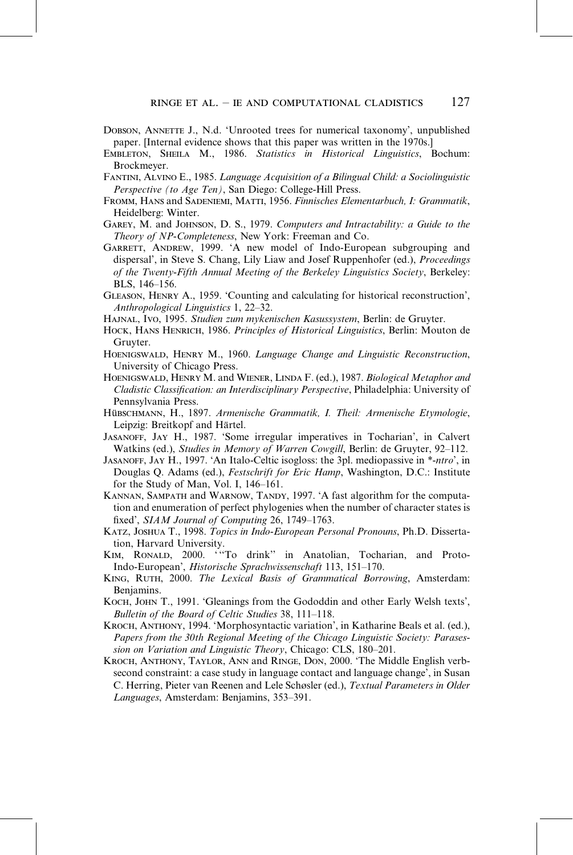- DOBSON, ANNETTE J., N.d. 'Unrooted trees for numerical taxonomy', unpublished paper. Internal evidence shows that this paper was written in the 1970s.
- EMBLETON, SHEILA M., 1986. Statistics in Historical Linguistics, Bochum: Brockmeyer.
- FANTINI, ALVINO E., 1985. Language Acquisition of a Bilingual Child: a Sociolinguistic Perspective (to Age Ten), San Diego: College-Hill Press.
- FROMM, HANS and SADENIEMI, MATTI, 1956. Finnisches Elementarbuch, I: Grammatik, Heidelberg: Winter.
- GAREY, M. and JOHNSON, D. S., 1979. Computers and Intractability: a Guide to the *Theory of NP-Completeness*, New York: Freeman and Co.
- GARRETT, ANDREW, 1999. 'A new model of Indo-European subgrouping and dispersal', in Steve S. Chang, Lily Liaw and Josef Ruppenhofer (ed.), *Proceedings* of the Twenty-Fifth Annual Meeting of the Berkeley Linguistics Society, Berkeley: BLS 146-156
- GLEASON, HENRY A., 1959. 'Counting and calculating for historical reconstruction', Anthropological Linguistics 1, 22–32.

HAJNAL, IVO, 1995. Studien zum mykenischen Kasussystem, Berlin: de Gruyter.

- HOCK, HANS HENRICH, 1986. Principles of Historical Linguistics, Berlin: Mouton de Gruyter.
- HOENIGSWALD, HENRY M., 1960. Language Change and Linguistic Reconstruction, University of Chicago Press.
- HOENIGSWALD, HENRY M. and WIENER, LINDA F. (ed.), 1987. Biological Metaphor and Cladistic Classification: an Interdisciplinary Perspective, Philadelphia: University of Pennsylvania Press.
- Hübschmann, H., 1897. Armenische Grammatik, I. Theil: Armenische Etymologie, Leipzig: Breitkopf and Härtel.
- JASANOFF, JAY H., 1987. 'Some irregular imperatives in Tocharian', in Calvert Watkins (ed.), Studies in Memory of Warren Cowgill, Berlin: de Gruyter, 92-112.
- JASANOFF, JAY H., 1997. 'An Italo-Celtic isogloss: the 3pl. mediopassive in \*-*ntro*', in Douglas O. Adams (ed.), *Festschrift for Eric Hamp*, Washington, D.C.: Institute for the Study of Man, Vol. I, 146-161.
- KANNAN, SAMPATH and WARNOW, TANDY, 1997. 'A fast algorithm for the computation and enumeration of perfect phylogenies when the number of character states is fixed', SIAM Journal of Computing 26, 1749-1763.
- KATZ, JOSHUA T., 1998. Topics in Indo-European Personal Pronouns, Ph.D. Dissertation, Harvard University.
- KIM, RONALD, 2000. "To drink" in Anatolian, Tocharian, and Proto-Indo-European', *Historische Sprachwissenschaft* 113, 151-170.
- KING, RUTH, 2000. The Lexical Basis of Grammatical Borrowing, Amsterdam: Benjamins.
- Косн, Jону Т., 1991. 'Gleanings from the Gododdin and other Early Welsh texts', Bulletin of the Board of Celtic Studies 38, 111-118.
- KROCH, ANTHONY, 1994. 'Morphosyntactic variation', in Katharine Beals et al. (ed.), Papers from the 30th Regional Meeting of the Chicago Linguistic Society: Parasession on Variation and Linguistic Theory, Chicago: CLS, 180-201.
- KROCH, ANTHONY, TAYLOR, ANN and RINGE, DON, 2000. 'The Middle English verbsecond constraint: a case study in language contact and language change', in Susan C. Herring, Pieter van Reenen and Lele Schøsler (ed.), Textual Parameters in Older Languages, Amsterdam: Benjamins, 353-391.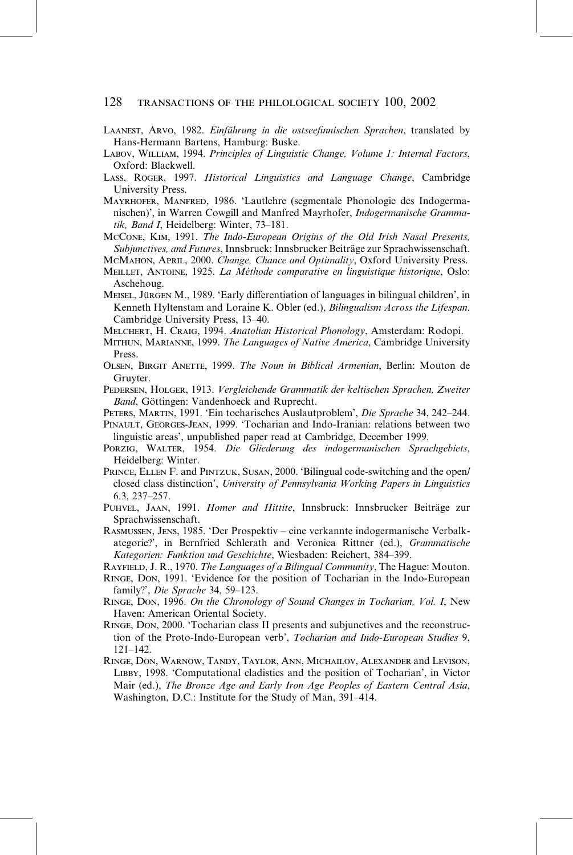#### 128 TRANSACTIONS OF THE PHILOLOGICAL SOCIETY 100, 2002

- LAANEST, ARVO, 1982. Einführung in die ostseefinnischen Sprachen, translated by Hans-Hermann Bartens, Hamburg: Buske.
- LABOV, WILLIAM, 1994. Principles of Linguistic Change, Volume 1: Internal Factors, Oxford: Blackwell.
- LASS, ROGER, 1997. Historical Linguistics and Language Change, Cambridge University Press.
- MAYRHOFER, MANFRED, 1986. 'Lautlehre (segmentale Phonologie des Indogermanischen)', in Warren Cowgill and Manfred Mayrhofer, Indogermanische Grammatik, Band I, Heidelberg: Winter, 73-181.
- MCCONE, KIM, 1991. The Indo-European Origins of the Old Irish Nasal Presents, Subjunctives, and Futures, Innsbruck: Innsbrucker Beiträge zur Sprachwissenschaft.
- McMAHON, APRIL, 2000. Change, Chance and Optimality, Oxford University Press.
- MEILLET, ANTOINE, 1925. La Méthode comparative en linguistique historique, Oslo: Aschehoug.
- MEISEL, Jürgen M., 1989. 'Early differentiation of languages in bilingual children', in Kenneth Hyltenstam and Loraine K. Obler (ed.), Bilingualism Across the Lifespan. Cambridge University Press, 13-40.
- MELCHERT, H. CRAIG, 1994. Anatolian Historical Phonology, Amsterdam: Rodopi.
- MITHUN, MARIANNE, 1999. The Languages of Native America, Cambridge University Press.
- OLSEN, BIRGIT ANETTE, 1999. The Noun in Biblical Armenian, Berlin: Mouton de Gruyter.
- PEDERSEN, HOLGER, 1913. Vergleichende Grammatik der keltischen Sprachen, Zweiter Band, Göttingen: Vandenhoeck and Ruprecht.
- PETERS, MARTIN, 1991. 'Ein tocharisches Auslautproblem', Die Sprache 34, 242–244.
- PINAULT, GEORGES-JEAN, 1999. 'Tocharian and Indo-Iranian: relations between two linguistic areas', unpublished paper read at Cambridge, December 1999.
- PORZIG, WALTER, 1954. Die Gliederung des indogermanischen Sprachgebiets, Heidelberg: Winter.
- PRINCE, ELLEN F. and PINTZUK, SUSAN, 2000. Bilingual code-switching and the open/ closed class distinction', University of Pennsylvania Working Papers in Linguistics  $6.3, 237 - 257.$
- PUHVEL, JAAN, 1991. Homer and Hittite, Innsbruck: Innsbrucker Beiträge zur Sprachwissenschaft.
- RASMUSSEN, JENS, 1985. 'Der Prospektiv eine verkannte indogermanische Verbalkategorie?', in Bernfried Schlerath and Veronica Rittner (ed.), Grammatische Kategorien: Funktion und Geschichte, Wiesbaden: Reichert, 384-399.
- RAYFIELD, J. R., 1970. The Languages of a Bilingual Community, The Hague: Mouton.
- RINGE, DON. 1991. Evidence for the position of Tocharian in the Indo-European family?', Die Sprache 34, 59-123.
- RINGE, Don, 1996. On the Chronology of Sound Changes in Tocharian, Vol. I, New Haven: American Oriental Society.
- RINGE, DON, 2000. 'Tocharian class II presents and subjunctives and the reconstruction of the Proto-Indo-European verb', Tocharian and Indo-European Studies 9,  $121 - 142.$
- RINGE, DON, WARNOW, TANDY, TAYLOR, ANN, MICHAILOV, ALEXANDER and LEVISON, LIBBY, 1998. 'Computational cladistics and the position of Tocharian', in Victor Mair (ed.), The Bronze Age and Early Iron Age Peoples of Eastern Central Asia, Washington, D.C.: Institute for the Study of Man, 391-414.